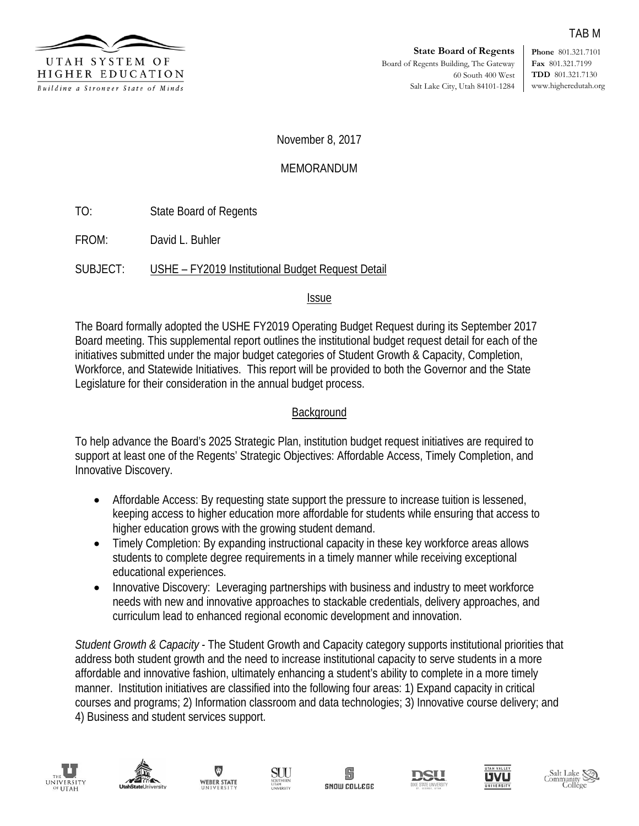

**Phone** 801.321.7101 **Fax** 801.321.7199 **TDD** 801.321.7130 www.higheredutah.org

TAB M

November 8, 2017

# MEMORANDUM

TO: State Board of Regents

FROM: David L. Buhler

SUBJECT: USHE – FY2019 Institutional Budget Request Detail

Issue

The Board formally adopted the USHE FY2019 Operating Budget Request during its September 2017 Board meeting. This supplemental report outlines the institutional budget request detail for each of the initiatives submitted under the major budget categories of Student Growth & Capacity, Completion, Workforce, and Statewide Initiatives. This report will be provided to both the Governor and the State Legislature for their consideration in the annual budget process.

# **Background**

To help advance the Board's 2025 Strategic Plan, institution budget request initiatives are required to support at least one of the Regents' Strategic Objectives: Affordable Access, Timely Completion, and Innovative Discovery.

- Affordable Access: By requesting state support the pressure to increase tuition is lessened, keeping access to higher education more affordable for students while ensuring that access to higher education grows with the growing student demand.
- Timely Completion: By expanding instructional capacity in these key workforce areas allows students to complete degree requirements in a timely manner while receiving exceptional educational experiences.
- Innovative Discovery: Leveraging partnerships with business and industry to meet workforce needs with new and innovative approaches to stackable credentials, delivery approaches, and curriculum lead to enhanced regional economic development and innovation.

*Student Growth & Capacity* - The Student Growth and Capacity category supports institutional priorities that address both student growth and the need to increase institutional capacity to serve students in a more affordable and innovative fashion, ultimately enhancing a student's ability to complete in a more timely manner. Institution initiatives are classified into the following four areas: 1) Expand capacity in critical courses and programs; 2) Information classroom and data technologies; 3) Innovative course delivery; and 4) Business and student services support.















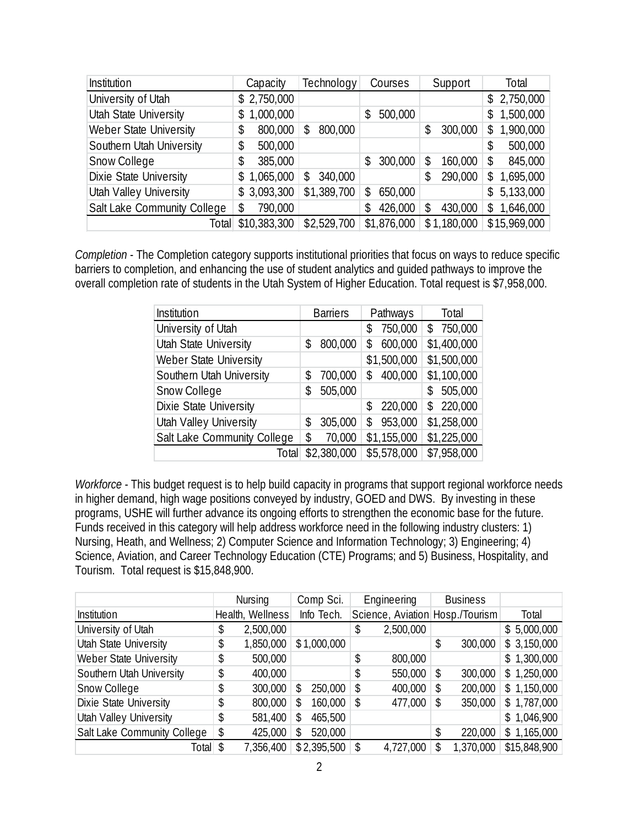| Institution                  | Capacity        | Technology    | Courses       | Support       | Total           |
|------------------------------|-----------------|---------------|---------------|---------------|-----------------|
| University of Utah           | \$2,750,000     |               |               |               | \$2,750,000     |
| <b>Utah State University</b> | 1,000,000<br>\$ |               | 500,000<br>\$ |               | 1,500,000<br>S. |
| Weber State University       | 800,000<br>\$   | 800,000<br>\$ |               | 300,000       | 1,900,000<br>\$ |
| Southern Utah University     | 500,000<br>\$   |               |               |               | 500,000         |
| Snow College                 | 385,000         |               | 300,000<br>\$ | 160,000<br>S. | 845,000         |
| Dixie State University       | \$1,065,000     | 340,000<br>\$ |               | 290,000<br>\$ | 1,695,000<br>\$ |
| Utah Valley University       | \$3,093,300     | \$1,389,700   | 650,000<br>\$ |               | 5,133,000<br>S. |
| Salt Lake Community College  | 790,000         |               | 426,000<br>\$ | 430,000<br>S. | 1,646,000<br>S. |
| Totall                       | \$10,383,300    | \$2,529,700   | \$1,876,000   | \$1,180,000   | \$15,969,000    |

*Completion* - The Completion category supports institutional priorities that focus on ways to reduce specific barriers to completion, and enhancing the use of student analytics and guided pathways to improve the overall completion rate of students in the Utah System of Higher Education. Total request is \$7,958,000.

| Institution                  |    | <b>Barriers</b> |     | Pathways    | Total          |
|------------------------------|----|-----------------|-----|-------------|----------------|
| University of Utah           |    |                 | \$  | 750,000     | 750,000<br>\$  |
| <b>Utah State University</b> | \$ | 800,000         | \$  | 600,000     | \$1,400,000    |
| Weber State University       |    |                 |     | \$1,500,000 | \$1,500,000    |
| Southern Utah University     | S. | 700,000         | \$. | 400,000     | \$1,100,000    |
| Snow College                 | \$ | 505,000         |     |             | 505,000<br>\$  |
| Dixie State University       |    |                 | \$  | 220,000     | 220,000<br>\$. |
| Utah Valley University       | \$ | 305,000         | \$  | 953,000     | \$1,258,000    |
| Salt Lake Community College  | \$ | 70,000          |     | \$1,155,000 | \$1,225,000    |
| Total                        |    | \$2,380,000     |     | \$5,578,000 | \$7,958,000    |

*Workforce* - This budget request is to help build capacity in programs that support regional workforce needs in higher demand, high wage positions conveyed by industry, GOED and DWS. By investing in these programs, USHE will further advance its ongoing efforts to strengthen the economic base for the future. Funds received in this category will help address workforce need in the following industry clusters: 1) Nursing, Heath, and Wellness; 2) Computer Science and Information Technology; 3) Engineering; 4) Science, Aviation, and Career Technology Education (CTE) Programs; and 5) Business, Hospitality, and Tourism. Total request is \$15,848,900.

|                              | <b>Nursing</b>   | Comp Sci.     | Engineering                     |    | <b>Business</b> |              |
|------------------------------|------------------|---------------|---------------------------------|----|-----------------|--------------|
| Institution                  | Health, Wellness | Info Tech.    | Science, Aviation Hosp./Tourism |    |                 | Total        |
| University of Utah           | \$<br>2,500,000  |               | \$<br>2,500,000                 |    |                 | \$5,000,000  |
| <b>Utah State University</b> | \$<br>1,850,000  | \$1,000,000   |                                 | \$ | 300,000         | \$3,150,000  |
| Weber State University       | \$<br>500,000    |               | \$<br>800,000                   |    |                 | \$1,300,000  |
| Southern Utah University     | \$<br>400,000    |               | \$<br>550,000                   | \$ | 300,000         | \$1,250,000  |
| Snow College                 | \$<br>300,000    | \$<br>250,000 | \$<br>400,000                   | S  | 200,000         | \$1,150,000  |
| Dixie State University       | \$<br>800,000    | \$<br>160,000 | \$<br>477,000                   | \$ | 350,000         | \$1,787,000  |
| Utah Valley University       | \$<br>581,400    | \$<br>465,500 |                                 |    |                 | \$1,046,900  |
| Salt Lake Community College  | \$<br>425,000    | \$<br>520,000 |                                 | \$ | 220,000         | \$1,165,000  |
| Total \$                     | 7,356,400        | \$2,395,500   | \$<br>4,727,000                 | S. | 1,370,000       | \$15,848,900 |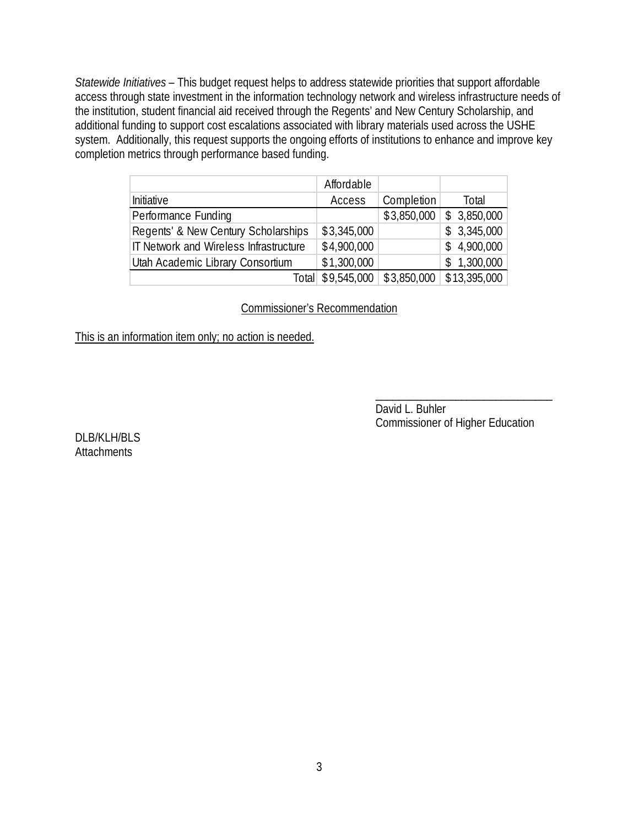*Statewide Initiatives* – This budget request helps to address statewide priorities that support affordable access through state investment in the information technology network and wireless infrastructure needs of the institution, student financial aid received through the Regents' and New Century Scholarship, and additional funding to support cost escalations associated with library materials used across the USHE system. Additionally, this request supports the ongoing efforts of institutions to enhance and improve key completion metrics through performance based funding.

|                                        | Affordable  |             |                 |
|----------------------------------------|-------------|-------------|-----------------|
| Initiative                             | Access      | Completion  | Total           |
| Performance Funding                    |             | \$3,850,000 | \$3,850,000     |
| Regents' & New Century Scholarships    | \$3,345,000 |             | \$3,345,000     |
| IT Network and Wireless Infrastructure | \$4,900,000 |             | \$4,900,000     |
| Utah Academic Library Consortium       | \$1,300,000 |             | 1,300,000<br>S. |
| Totall                                 | \$9,545,000 | \$3,850,000 | \$13,395,000    |

## Commissioner's Recommendation

This is an information item only; no action is needed.

David L. Buhler Commissioner of Higher Education

\_\_\_\_\_\_\_\_\_\_\_\_\_\_\_\_\_\_\_\_\_\_\_\_\_\_\_\_\_\_\_

DLB/KLH/BLS **Attachments**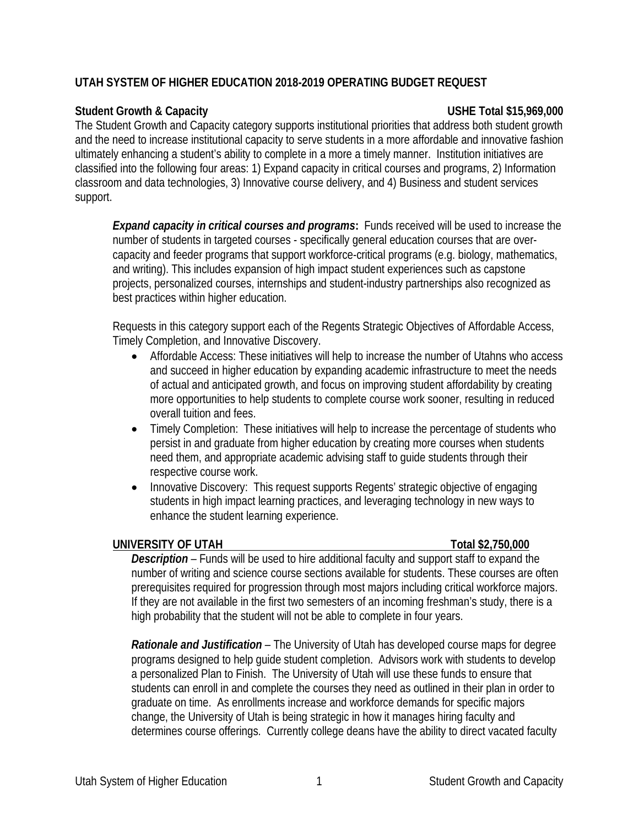# **UTAH SYSTEM OF HIGHER EDUCATION 2018-2019 OPERATING BUDGET REQUEST**

# **Student Growth & Capacity USHE Total \$15,969,000**

The Student Growth and Capacity category supports institutional priorities that address both student growth and the need to increase institutional capacity to serve students in a more affordable and innovative fashion ultimately enhancing a student's ability to complete in a more a timely manner. Institution initiatives are classified into the following four areas: 1) Expand capacity in critical courses and programs, 2) Information classroom and data technologies, 3) Innovative course delivery, and 4) Business and student services support.

*Expand capacity in critical courses and programs***:** Funds received will be used to increase the number of students in targeted courses - specifically general education courses that are overcapacity and feeder programs that support workforce-critical programs (e.g. biology, mathematics, and writing). This includes expansion of high impact student experiences such as capstone projects, personalized courses, internships and student-industry partnerships also recognized as best practices within higher education.

Requests in this category support each of the Regents Strategic Objectives of Affordable Access, Timely Completion, and Innovative Discovery.

- Affordable Access: These initiatives will help to increase the number of Utahns who access and succeed in higher education by expanding academic infrastructure to meet the needs of actual and anticipated growth, and focus on improving student affordability by creating more opportunities to help students to complete course work sooner, resulting in reduced overall tuition and fees.
- Timely Completion: These initiatives will help to increase the percentage of students who persist in and graduate from higher education by creating more courses when students need them, and appropriate academic advising staff to guide students through their respective course work.
- Innovative Discovery: This request supports Regents' strategic objective of engaging students in high impact learning practices, and leveraging technology in new ways to enhance the student learning experience.

# **UNIVERSITY OF UTAH Total \$2,750,000**

*Description –* Funds will be used to hire additional faculty and support staff to expand the number of writing and science course sections available for students. These courses are often prerequisites required for progression through most majors including critical workforce majors. If they are not available in the first two semesters of an incoming freshman's study, there is a high probability that the student will not be able to complete in four years.

*Rationale and Justification –* The University of Utah has developed course maps for degree programs designed to help guide student completion. Advisors work with students to develop a personalized Plan to Finish. The University of Utah will use these funds to ensure that students can enroll in and complete the courses they need as outlined in their plan in order to graduate on time. As enrollments increase and workforce demands for specific majors change, the University of Utah is being strategic in how it manages hiring faculty and determines course offerings. Currently college deans have the ability to direct vacated faculty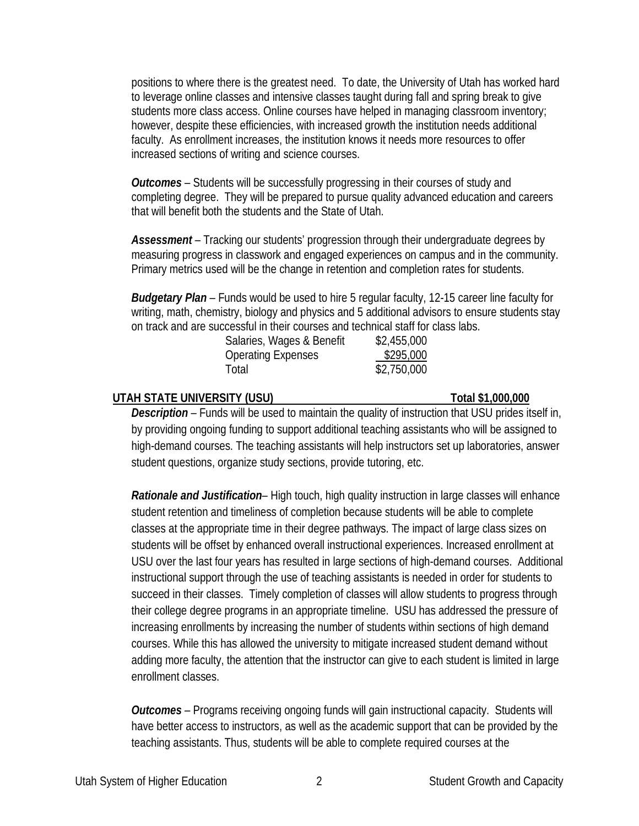positions to where there is the greatest need. To date, the University of Utah has worked hard to leverage online classes and intensive classes taught during fall and spring break to give students more class access. Online courses have helped in managing classroom inventory; however, despite these efficiencies, with increased growth the institution needs additional faculty. As enrollment increases, the institution knows it needs more resources to offer increased sections of writing and science courses.

*Outcomes –* Students will be successfully progressing in their courses of study and completing degree. They will be prepared to pursue quality advanced education and careers that will benefit both the students and the State of Utah.

*Assessment –* Tracking our students' progression through their undergraduate degrees by measuring progress in classwork and engaged experiences on campus and in the community. Primary metrics used will be the change in retention and completion rates for students.

*Budgetary Plan –* Funds would be used to hire 5 regular faculty, 12-15 career line faculty for writing, math, chemistry, biology and physics and 5 additional advisors to ensure students stay on track and are successful in their courses and technical staff for class labs.

| \$2,455,000 |
|-------------|
| \$295,000   |
| \$2,750,000 |
|             |

## **UTAH STATE UNIVERSITY (USU) Total \$1,000,000**

*Description –* Funds will be used to maintain the quality of instruction that USU prides itself in, by providing ongoing funding to support additional teaching assistants who will be assigned to high-demand courses. The teaching assistants will help instructors set up laboratories, answer student questions, organize study sections, provide tutoring, etc.

*Rationale and Justification–* High touch, high quality instruction in large classes will enhance student retention and timeliness of completion because students will be able to complete classes at the appropriate time in their degree pathways. The impact of large class sizes on students will be offset by enhanced overall instructional experiences. Increased enrollment at USU over the last four years has resulted in large sections of high-demand courses. Additional instructional support through the use of teaching assistants is needed in order for students to succeed in their classes. Timely completion of classes will allow students to progress through their college degree programs in an appropriate timeline. USU has addressed the pressure of increasing enrollments by increasing the number of students within sections of high demand courses. While this has allowed the university to mitigate increased student demand without adding more faculty, the attention that the instructor can give to each student is limited in large enrollment classes.

*Outcomes –* Programs receiving ongoing funds will gain instructional capacity. Students will have better access to instructors, as well as the academic support that can be provided by the teaching assistants. Thus, students will be able to complete required courses at the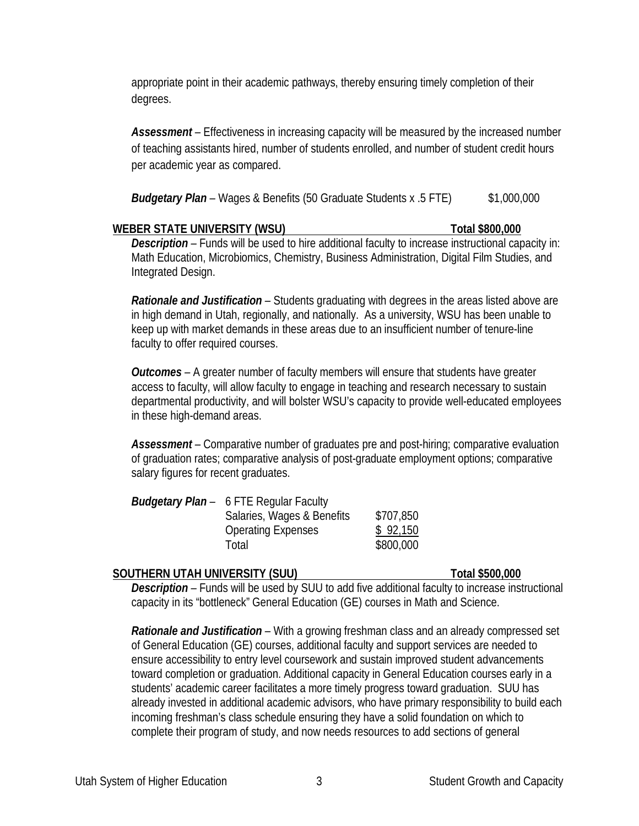appropriate point in their academic pathways, thereby ensuring timely completion of their degrees.

Assessment – Effectiveness in increasing capacity will be measured by the increased number of teaching assistants hired, number of students enrolled, and number of student credit hours per academic year as compared.

|  |  | <b>Budgetary Plan</b> – Wages & Benefits (50 Graduate Students x .5 FTE) | \$1,000,000 |
|--|--|--------------------------------------------------------------------------|-------------|
|  |  |                                                                          |             |

### WEBER STATE UNIVERSITY (WSU) **Total \$800,000**

*Description –* Funds will be used to hire additional faculty to increase instructional capacity in: Math Education, Microbiomics, Chemistry, Business Administration, Digital Film Studies, and Integrated Design.

*Rationale and Justification –* Students graduating with degrees in the areas listed above are in high demand in Utah, regionally, and nationally. As a university, WSU has been unable to keep up with market demands in these areas due to an insufficient number of tenure-line faculty to offer required courses.

*Outcomes –* A greater number of faculty members will ensure that students have greater access to faculty, will allow faculty to engage in teaching and research necessary to sustain departmental productivity, and will bolster WSU's capacity to provide well-educated employees in these high-demand areas.

*Assessment –* Comparative number of graduates pre and post-hiring; comparative evaluation of graduation rates; comparative analysis of post-graduate employment options; comparative salary figures for recent graduates.

| <b>Budgetary Plan</b> – 6 FTE Regular Faculty |           |
|-----------------------------------------------|-----------|
| Salaries, Wages & Benefits                    | \$707,850 |
| <b>Operating Expenses</b>                     | \$92,150  |
| Total                                         | \$800,000 |

## **SOUTHERN UTAH UNIVERSITY (SUU) Total \$500,000**

*Description –* Funds will be used by SUU to add five additional faculty to increase instructional capacity in its "bottleneck" General Education (GE) courses in Math and Science.

*Rationale and Justification –* With a growing freshman class and an already compressed set of General Education (GE) courses, additional faculty and support services are needed to ensure accessibility to entry level coursework and sustain improved student advancements toward completion or graduation. Additional capacity in General Education courses early in a students' academic career facilitates a more timely progress toward graduation. SUU has already invested in additional academic advisors, who have primary responsibility to build each incoming freshman's class schedule ensuring they have a solid foundation on which to complete their program of study, and now needs resources to add sections of general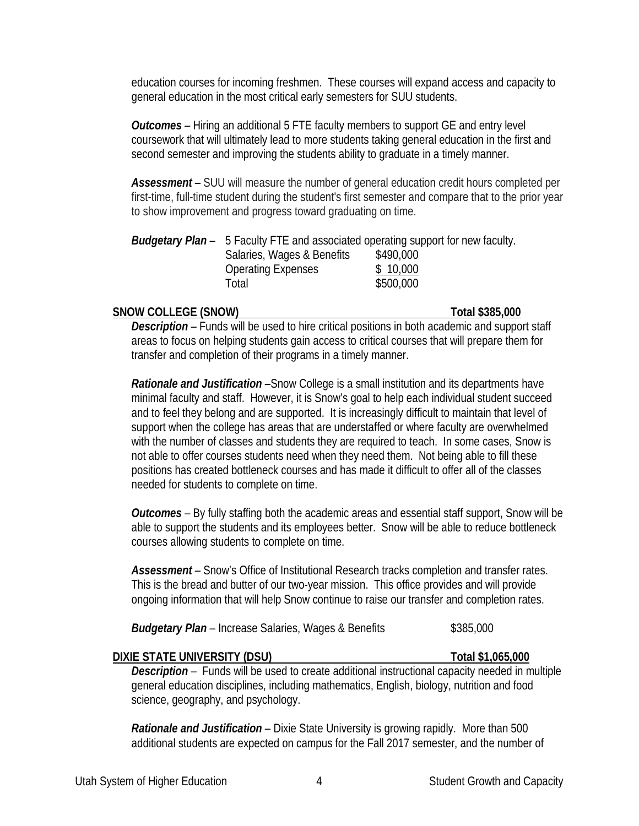education courses for incoming freshmen. These courses will expand access and capacity to general education in the most critical early semesters for SUU students.

*Outcomes –* Hiring an additional 5 FTE faculty members to support GE and entry level coursework that will ultimately lead to more students taking general education in the first and second semester and improving the students ability to graduate in a timely manner.

*Assessment –* SUU will measure the number of general education credit hours completed per first-time, full-time student during the student's first semester and compare that to the prior year to show improvement and progress toward graduating on time.

| <b>Budgetary Plan</b> – 5 Faculty FTE and associated operating support for new faculty. |           |
|-----------------------------------------------------------------------------------------|-----------|
| Salaries, Wages & Benefits                                                              | \$490,000 |
| <b>Operating Expenses</b>                                                               | \$10,000  |
| Total                                                                                   | \$500,000 |

### **SNOW COLLEGE (SNOW) Total \$385,000**

*Description –* Funds will be used to hire critical positions in both academic and support staff areas to focus on helping students gain access to critical courses that will prepare them for transfer and completion of their programs in a timely manner.

*Rationale and Justification –*Snow College is a small institution and its departments have minimal faculty and staff. However, it is Snow's goal to help each individual student succeed and to feel they belong and are supported. It is increasingly difficult to maintain that level of support when the college has areas that are understaffed or where faculty are overwhelmed with the number of classes and students they are required to teach. In some cases, Snow is not able to offer courses students need when they need them. Not being able to fill these positions has created bottleneck courses and has made it difficult to offer all of the classes needed for students to complete on time.

*Outcomes –* By fully staffing both the academic areas and essential staff support, Snow will be able to support the students and its employees better. Snow will be able to reduce bottleneck courses allowing students to complete on time.

*Assessment –* Snow's Office of Institutional Research tracks completion and transfer rates. This is the bread and butter of our two-year mission. This office provides and will provide ongoing information that will help Snow continue to raise our transfer and completion rates.

**Budgetary Plan** – Increase Salaries, Wages & Benefits \$385,000

## **DIXIE STATE UNIVERSITY (DSU) Total \$1,065,000**

*Description –* Funds will be used to create additional instructional capacity needed in multiple general education disciplines, including mathematics, English, biology, nutrition and food science, geography, and psychology.

*Rationale and Justification –* Dixie State University is growing rapidly. More than 500 additional students are expected on campus for the Fall 2017 semester, and the number of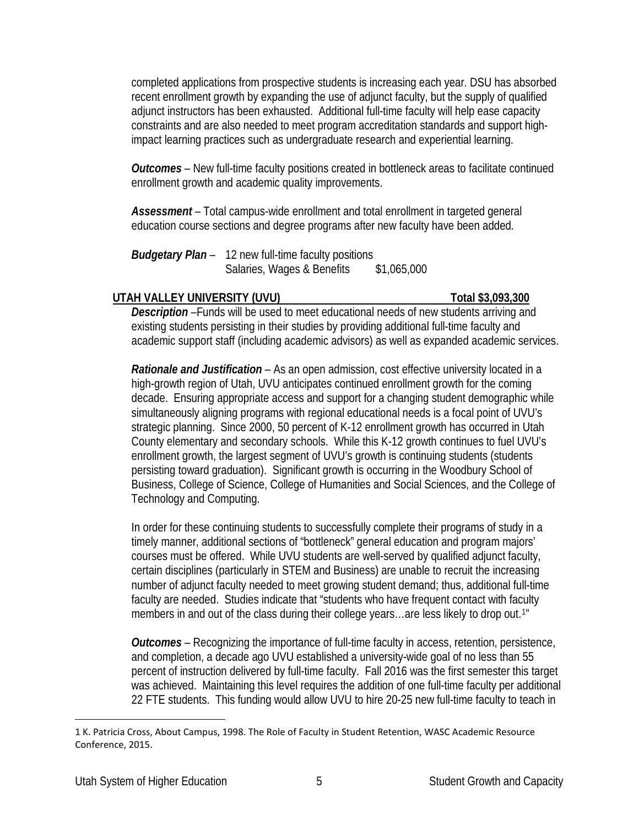completed applications from prospective students is increasing each year. DSU has absorbed recent enrollment growth by expanding the use of adjunct faculty, but the supply of qualified adjunct instructors has been exhausted. Additional full-time faculty will help ease capacity constraints and are also needed to meet program accreditation standards and support highimpact learning practices such as undergraduate research and experiential learning.

*Outcomes –* New full-time faculty positions created in bottleneck areas to facilitate continued enrollment growth and academic quality improvements.

*Assessment –* Total campus-wide enrollment and total enrollment in targeted general education course sections and degree programs after new faculty have been added.

*Budgetary Plan –* 12 new full-time faculty positions Salaries, Wages & Benefits \$1,065,000

# **UTAH VALLEY UNIVERSITY (UVU) Total \$3,093,300**

*Description –*Funds will be used to meet educational needs of new students arriving and existing students persisting in their studies by providing additional full-time faculty and academic support staff (including academic advisors) as well as expanded academic services.

*Rationale and Justification –* As an open admission, cost effective university located in a high-growth region of Utah, UVU anticipates continued enrollment growth for the coming decade. Ensuring appropriate access and support for a changing student demographic while simultaneously aligning programs with regional educational needs is a focal point of UVU's strategic planning. Since 2000, 50 percent of K-12 enrollment growth has occurred in Utah County elementary and secondary schools. While this K-12 growth continues to fuel UVU's enrollment growth, the largest segment of UVU's growth is continuing students (students persisting toward graduation). Significant growth is occurring in the Woodbury School of Business, College of Science, College of Humanities and Social Sciences, and the College of Technology and Computing.

In order for these continuing students to successfully complete their programs of study in a timely manner, additional sections of "bottleneck" general education and program majors' courses must be offered. While UVU students are well-served by qualified adjunct faculty, certain disciplines (particularly in STEM and Business) are unable to recruit the increasing number of adjunct faculty needed to meet growing student demand; thus, additional full-time faculty are needed. Studies indicate that "students who have frequent contact with faculty members in and out of the class during their college years...are less likely to drop out.<sup>[1](#page-7-0)</sup>"

*Outcomes –* Recognizing the importance of full-time faculty in access, retention, persistence, and completion, a decade ago UVU established a university-wide goal of no less than 55 percent of instruction delivered by full-time faculty. Fall 2016 was the first semester this target was achieved. Maintaining this level requires the addition of one full-time faculty per additional 22 FTE students. This funding would allow UVU to hire 20-25 new full-time faculty to teach in

<span id="page-7-0"></span> $\overline{a}$ 1 K. Patricia Cross, About Campus, 1998. The Role of Faculty in Student Retention, WASC Academic Resource Conference, 2015.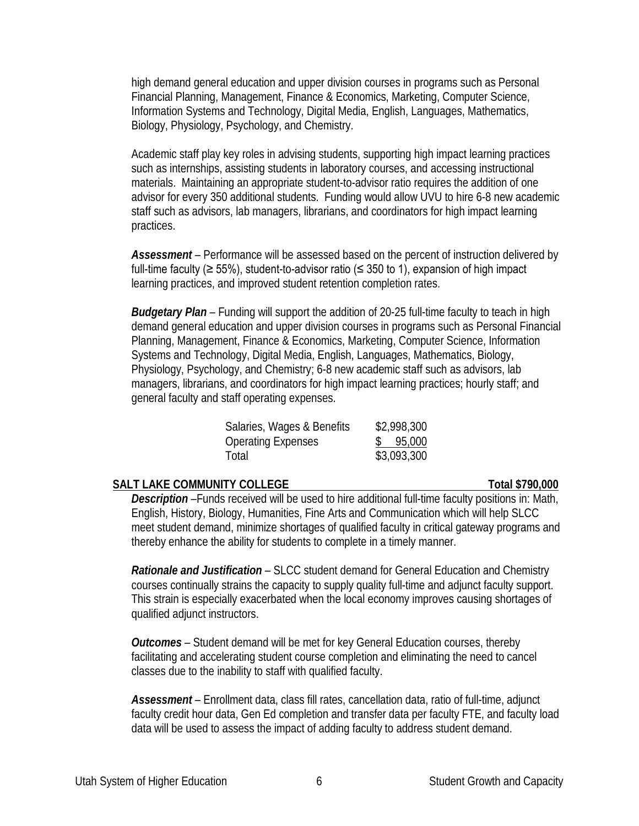high demand general education and upper division courses in programs such as Personal Financial Planning, Management, Finance & Economics, Marketing, Computer Science, Information Systems and Technology, Digital Media, English, Languages, Mathematics, Biology, Physiology, Psychology, and Chemistry.

Academic staff play key roles in advising students, supporting high impact learning practices such as internships, assisting students in laboratory courses, and accessing instructional materials. Maintaining an appropriate student-to-advisor ratio requires the addition of one advisor for every 350 additional students. Funding would allow UVU to hire 6-8 new academic staff such as advisors, lab managers, librarians, and coordinators for high impact learning practices.

*Assessment –* Performance will be assessed based on the percent of instruction delivered by full-time faculty ( $\geq$  55%), student-to-advisor ratio ( $\leq$  350 to 1), expansion of high impact learning practices, and improved student retention completion rates.

*Budgetary Plan –* Funding will support the addition of 20-25 full-time faculty to teach in high demand general education and upper division courses in programs such as Personal Financial Planning, Management, Finance & Economics, Marketing, Computer Science, Information Systems and Technology, Digital Media, English, Languages, Mathematics, Biology, Physiology, Psychology, and Chemistry; 6-8 new academic staff such as advisors, lab managers, librarians, and coordinators for high impact learning practices; hourly staff; and general faculty and staff operating expenses.

| Salaries, Wages & Benefits | \$2,998,300 |
|----------------------------|-------------|
| Operating Expenses         | \$95,000    |
| Total                      | \$3,093,300 |

### **SALT LAKE COMMUNITY COLLEGE TOTAL COMMUNITY COLLEGE**

*Description –*Funds received will be used to hire additional full-time faculty positions in: Math, English, History, Biology, Humanities, Fine Arts and Communication which will help SLCC meet student demand, minimize shortages of qualified faculty in critical gateway programs and thereby enhance the ability for students to complete in a timely manner.

*Rationale and Justification –* SLCC student demand for General Education and Chemistry courses continually strains the capacity to supply quality full-time and adjunct faculty support. This strain is especially exacerbated when the local economy improves causing shortages of qualified adjunct instructors.

*Outcomes –* Student demand will be met for key General Education courses, thereby facilitating and accelerating student course completion and eliminating the need to cancel classes due to the inability to staff with qualified faculty.

*Assessment –* Enrollment data, class fill rates, cancellation data, ratio of full-time, adjunct faculty credit hour data, Gen Ed completion and transfer data per faculty FTE, and faculty load data will be used to assess the impact of adding faculty to address student demand.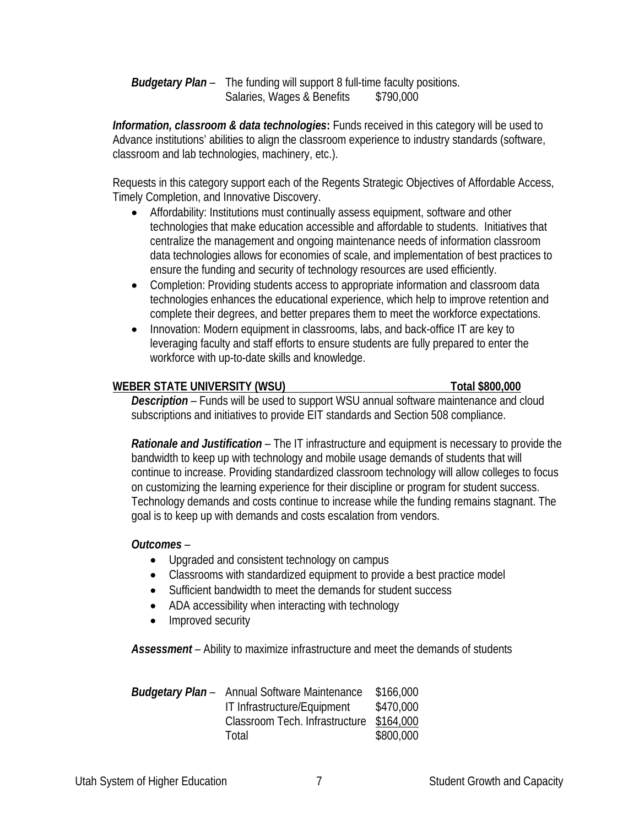*Budgetary Plan –* The funding will support 8 full-time faculty positions. Salaries, Wages & Benefits \$790,000

*Information, classroom & data technologies*: Funds received in this category will be used to Advance institutions' abilities to align the classroom experience to industry standards (software, classroom and lab technologies, machinery, etc.).

Requests in this category support each of the Regents Strategic Objectives of Affordable Access, Timely Completion, and Innovative Discovery.

- Affordability: Institutions must continually assess equipment, software and other technologies that make education accessible and affordable to students. Initiatives that centralize the management and ongoing maintenance needs of information classroom data technologies allows for economies of scale, and implementation of best practices to ensure the funding and security of technology resources are used efficiently.
- Completion: Providing students access to appropriate information and classroom data technologies enhances the educational experience, which help to improve retention and complete their degrees, and better prepares them to meet the workforce expectations.
- Innovation: Modern equipment in classrooms, labs, and back-office IT are key to leveraging faculty and staff efforts to ensure students are fully prepared to enter the workforce with up-to-date skills and knowledge.

# **WEBER STATE UNIVERSITY (WSU) Total \$800,000**

*Description –* Funds will be used to support WSU annual software maintenance and cloud subscriptions and initiatives to provide EIT standards and Section 508 compliance.

*Rationale and Justification* – The IT infrastructure and equipment is necessary to provide the bandwidth to keep up with technology and mobile usage demands of students that will continue to increase. Providing standardized classroom technology will allow colleges to focus on customizing the learning experience for their discipline or program for student success. Technology demands and costs continue to increase while the funding remains stagnant. The goal is to keep up with demands and costs escalation from vendors.

# *Outcomes* –

- Upgraded and consistent technology on campus
- Classrooms with standardized equipment to provide a best practice model
- Sufficient bandwidth to meet the demands for student success
- ADA accessibility when interacting with technology
- Improved security

*Assessment* – Ability to maximize infrastructure and meet the demands of students

|                                | \$166,000                                           |
|--------------------------------|-----------------------------------------------------|
| IT Infrastructure/Equipment    | \$470,000                                           |
| Classroom Tech. Infrastructure | \$164,000                                           |
| Total                          | \$800,000                                           |
|                                | <b>Budgetary Plan</b> – Annual Software Maintenance |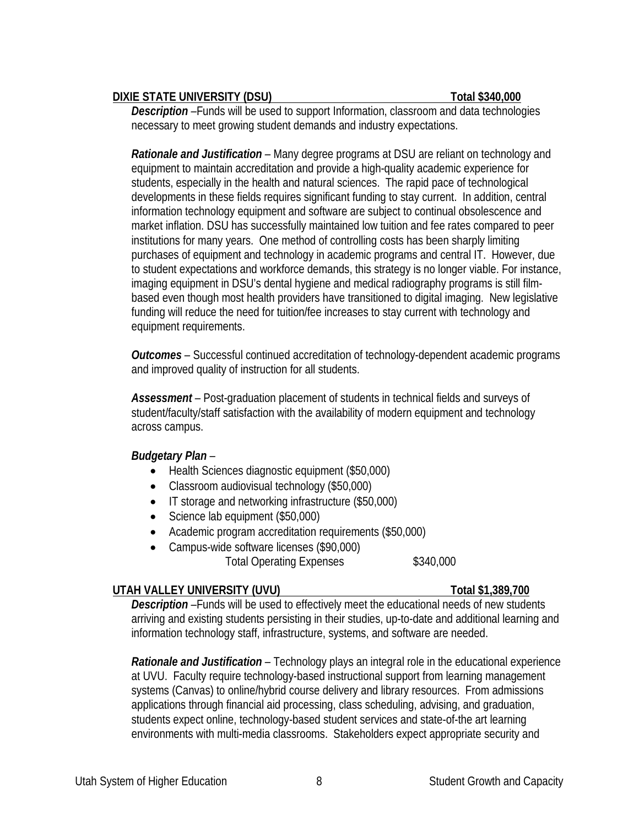## **DIXIE STATE UNIVERSITY (DSU) Total \$340,000**

*Description –*Funds will be used to support Information, classroom and data technologies necessary to meet growing student demands and industry expectations.

*Rationale and Justification –* Many degree programs at DSU are reliant on technology and equipment to maintain accreditation and provide a high-quality academic experience for students, especially in the health and natural sciences. The rapid pace of technological developments in these fields requires significant funding to stay current. In addition, central information technology equipment and software are subject to continual obsolescence and market inflation. DSU has successfully maintained low tuition and fee rates compared to peer institutions for many years. One method of controlling costs has been sharply limiting purchases of equipment and technology in academic programs and central IT. However, due to student expectations and workforce demands, this strategy is no longer viable. For instance, imaging equipment in DSU's dental hygiene and medical radiography programs is still filmbased even though most health providers have transitioned to digital imaging. New legislative funding will reduce the need for tuition/fee increases to stay current with technology and equipment requirements.

*Outcomes –* Successful continued accreditation of technology-dependent academic programs and improved quality of instruction for all students.

*Assessment –* Post-graduation placement of students in technical fields and surveys of student/faculty/staff satisfaction with the availability of modern equipment and technology across campus.

## *Budgetary Plan –*

- Health Sciences diagnostic equipment (\$50,000)
- Classroom audiovisual technology (\$50,000)
- IT storage and networking infrastructure (\$50,000)
- Science lab equipment (\$50,000)
- Academic program accreditation requirements (\$50,000)
- Campus-wide software licenses (\$90,000) Total Operating Expenses \$340,000

# **UTAH VALLEY UNIVERSITY (UVU) Total \$1,389,700**

*Description –*Funds will be used to effectively meet the educational needs of new students arriving and existing students persisting in their studies, up-to-date and additional learning and information technology staff, infrastructure, systems, and software are needed.

*Rationale and Justification –* Technology plays an integral role in the educational experience at UVU. Faculty require technology-based instructional support from learning management systems (Canvas) to online/hybrid course delivery and library resources. From admissions applications through financial aid processing, class scheduling, advising, and graduation, students expect online, technology-based student services and state-of-the art learning environments with multi-media classrooms. Stakeholders expect appropriate security and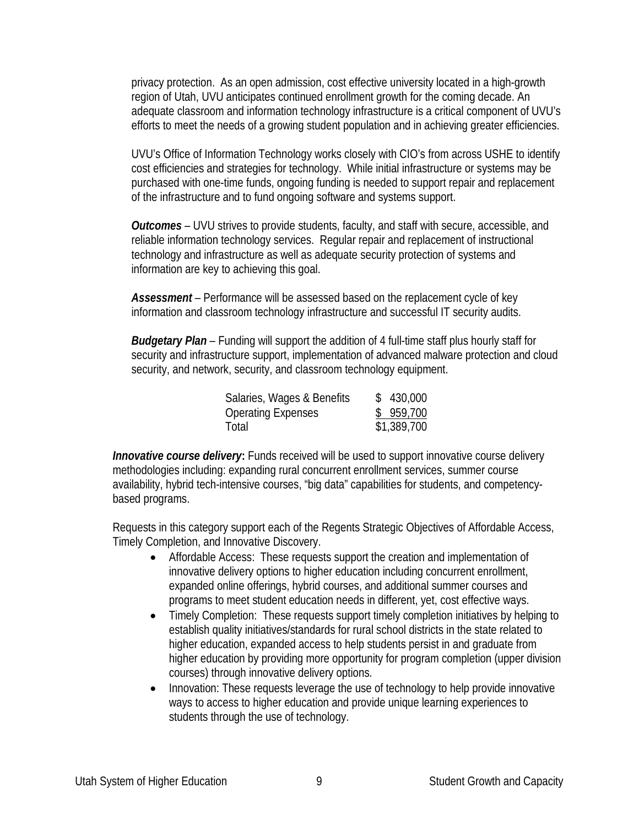privacy protection. As an open admission, cost effective university located in a high-growth region of Utah, UVU anticipates continued enrollment growth for the coming decade. An adequate classroom and information technology infrastructure is a critical component of UVU's efforts to meet the needs of a growing student population and in achieving greater efficiencies.

UVU's Office of Information Technology works closely with CIO's from across USHE to identify cost efficiencies and strategies for technology. While initial infrastructure or systems may be purchased with one-time funds, ongoing funding is needed to support repair and replacement of the infrastructure and to fund ongoing software and systems support.

*Outcomes –* UVU strives to provide students, faculty, and staff with secure, accessible, and reliable information technology services. Regular repair and replacement of instructional technology and infrastructure as well as adequate security protection of systems and information are key to achieving this goal.

*Assessment –* Performance will be assessed based on the replacement cycle of key information and classroom technology infrastructure and successful IT security audits.

*Budgetary Plan –* Funding will support the addition of 4 full-time staff plus hourly staff for security and infrastructure support, implementation of advanced malware protection and cloud security, and network, security, and classroom technology equipment.

| Salaries, Wages & Benefits | \$430,000   |
|----------------------------|-------------|
| <b>Operating Expenses</b>  | \$959,700   |
| Total                      | \$1,389,700 |

**Innovative course delivery:** Funds received will be used to support innovative course delivery methodologies including: expanding rural concurrent enrollment services, summer course availability, hybrid tech-intensive courses, "big data" capabilities for students, and competencybased programs.

Requests in this category support each of the Regents Strategic Objectives of Affordable Access, Timely Completion, and Innovative Discovery.

- Affordable Access: These requests support the creation and implementation of innovative delivery options to higher education including concurrent enrollment, expanded online offerings, hybrid courses, and additional summer courses and programs to meet student education needs in different, yet, cost effective ways.
- Timely Completion: These requests support timely completion initiatives by helping to establish quality initiatives/standards for rural school districts in the state related to higher education, expanded access to help students persist in and graduate from higher education by providing more opportunity for program completion (upper division courses) through innovative delivery options.
- Innovation: These requests leverage the use of technology to help provide innovative ways to access to higher education and provide unique learning experiences to students through the use of technology.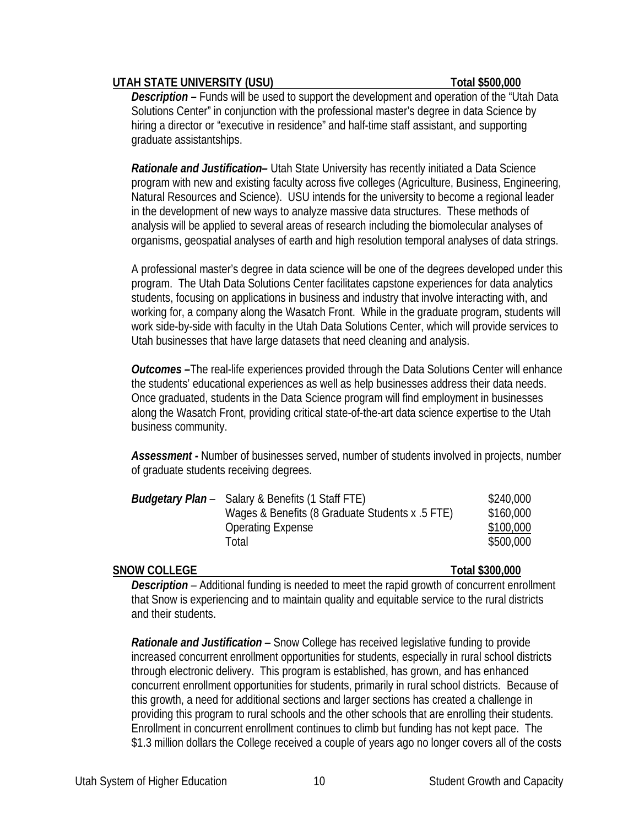### UTAH STATE UNIVERSITY (USU) **Total \$500,000**

*Description –* Funds will be used to support the development and operation of the "Utah Data Solutions Center" in conjunction with the professional master's degree in data Science by hiring a director or "executive in residence" and half-time staff assistant, and supporting graduate assistantships.

*Rationale and Justification–* Utah State University has recently initiated a Data Science program with new and existing faculty across five colleges (Agriculture, Business, Engineering, Natural Resources and Science). USU intends for the university to become a regional leader in the development of new ways to analyze massive data structures. These methods of analysis will be applied to several areas of research including the biomolecular analyses of organisms, geospatial analyses of earth and high resolution temporal analyses of data strings.

A professional master's degree in data science will be one of the degrees developed under this program. The Utah Data Solutions Center facilitates capstone experiences for data analytics students, focusing on applications in business and industry that involve interacting with, and working for, a company along the Wasatch Front. While in the graduate program, students will work side-by-side with faculty in the Utah Data Solutions Center, which will provide services to Utah businesses that have large datasets that need cleaning and analysis.

*Outcomes –*The real-life experiences provided through the Data Solutions Center will enhance the students' educational experiences as well as help businesses address their data needs. Once graduated, students in the Data Science program will find employment in businesses along the Wasatch Front, providing critical state-of-the-art data science expertise to the Utah business community.

*Assessment -* Number of businesses served, number of students involved in projects, number of graduate students receiving degrees.

| <b>Budgetary Plan</b> – Salary & Benefits (1 Staff FTE)<br>Wages & Benefits (8 Graduate Students x .5 FTE)<br><b>Operating Expense</b> | \$240,000<br>\$160,000<br>\$100,000 |
|----------------------------------------------------------------------------------------------------------------------------------------|-------------------------------------|
| Total                                                                                                                                  | \$500,000                           |

## **SNOW COLLEGE Total \$300,000**

*Description –* Additional funding is needed to meet the rapid growth of concurrent enrollment that Snow is experiencing and to maintain quality and equitable service to the rural districts and their students.

*Rationale and Justification –* Snow College has received legislative funding to provide increased concurrent enrollment opportunities for students, especially in rural school districts through electronic delivery. This program is established, has grown, and has enhanced concurrent enrollment opportunities for students, primarily in rural school districts. Because of this growth, a need for additional sections and larger sections has created a challenge in providing this program to rural schools and the other schools that are enrolling their students. Enrollment in concurrent enrollment continues to climb but funding has not kept pace. The \$1.3 million dollars the College received a couple of years ago no longer covers all of the costs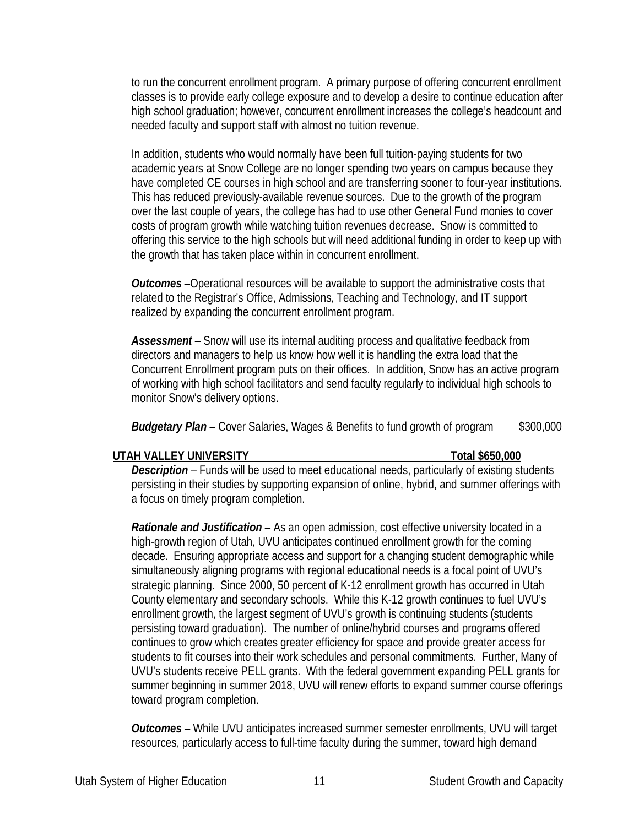to run the concurrent enrollment program. A primary purpose of offering concurrent enrollment classes is to provide early college exposure and to develop a desire to continue education after high school graduation; however, concurrent enrollment increases the college's headcount and needed faculty and support staff with almost no tuition revenue.

In addition, students who would normally have been full tuition-paying students for two academic years at Snow College are no longer spending two years on campus because they have completed CE courses in high school and are transferring sooner to four-year institutions. This has reduced previously-available revenue sources. Due to the growth of the program over the last couple of years, the college has had to use other General Fund monies to cover costs of program growth while watching tuition revenues decrease. Snow is committed to offering this service to the high schools but will need additional funding in order to keep up with the growth that has taken place within in concurrent enrollment.

*Outcomes –*Operational resources will be available to support the administrative costs that related to the Registrar's Office, Admissions, Teaching and Technology, and IT support realized by expanding the concurrent enrollment program.

*Assessment –* Snow will use its internal auditing process and qualitative feedback from directors and managers to help us know how well it is handling the extra load that the Concurrent Enrollment program puts on their offices. In addition, Snow has an active program of working with high school facilitators and send faculty regularly to individual high schools to monitor Snow's delivery options.

*Budgetary Plan –* Cover Salaries, Wages & Benefits to fund growth of program \$300,000

## **UTAH VALLEY UNIVERSITY Total \$650,000**

*Description –* Funds will be used to meet educational needs, particularly of existing students persisting in their studies by supporting expansion of online, hybrid, and summer offerings with a focus on timely program completion.

*Rationale and Justification –* As an open admission, cost effective university located in a high-growth region of Utah, UVU anticipates continued enrollment growth for the coming decade. Ensuring appropriate access and support for a changing student demographic while simultaneously aligning programs with regional educational needs is a focal point of UVU's strategic planning. Since 2000, 50 percent of K-12 enrollment growth has occurred in Utah County elementary and secondary schools. While this K-12 growth continues to fuel UVU's enrollment growth, the largest segment of UVU's growth is continuing students (students persisting toward graduation). The number of online/hybrid courses and programs offered continues to grow which creates greater efficiency for space and provide greater access for students to fit courses into their work schedules and personal commitments. Further, Many of UVU's students receive PELL grants. With the federal government expanding PELL grants for summer beginning in summer 2018, UVU will renew efforts to expand summer course offerings toward program completion.

*Outcomes –* While UVU anticipates increased summer semester enrollments, UVU will target resources, particularly access to full-time faculty during the summer, toward high demand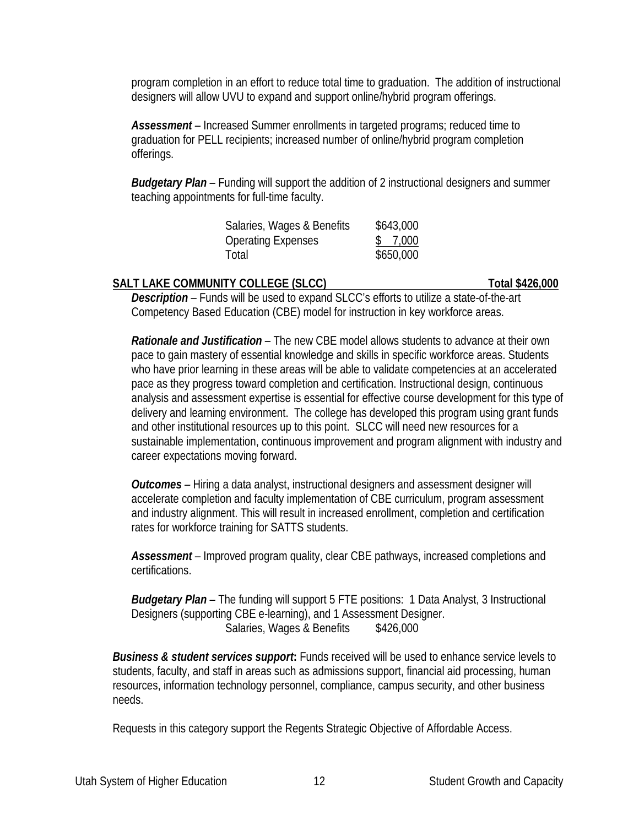program completion in an effort to reduce total time to graduation. The addition of instructional designers will allow UVU to expand and support online/hybrid program offerings.

*Assessment –* Increased Summer enrollments in targeted programs; reduced time to graduation for PELL recipients; increased number of online/hybrid program completion offerings.

*Budgetary Plan –* Funding will support the addition of 2 instructional designers and summer teaching appointments for full-time faculty.

| Salaries, Wages & Benefits | \$643,000 |
|----------------------------|-----------|
| <b>Operating Expenses</b>  | \$7,000   |
| Total                      | \$650,000 |

## **SALT LAKE COMMUNITY COLLEGE (SLCC)** Total \$426,000

*Description –* Funds will be used to expand SLCC's efforts to utilize a state-of-the-art Competency Based Education (CBE) model for instruction in key workforce areas.

*Rationale and Justification –* The new CBE model allows students to advance at their own pace to gain mastery of essential knowledge and skills in specific workforce areas. Students who have prior learning in these areas will be able to validate competencies at an accelerated pace as they progress toward completion and certification. Instructional design, continuous analysis and assessment expertise is essential for effective course development for this type of delivery and learning environment. The college has developed this program using grant funds and other institutional resources up to this point. SLCC will need new resources for a sustainable implementation, continuous improvement and program alignment with industry and career expectations moving forward.

*Outcomes –* Hiring a data analyst, instructional designers and assessment designer will accelerate completion and faculty implementation of CBE curriculum, program assessment and industry alignment. This will result in increased enrollment, completion and certification rates for workforce training for SATTS students.

*Assessment –* Improved program quality, clear CBE pathways, increased completions and certifications.

*Budgetary Plan –* The funding will support 5 FTE positions: 1 Data Analyst, 3 Instructional Designers (supporting CBE e-learning), and 1 Assessment Designer. Salaries, Wages & Benefits \$426,000

**Business & student services support:** Funds received will be used to enhance service levels to students, faculty, and staff in areas such as admissions support, financial aid processing, human resources, information technology personnel, compliance, campus security, and other business needs.

Requests in this category support the Regents Strategic Objective of Affordable Access.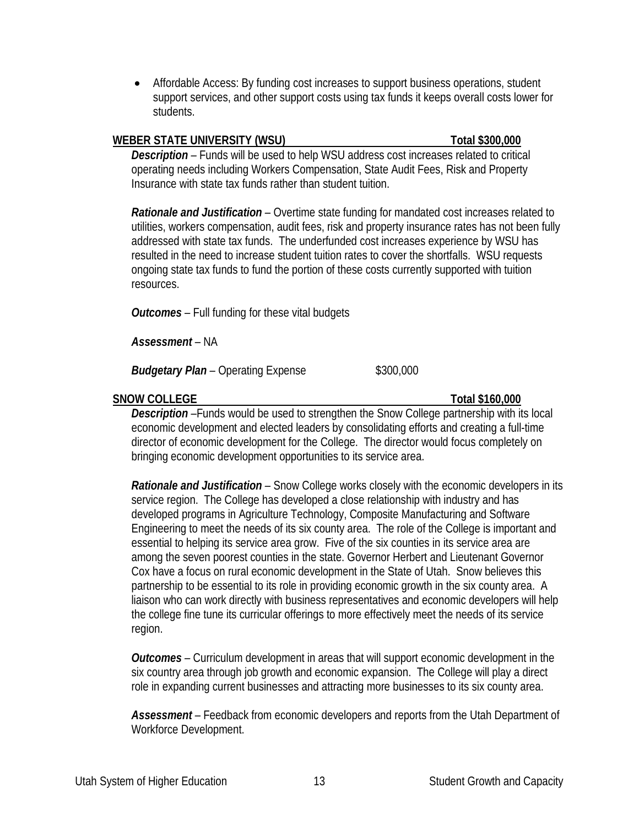• Affordable Access: By funding cost increases to support business operations, student support services, and other support costs using tax funds it keeps overall costs lower for students.

### **WEBER STATE UNIVERSITY (WSU) Total \$300,000**

*Description –* Funds will be used to help WSU address cost increases related to critical operating needs including Workers Compensation, State Audit Fees, Risk and Property Insurance with state tax funds rather than student tuition.

*Rationale and Justification –* Overtime state funding for mandated cost increases related to utilities, workers compensation, audit fees, risk and property insurance rates has not been fully addressed with state tax funds. The underfunded cost increases experience by WSU has resulted in the need to increase student tuition rates to cover the shortfalls. WSU requests ongoing state tax funds to fund the portion of these costs currently supported with tuition resources.

*Outcomes –* Full funding for these vital budgets

*Assessment –* NA

*Budgetary Plan –* Operating Expense \$300,000

## **SNOW COLLEGE Total \$160,000**

*Description –*Funds would be used to strengthen the Snow College partnership with its local economic development and elected leaders by consolidating efforts and creating a full-time director of economic development for the College. The director would focus completely on bringing economic development opportunities to its service area.

*Rationale and Justification –* Snow College works closely with the economic developers in its service region. The College has developed a close relationship with industry and has developed programs in Agriculture Technology, Composite Manufacturing and Software Engineering to meet the needs of its six county area. The role of the College is important and essential to helping its service area grow. Five of the six counties in its service area are among the seven poorest counties in the state. Governor Herbert and Lieutenant Governor Cox have a focus on rural economic development in the State of Utah. Snow believes this partnership to be essential to its role in providing economic growth in the six county area. A liaison who can work directly with business representatives and economic developers will help the college fine tune its curricular offerings to more effectively meet the needs of its service region.

*Outcomes –* Curriculum development in areas that will support economic development in the six country area through job growth and economic expansion. The College will play a direct role in expanding current businesses and attracting more businesses to its six county area.

*Assessment –* Feedback from economic developers and reports from the Utah Department of Workforce Development.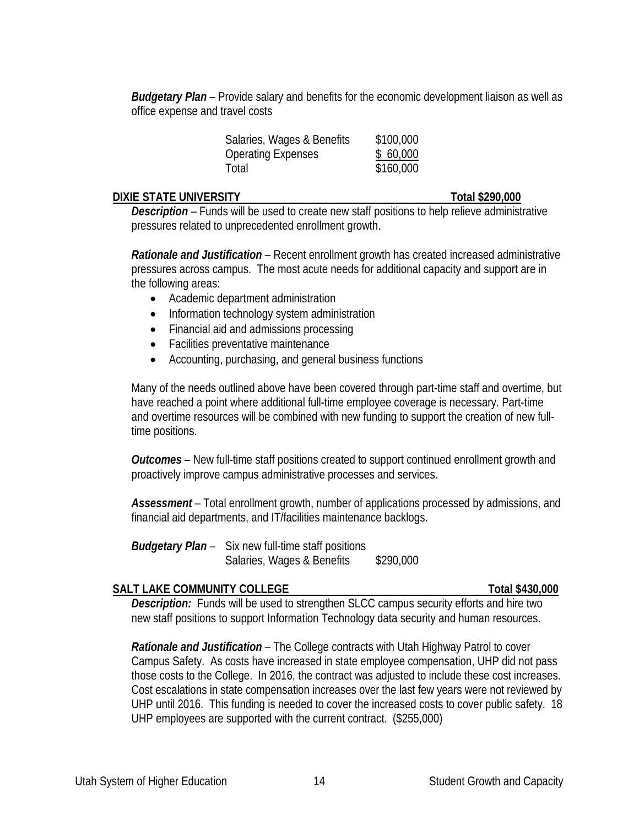*Budgetary Plan –* Provide salary and benefits for the economic development liaison as well as office expense and travel costs

| \$100,000 |
|-----------|
| \$60,000  |
| \$160,000 |
|           |

### **DIXIE STATE UNIVERSITY Total \$290,000**

**Description** – Funds will be used to create new staff positions to help relieve administrative pressures related to unprecedented enrollment growth.

*Rationale and Justification –* Recent enrollment growth has created increased administrative pressures across campus. The most acute needs for additional capacity and support are in the following areas:

- Academic department administration
- Information technology system administration
- Financial aid and admissions processing
- Facilities preventative maintenance
- Accounting, purchasing, and general business functions

Many of the needs outlined above have been covered through part-time staff and overtime, but have reached a point where additional full-time employee coverage is necessary. Part-time and overtime resources will be combined with new funding to support the creation of new fulltime positions.

*Outcomes –* New full-time staff positions created to support continued enrollment growth and proactively improve campus administrative processes and services.

*Assessment –* Total enrollment growth, number of applications processed by admissions, and financial aid departments, and IT/facilities maintenance backlogs.

*Budgetary Plan –* Six new full-time staff positions Salaries, Wages & Benefits \$290,000

## **SALT LAKE COMMUNITY COLLEGE Total \$430,000**

*Description:* Funds will be used to strengthen SLCC campus security efforts and hire two new staff positions to support Information Technology data security and human resources.

*Rationale and Justification –* The College contracts with Utah Highway Patrol to cover Campus Safety. As costs have increased in state employee compensation, UHP did not pass those costs to the College. In 2016, the contract was adjusted to include these cost increases. Cost escalations in state compensation increases over the last few years were not reviewed by UHP until 2016. This funding is needed to cover the increased costs to cover public safety. 18 UHP employees are supported with the current contract. (\$255,000)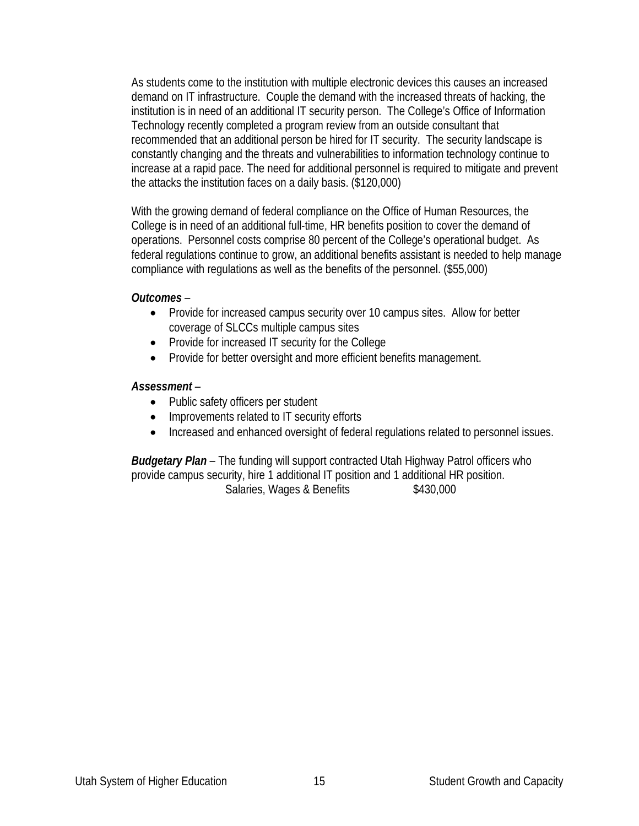As students come to the institution with multiple electronic devices this causes an increased demand on IT infrastructure. Couple the demand with the increased threats of hacking, the institution is in need of an additional IT security person. The College's Office of Information Technology recently completed a program review from an outside consultant that recommended that an additional person be hired for IT security. The security landscape is constantly changing and the threats and vulnerabilities to information technology continue to increase at a rapid pace. The need for additional personnel is required to mitigate and prevent the attacks the institution faces on a daily basis. (\$120,000)

With the growing demand of federal compliance on the Office of Human Resources, the College is in need of an additional full-time, HR benefits position to cover the demand of operations. Personnel costs comprise 80 percent of the College's operational budget. As federal regulations continue to grow, an additional benefits assistant is needed to help manage compliance with regulations as well as the benefits of the personnel. (\$55,000)

### *Outcomes –*

- Provide for increased campus security over 10 campus sites. Allow for better coverage of SLCCs multiple campus sites
- Provide for increased IT security for the College
- Provide for better oversight and more efficient benefits management.

## *Assessment –*

- Public safety officers per student
- Improvements related to IT security efforts
- Increased and enhanced oversight of federal regulations related to personnel issues.

*Budgetary Plan –* The funding will support contracted Utah Highway Patrol officers who provide campus security, hire 1 additional IT position and 1 additional HR position. Salaries, Wages & Benefits  $$430,000$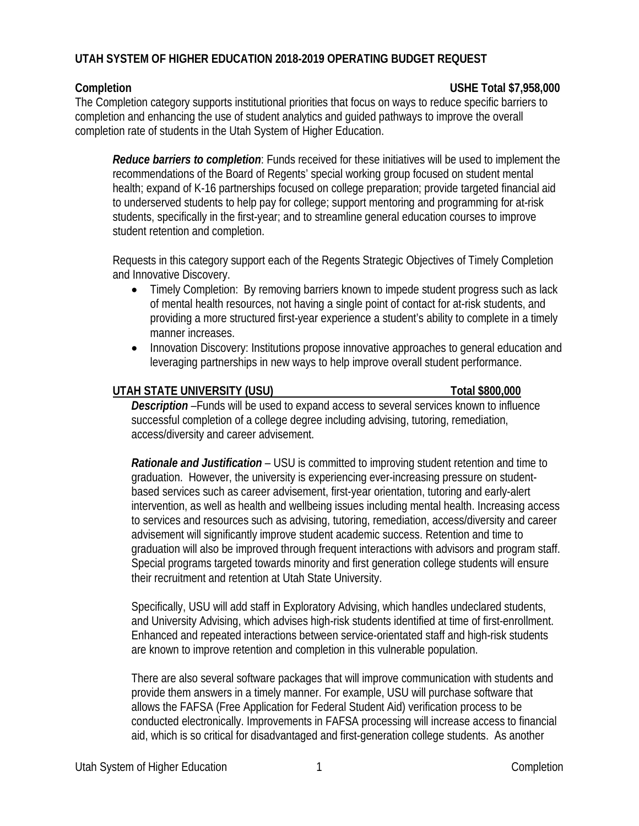# **UTAH SYSTEM OF HIGHER EDUCATION 2018-2019 OPERATING BUDGET REQUEST**

## **Completion USHE Total \$7,958,000**

The Completion category supports institutional priorities that focus on ways to reduce specific barriers to completion and enhancing the use of student analytics and guided pathways to improve the overall completion rate of students in the Utah System of Higher Education.

*Reduce barriers to completion*: Funds received for these initiatives will be used to implement the recommendations of the Board of Regents' special working group focused on student mental health; expand of K-16 partnerships focused on college preparation; provide targeted financial aid to underserved students to help pay for college; support mentoring and programming for at-risk students, specifically in the first-year; and to streamline general education courses to improve student retention and completion.

Requests in this category support each of the Regents Strategic Objectives of Timely Completion and Innovative Discovery.

- Timely Completion: By removing barriers known to impede student progress such as lack of mental health resources, not having a single point of contact for at-risk students, and providing a more structured first-year experience a student's ability to complete in a timely manner increases.
- Innovation Discovery: Institutions propose innovative approaches to general education and leveraging partnerships in new ways to help improve overall student performance.

# UTAH STATE UNIVERSITY (USU) TOtal \$800,000

*Description –*Funds will be used to expand access to several services known to influence successful completion of a college degree including advising, tutoring, remediation, access/diversity and career advisement.

*Rationale and Justification –* USU is committed to improving student retention and time to graduation. However, the university is experiencing ever-increasing pressure on studentbased services such as career advisement, first-year orientation, tutoring and early-alert intervention, as well as health and wellbeing issues including mental health. Increasing access to services and resources such as advising, tutoring, remediation, access/diversity and career advisement will significantly improve student academic success. Retention and time to graduation will also be improved through frequent interactions with advisors and program staff. Special programs targeted towards minority and first generation college students will ensure their recruitment and retention at Utah State University.

Specifically, USU will add staff in Exploratory Advising, which handles undeclared students, and University Advising, which advises high-risk students identified at time of first-enrollment. Enhanced and repeated interactions between service-orientated staff and high-risk students are known to improve retention and completion in this vulnerable population.

There are also several software packages that will improve communication with students and provide them answers in a timely manner. For example, USU will purchase software that allows the FAFSA (Free Application for Federal Student Aid) verification process to be conducted electronically. Improvements in FAFSA processing will increase access to financial aid, which is so critical for disadvantaged and first-generation college students. As another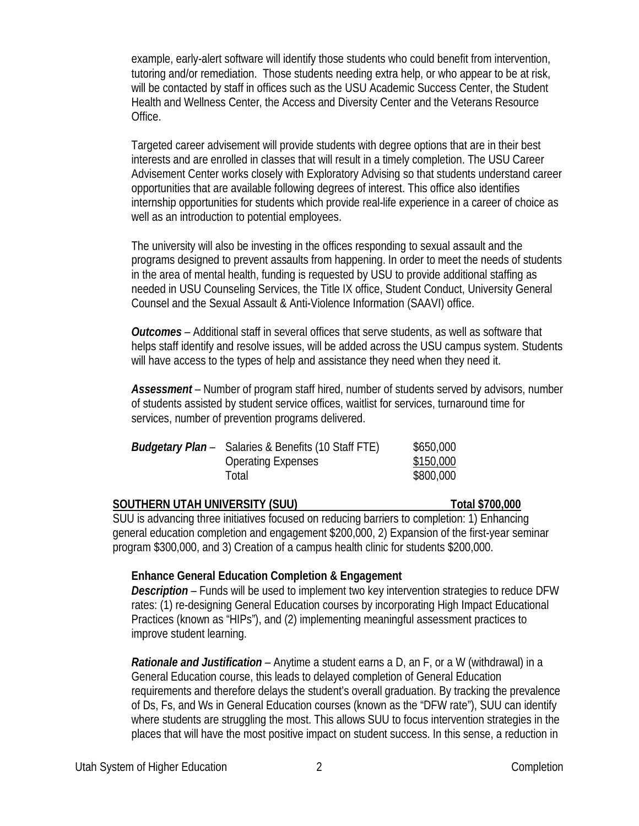example, early-alert software will identify those students who could benefit from intervention, tutoring and/or remediation. Those students needing extra help, or who appear to be at risk, will be contacted by staff in offices such as the USU Academic Success Center, the Student Health and Wellness Center, the Access and Diversity Center and the Veterans Resource Office.

Targeted career advisement will provide students with degree options that are in their best interests and are enrolled in classes that will result in a timely completion. The USU Career Advisement Center works closely with Exploratory Advising so that students understand career opportunities that are available following degrees of interest. This office also identifies internship opportunities for students which provide real-life experience in a career of choice as well as an introduction to potential employees.

The university will also be investing in the offices responding to sexual assault and the programs designed to prevent assaults from happening. In order to meet the needs of students in the area of mental health, funding is requested by USU to provide additional staffing as needed in USU Counseling Services, the Title IX office, Student Conduct, University General Counsel and the Sexual Assault & Anti-Violence Information (SAAVI) office.

*Outcomes –* Additional staff in several offices that serve students, as well as software that helps staff identify and resolve issues, will be added across the USU campus system. Students will have access to the types of help and assistance they need when they need it.

*Assessment –* Number of program staff hired, number of students served by advisors, number of students assisted by student service offices, waitlist for services, turnaround time for services, number of prevention programs delivered.

| <b>Budgetary Plan</b> – Salaries & Benefits (10 Staff FTE) | \$650,000 |
|------------------------------------------------------------|-----------|
| <b>Operating Expenses</b>                                  | \$150,000 |
| Total                                                      | \$800,000 |

## **SOUTHERN UTAH UNIVERSITY (SUU) Total \$700,000**

SUU is advancing three initiatives focused on reducing barriers to completion: 1) Enhancing general education completion and engagement \$200,000, 2) Expansion of the first-year seminar program \$300,000, and 3) Creation of a campus health clinic for students \$200,000.

## **Enhance General Education Completion & Engagement**

*Description –* Funds will be used to implement two key intervention strategies to reduce DFW rates: (1) re-designing General Education courses by incorporating High Impact Educational Practices (known as "HIPs"), and (2) implementing meaningful assessment practices to improve student learning.

*Rationale and Justification –* Anytime a student earns a D, an F, or a W (withdrawal) in a General Education course, this leads to delayed completion of General Education requirements and therefore delays the student's overall graduation. By tracking the prevalence of Ds, Fs, and Ws in General Education courses (known as the "DFW rate"), SUU can identify where students are struggling the most. This allows SUU to focus intervention strategies in the places that will have the most positive impact on student success. In this sense, a reduction in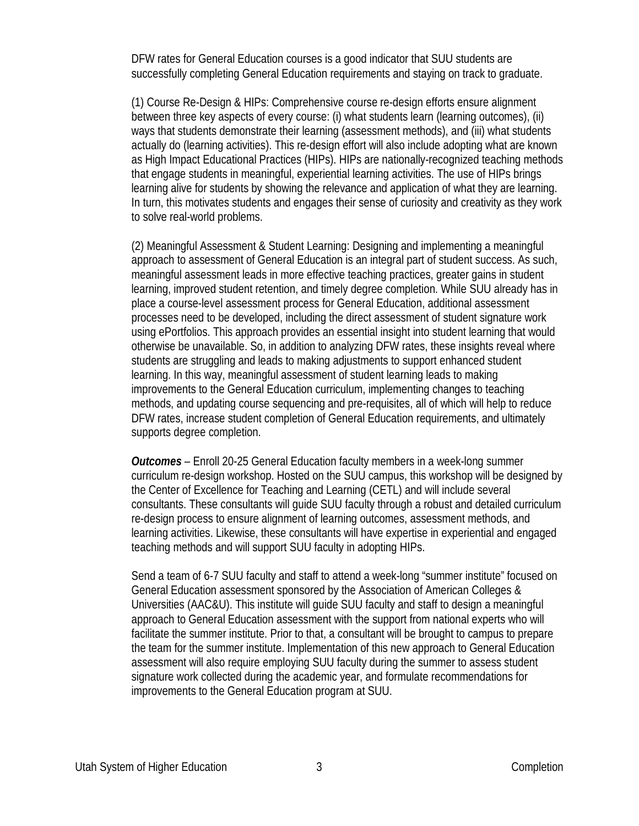DFW rates for General Education courses is a good indicator that SUU students are successfully completing General Education requirements and staying on track to graduate.

(1) Course Re-Design & HIPs: Comprehensive course re-design efforts ensure alignment between three key aspects of every course: (i) what students learn (learning outcomes), (ii) ways that students demonstrate their learning (assessment methods), and (iii) what students actually do (learning activities). This re-design effort will also include adopting what are known as High Impact Educational Practices (HIPs). HIPs are nationally-recognized teaching methods that engage students in meaningful, experiential learning activities. The use of HIPs brings learning alive for students by showing the relevance and application of what they are learning. In turn, this motivates students and engages their sense of curiosity and creativity as they work to solve real-world problems.

(2) Meaningful Assessment & Student Learning: Designing and implementing a meaningful approach to assessment of General Education is an integral part of student success. As such, meaningful assessment leads in more effective teaching practices, greater gains in student learning, improved student retention, and timely degree completion. While SUU already has in place a course-level assessment process for General Education, additional assessment processes need to be developed, including the direct assessment of student signature work using ePortfolios. This approach provides an essential insight into student learning that would otherwise be unavailable. So, in addition to analyzing DFW rates, these insights reveal where students are struggling and leads to making adjustments to support enhanced student learning. In this way, meaningful assessment of student learning leads to making improvements to the General Education curriculum, implementing changes to teaching methods, and updating course sequencing and pre-requisites, all of which will help to reduce DFW rates, increase student completion of General Education requirements, and ultimately supports degree completion.

*Outcomes –* Enroll 20-25 General Education faculty members in a week-long summer curriculum re-design workshop. Hosted on the SUU campus, this workshop will be designed by the Center of Excellence for Teaching and Learning (CETL) and will include several consultants. These consultants will guide SUU faculty through a robust and detailed curriculum re-design process to ensure alignment of learning outcomes, assessment methods, and learning activities. Likewise, these consultants will have expertise in experiential and engaged teaching methods and will support SUU faculty in adopting HIPs.

Send a team of 6-7 SUU faculty and staff to attend a week-long "summer institute" focused on General Education assessment sponsored by the Association of American Colleges & Universities (AAC&U). This institute will guide SUU faculty and staff to design a meaningful approach to General Education assessment with the support from national experts who will facilitate the summer institute. Prior to that, a consultant will be brought to campus to prepare the team for the summer institute. Implementation of this new approach to General Education assessment will also require employing SUU faculty during the summer to assess student signature work collected during the academic year, and formulate recommendations for improvements to the General Education program at SUU.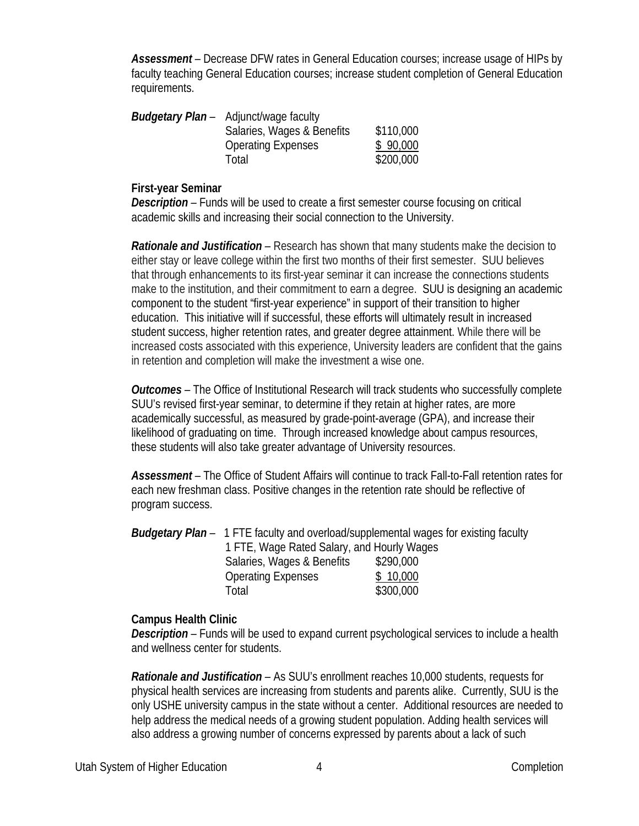*Assessment –* Decrease DFW rates in General Education courses; increase usage of HIPs by faculty teaching General Education courses; increase student completion of General Education requirements.

| <b>Budgetary Plan</b> – Adjunct/wage faculty |           |
|----------------------------------------------|-----------|
| Salaries, Wages & Benefits                   | \$110,000 |
| <b>Operating Expenses</b>                    | \$90,000  |
| Total                                        | \$200,000 |
|                                              |           |

### **First-year Seminar**

*Description –* Funds will be used to create a first semester course focusing on critical academic skills and increasing their social connection to the University.

*Rationale and Justification –* Research has shown that many students make the decision to either stay or leave college within the first two months of their first semester. SUU believes that through enhancements to its first-year seminar it can increase the connections students make to the institution, and their commitment to earn a degree. SUU is designing an academic component to the student "first-year experience" in support of their transition to higher education. This initiative will if successful, these efforts will ultimately result in increased student success, higher retention rates, and greater degree attainment. While there will be increased costs associated with this experience, University leaders are confident that the gains in retention and completion will make the investment a wise one.

*Outcomes –* The Office of Institutional Research will track students who successfully complete SUU's revised first-year seminar, to determine if they retain at higher rates, are more academically successful, as measured by grade-point-average (GPA), and increase their likelihood of graduating on time. Through increased knowledge about campus resources, these students will also take greater advantage of University resources.

*Assessment –* The Office of Student Affairs will continue to track Fall-to-Fall retention rates for each new freshman class. Positive changes in the retention rate should be reflective of program success.

*Budgetary Plan –*1 FTE faculty and overload/supplemental wages for existing faculty 1 FTE, Wage Rated Salary, and Hourly Wages Salaries, Wages & Benefits \$290,000 Operating Expenses \$ 10,000 Total \$300,000

## **Campus Health Clinic**

*Description –* Funds will be used to expand current psychological services to include a health and wellness center for students.

*Rationale and Justification –* As SUU's enrollment reaches 10,000 students, requests for physical health services are increasing from students and parents alike. Currently, SUU is the only USHE university campus in the state without a center. Additional resources are needed to help address the medical needs of a growing student population. Adding health services will also address a growing number of concerns expressed by parents about a lack of such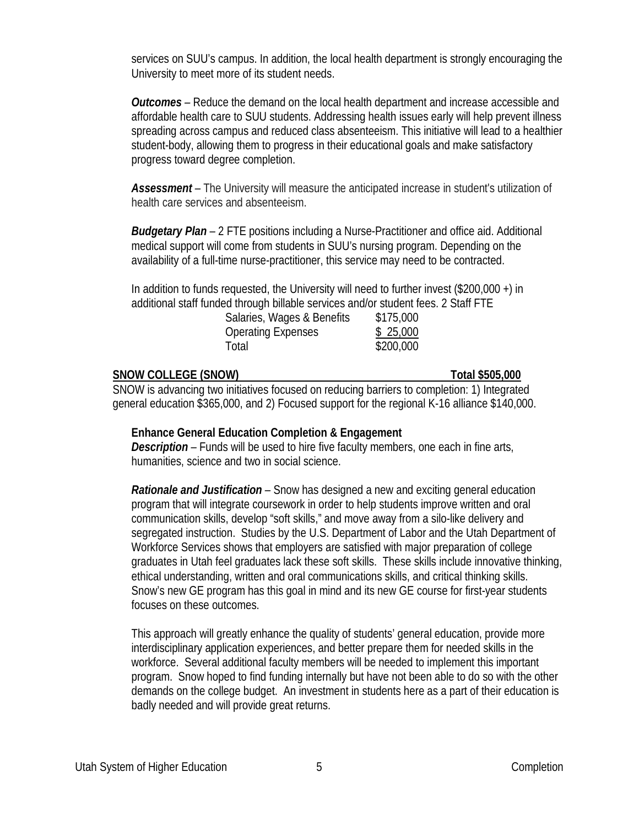services on SUU's campus. In addition, the local health department is strongly encouraging the University to meet more of its student needs.

*Outcomes –* Reduce the demand on the local health department and increase accessible and affordable health care to SUU students. Addressing health issues early will help prevent illness spreading across campus and reduced class absenteeism. This initiative will lead to a healthier student-body, allowing them to progress in their educational goals and make satisfactory progress toward degree completion.

*Assessment –* The University will measure the anticipated increase in student's utilization of health care services and absenteeism.

*Budgetary Plan –* 2 FTE positions including a Nurse-Practitioner and office aid. Additional medical support will come from students in SUU's nursing program. Depending on the availability of a full-time nurse-practitioner, this service may need to be contracted.

In addition to funds requested, the University will need to further invest (\$200,000 +) in additional staff funded through billable services and/or student fees. 2 Staff FTE

| Salaries, Wages & Benefits | \$175,000 |
|----------------------------|-----------|
| <b>Operating Expenses</b>  | \$25,000  |
| Total                      | \$200,000 |

### **SNOW COLLEGE (SNOW) Total \$505,000**

SNOW is advancing two initiatives focused on reducing barriers to completion: 1) Integrated general education \$365,000, and 2) Focused support for the regional K-16 alliance \$140,000.

## **Enhance General Education Completion & Engagement**

*Description –* Funds will be used to hire five faculty members, one each in fine arts, humanities, science and two in social science.

*Rationale and Justification –* Snow has designed a new and exciting general education program that will integrate coursework in order to help students improve written and oral communication skills, develop "soft skills," and move away from a silo-like delivery and segregated instruction. Studies by the U.S. Department of Labor and the Utah Department of Workforce Services shows that employers are satisfied with major preparation of college graduates in Utah feel graduates lack these soft skills. These skills include innovative thinking, ethical understanding, written and oral communications skills, and critical thinking skills. Snow's new GE program has this goal in mind and its new GE course for first-year students focuses on these outcomes.

This approach will greatly enhance the quality of students' general education, provide more interdisciplinary application experiences, and better prepare them for needed skills in the workforce. Several additional faculty members will be needed to implement this important program. Snow hoped to find funding internally but have not been able to do so with the other demands on the college budget. An investment in students here as a part of their education is badly needed and will provide great returns.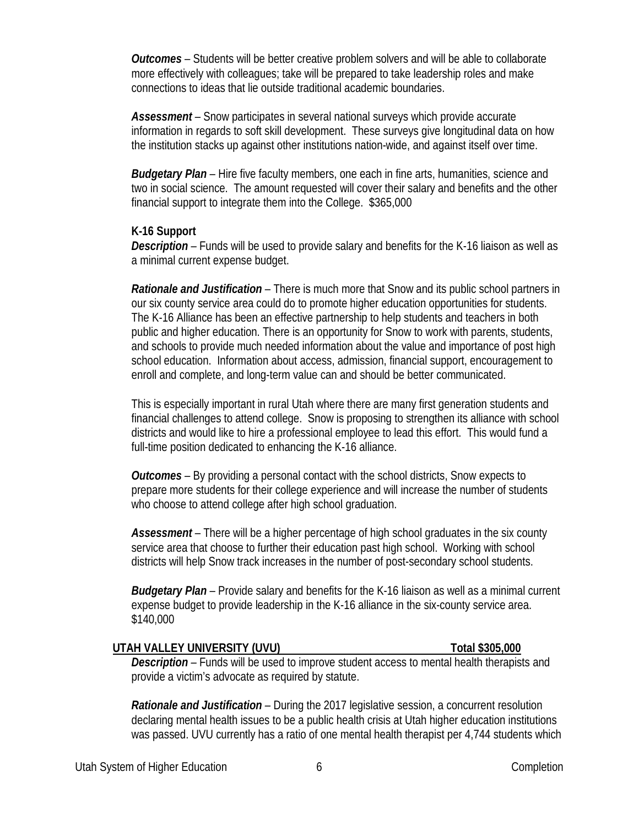*Outcomes –* Students will be better creative problem solvers and will be able to collaborate more effectively with colleagues; take will be prepared to take leadership roles and make connections to ideas that lie outside traditional academic boundaries.

*Assessment –* Snow participates in several national surveys which provide accurate information in regards to soft skill development. These surveys give longitudinal data on how the institution stacks up against other institutions nation-wide, and against itself over time.

*Budgetary Plan –* Hire five faculty members, one each in fine arts, humanities, science and two in social science. The amount requested will cover their salary and benefits and the other financial support to integrate them into the College. \$365,000

### **K-16 Support**

*Description –* Funds will be used to provide salary and benefits for the K-16 liaison as well as a minimal current expense budget.

*Rationale and Justification –* There is much more that Snow and its public school partners in our six county service area could do to promote higher education opportunities for students. The K-16 Alliance has been an effective partnership to help students and teachers in both public and higher education. There is an opportunity for Snow to work with parents, students, and schools to provide much needed information about the value and importance of post high school education. Information about access, admission, financial support, encouragement to enroll and complete, and long-term value can and should be better communicated.

This is especially important in rural Utah where there are many first generation students and financial challenges to attend college. Snow is proposing to strengthen its alliance with school districts and would like to hire a professional employee to lead this effort. This would fund a full-time position dedicated to enhancing the K-16 alliance.

*Outcomes –* By providing a personal contact with the school districts, Snow expects to prepare more students for their college experience and will increase the number of students who choose to attend college after high school graduation.

*Assessment –* There will be a higher percentage of high school graduates in the six county service area that choose to further their education past high school. Working with school districts will help Snow track increases in the number of post-secondary school students.

*Budgetary Plan –* Provide salary and benefits for the K-16 liaison as well as a minimal current expense budget to provide leadership in the K-16 alliance in the six-county service area. \$140,000

## **UTAH VALLEY UNIVERSITY (UVU) Total \$305,000**

*Description –* Funds will be used to improve student access to mental health therapists and provide a victim's advocate as required by statute.

*Rationale and Justification –* During the 2017 legislative session, a concurrent resolution declaring mental health issues to be a public health crisis at Utah higher education institutions was passed. UVU currently has a ratio of one mental health therapist per 4,744 students which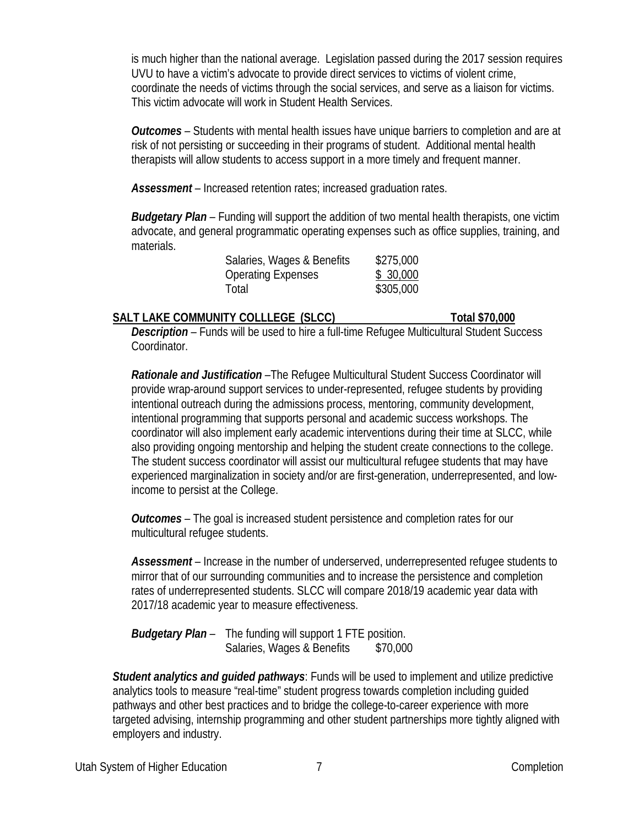is much higher than the national average. Legislation passed during the 2017 session requires UVU to have a victim's advocate to provide direct services to victims of violent crime, coordinate the needs of victims through the social services, and serve as a liaison for victims. This victim advocate will work in Student Health Services.

*Outcomes –* Students with mental health issues have unique barriers to completion and are at risk of not persisting or succeeding in their programs of student. Additional mental health therapists will allow students to access support in a more timely and frequent manner.

*Assessment –* Increased retention rates; increased graduation rates.

*Budgetary Plan –* Funding will support the addition of two mental health therapists, one victim advocate, and general programmatic operating expenses such as office supplies, training, and materials.

| Salaries, Wages & Benefits | \$275,000 |
|----------------------------|-----------|
| <b>Operating Expenses</b>  | \$30,000  |
| Total                      | \$305,000 |

# **SALT LAKE COMMUNITY COLLLEGE (SLCC)** Total \$70,000

*Description –* Funds will be used to hire a full-time Refugee Multicultural Student Success Coordinator.

*Rationale and Justification –*The Refugee Multicultural Student Success Coordinator will provide wrap-around support services to under-represented, refugee students by providing intentional outreach during the admissions process, mentoring, community development, intentional programming that supports personal and academic success workshops. The coordinator will also implement early academic interventions during their time at SLCC, while also providing ongoing mentorship and helping the student create connections to the college. The student success coordinator will assist our multicultural refugee students that may have experienced marginalization in society and/or are first-generation, underrepresented, and lowincome to persist at the College.

*Outcomes –* The goal is increased student persistence and completion rates for our multicultural refugee students.

*Assessment* – Increase in the number of underserved, underrepresented refugee students to mirror that of our surrounding communities and to increase the persistence and completion rates of underrepresented students. SLCC will compare 2018/19 academic year data with 2017/18 academic year to measure effectiveness.

*Budgetary Plan –* The funding will support 1 FTE position. Salaries, Wages & Benefits \$70,000

*Student analytics and guided pathways*: Funds will be used to implement and utilize predictive analytics tools to measure "real-time" student progress towards completion including guided pathways and other best practices and to bridge the college-to-career experience with more targeted advising, internship programming and other student partnerships more tightly aligned with employers and industry.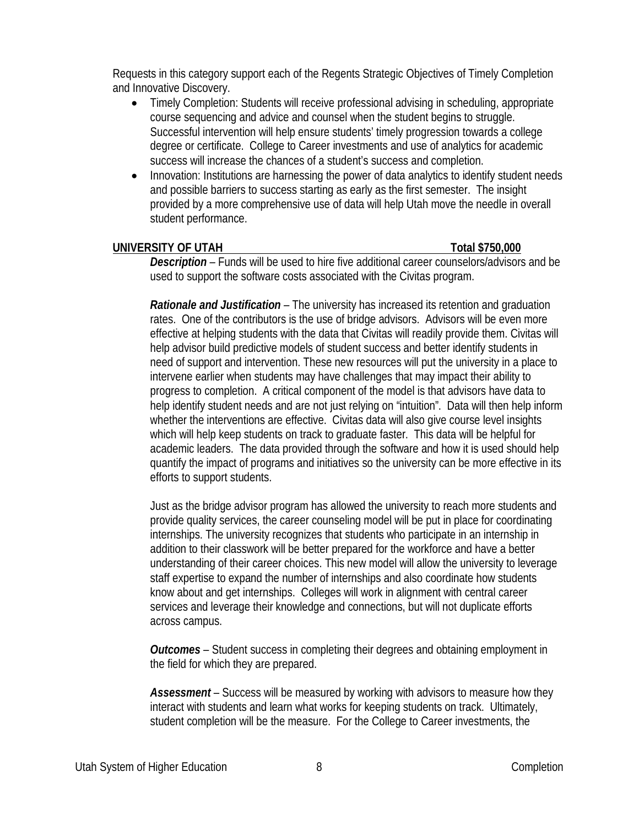Requests in this category support each of the Regents Strategic Objectives of Timely Completion and Innovative Discovery.

- Timely Completion: Students will receive professional advising in scheduling, appropriate course sequencing and advice and counsel when the student begins to struggle. Successful intervention will help ensure students' timely progression towards a college degree or certificate. College to Career investments and use of analytics for academic success will increase the chances of a student's success and completion.
- Innovation: Institutions are harnessing the power of data analytics to identify student needs and possible barriers to success starting as early as the first semester. The insight provided by a more comprehensive use of data will help Utah move the needle in overall student performance.

## **UNIVERSITY OF UTAH Total \$750,000**

*Description –* Funds will be used to hire five additional career counselors/advisors and be used to support the software costs associated with the Civitas program.

*Rationale and Justification –* The university has increased its retention and graduation rates. One of the contributors is the use of bridge advisors. Advisors will be even more effective at helping students with the data that Civitas will readily provide them. Civitas will help advisor build predictive models of student success and better identify students in need of support and intervention. These new resources will put the university in a place to intervene earlier when students may have challenges that may impact their ability to progress to completion. A critical component of the model is that advisors have data to help identify student needs and are not just relying on "intuition". Data will then help inform whether the interventions are effective. Civitas data will also give course level insights which will help keep students on track to graduate faster. This data will be helpful for academic leaders. The data provided through the software and how it is used should help quantify the impact of programs and initiatives so the university can be more effective in its efforts to support students.

Just as the bridge advisor program has allowed the university to reach more students and provide quality services, the career counseling model will be put in place for coordinating internships. The university recognizes that students who participate in an internship in addition to their classwork will be better prepared for the workforce and have a better understanding of their career choices. This new model will allow the university to leverage staff expertise to expand the number of internships and also coordinate how students know about and get internships. Colleges will work in alignment with central career services and leverage their knowledge and connections, but will not duplicate efforts across campus.

*Outcomes –* Student success in completing their degrees and obtaining employment in the field for which they are prepared.

*Assessment –* Success will be measured by working with advisors to measure how they interact with students and learn what works for keeping students on track. Ultimately, student completion will be the measure. For the College to Career investments, the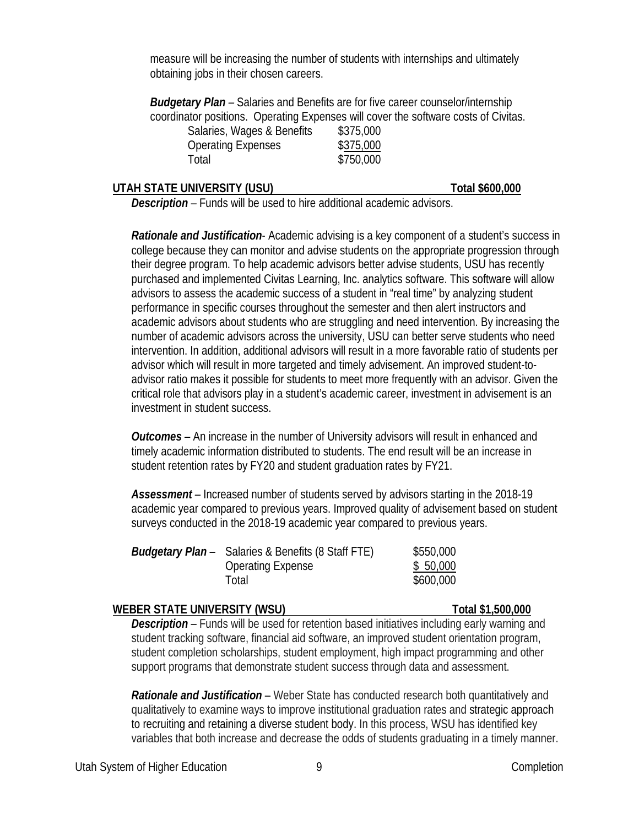measure will be increasing the number of students with internships and ultimately obtaining jobs in their chosen careers.

*Budgetary Plan –* Salaries and Benefits are for five career counselor/internship coordinator positions. Operating Expenses will cover the software costs of Civitas.

| Salaries, Wages & Benefits | \$375,000 |
|----------------------------|-----------|
| <b>Operating Expenses</b>  | \$375,000 |
| Total                      | \$750,000 |

### UTAH STATE UNIVERSITY (USU) TOtal \$600,000

*Description –* Funds will be used to hire additional academic advisors.

*Rationale and Justification*- Academic advising is a key component of a student's success in college because they can monitor and advise students on the appropriate progression through their degree program. To help academic advisors better advise students, USU has recently purchased and implemented Civitas Learning, Inc. analytics software. This software will allow advisors to assess the academic success of a student in "real time" by analyzing student performance in specific courses throughout the semester and then alert instructors and academic advisors about students who are struggling and need intervention. By increasing the number of academic advisors across the university, USU can better serve students who need intervention. In addition, additional advisors will result in a more favorable ratio of students per advisor which will result in more targeted and timely advisement. An improved student-toadvisor ratio makes it possible for students to meet more frequently with an advisor. Given the critical role that advisors play in a student's academic career, investment in advisement is an investment in student success.

*Outcomes –* An increase in the number of University advisors will result in enhanced and timely academic information distributed to students. The end result will be an increase in student retention rates by FY20 and student graduation rates by FY21.

*Assessment –* Increased number of students served by advisors starting in the 2018-19 academic year compared to previous years. Improved quality of advisement based on student surveys conducted in the 2018-19 academic year compared to previous years.

| <b>Budgetary Plan</b> – Salaries & Benefits (8 Staff FTE) | \$550,000 |
|-----------------------------------------------------------|-----------|
| Operating Expense                                         | \$50,000  |
| Total                                                     | \$600,000 |
|                                                           |           |

### **WEBER STATE UNIVERSITY (WSU)** TOTAL TOTAL \$1,500,000

**Description** – Funds will be used for retention based initiatives including early warning and student tracking software, financial aid software, an improved student orientation program, student completion scholarships, student employment, high impact programming and other support programs that demonstrate student success through data and assessment.

*Rationale and Justification* – Weber State has conducted research both quantitatively and qualitatively to examine ways to improve institutional graduation rates and strategic approach to recruiting and retaining a diverse student body. In this process, WSU has identified key variables that both increase and decrease the odds of students graduating in a timely manner.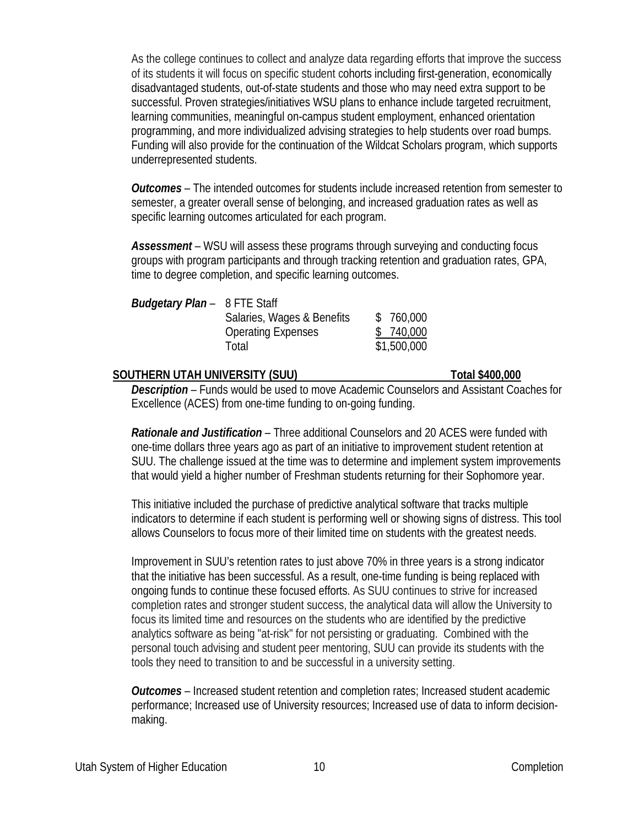As the college continues to collect and analyze data regarding efforts that improve the success of its students it will focus on specific student cohorts including first-generation, economically disadvantaged students, out-of-state students and those who may need extra support to be successful. Proven strategies/initiatives WSU plans to enhance include targeted recruitment, learning communities, meaningful on-campus student employment, enhanced orientation programming, and more individualized advising strategies to help students over road bumps. Funding will also provide for the continuation of the Wildcat Scholars program, which supports underrepresented students.

*Outcomes* – The intended outcomes for students include increased retention from semester to semester, a greater overall sense of belonging, and increased graduation rates as well as specific learning outcomes articulated for each program.

*Assessment* – WSU will assess these programs through surveying and conducting focus groups with program participants and through tracking retention and graduation rates, GPA, time to degree completion, and specific learning outcomes.

| <b>Budgetary Plan</b> – 8 FTE Staff |                            |             |
|-------------------------------------|----------------------------|-------------|
|                                     | Salaries, Wages & Benefits | \$760,000   |
|                                     | <b>Operating Expenses</b>  | \$ 740,000  |
|                                     | Total                      | \$1,500,000 |
|                                     |                            |             |

### **SOUTHERN UTAH UNIVERSITY (SUU) Total \$400,000**

*Description –* Funds would be used to move Academic Counselors and Assistant Coaches for Excellence (ACES) from one-time funding to on-going funding.

*Rationale and Justification –* Three additional Counselors and 20 ACES were funded with one-time dollars three years ago as part of an initiative to improvement student retention at SUU. The challenge issued at the time was to determine and implement system improvements that would yield a higher number of Freshman students returning for their Sophomore year.

This initiative included the purchase of predictive analytical software that tracks multiple indicators to determine if each student is performing well or showing signs of distress. This tool allows Counselors to focus more of their limited time on students with the greatest needs.

Improvement in SUU's retention rates to just above 70% in three years is a strong indicator that the initiative has been successful. As a result, one-time funding is being replaced with ongoing funds to continue these focused efforts. As SUU continues to strive for increased completion rates and stronger student success, the analytical data will allow the University to focus its limited time and resources on the students who are identified by the predictive analytics software as being "at-risk" for not persisting or graduating. Combined with the personal touch advising and student peer mentoring, SUU can provide its students with the tools they need to transition to and be successful in a university setting.

*Outcomes –* Increased student retention and completion rates; Increased student academic performance; Increased use of University resources; Increased use of data to inform decisionmaking.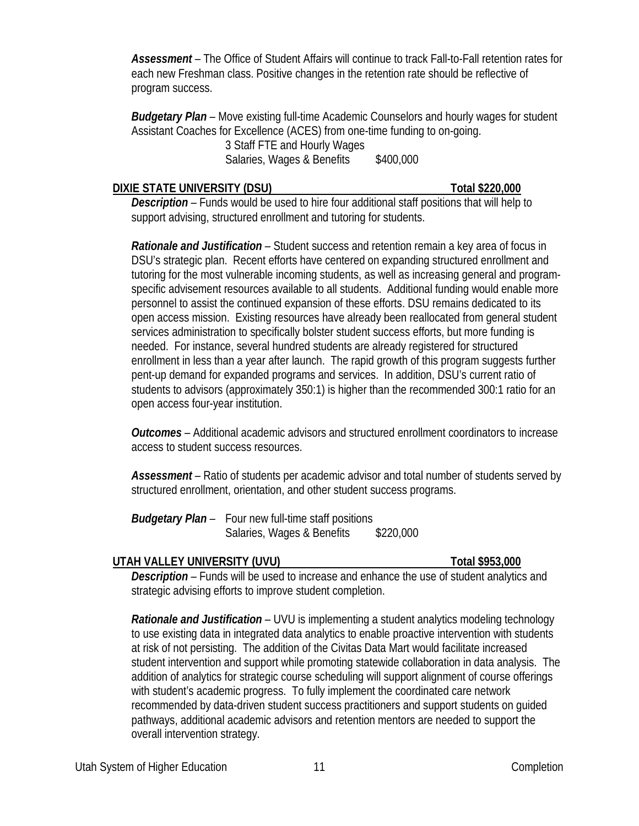*Assessment –* The Office of Student Affairs will continue to track Fall-to-Fall retention rates for each new Freshman class. Positive changes in the retention rate should be reflective of program success.

*Budgetary Plan –* Move existing full-time Academic Counselors and hourly wages for student Assistant Coaches for Excellence (ACES) from one-time funding to on-going. 3 Staff FTE and Hourly Wages

Salaries, Wages & Benefits \$400,000

# **DIXIE STATE UNIVERSITY (DSU) Total \$220,000**

*Description –* Funds would be used to hire four additional staff positions that will help to support advising, structured enrollment and tutoring for students.

*Rationale and Justification –* Student success and retention remain a key area of focus in DSU's strategic plan. Recent efforts have centered on expanding structured enrollment and tutoring for the most vulnerable incoming students, as well as increasing general and programspecific advisement resources available to all students. Additional funding would enable more personnel to assist the continued expansion of these efforts. DSU remains dedicated to its open access mission. Existing resources have already been reallocated from general student services administration to specifically bolster student success efforts, but more funding is needed. For instance, several hundred students are already registered for structured enrollment in less than a year after launch. The rapid growth of this program suggests further pent-up demand for expanded programs and services. In addition, DSU's current ratio of students to advisors (approximately 350:1) is higher than the recommended 300:1 ratio for an open access four-year institution.

*Outcomes –* Additional academic advisors and structured enrollment coordinators to increase access to student success resources.

*Assessment –* Ratio of students per academic advisor and total number of students served by structured enrollment, orientation, and other student success programs.

*Budgetary Plan –* Four new full-time staff positions Salaries, Wages & Benefits \$220,000

# **UTAH VALLEY UNIVERSITY (UVU) Total \$953,000**

*Description –* Funds will be used to increase and enhance the use of student analytics and strategic advising efforts to improve student completion.

*Rationale and Justification* – UVU is implementing a student analytics modeling technology to use existing data in integrated data analytics to enable proactive intervention with students at risk of not persisting. The addition of the Civitas Data Mart would facilitate increased student intervention and support while promoting statewide collaboration in data analysis. The addition of analytics for strategic course scheduling will support alignment of course offerings with student's academic progress. To fully implement the coordinated care network recommended by data-driven student success practitioners and support students on guided pathways, additional academic advisors and retention mentors are needed to support the overall intervention strategy.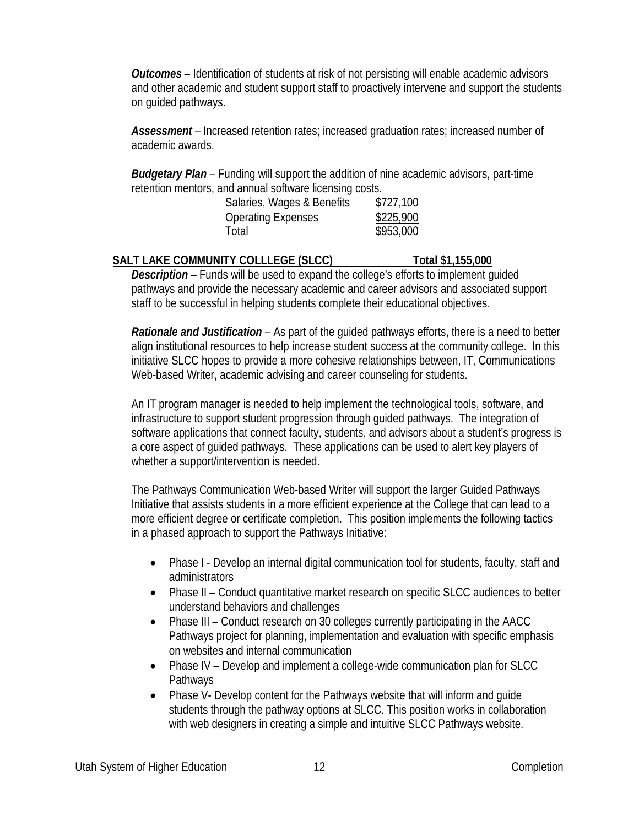*Outcomes –* Identification of students at risk of not persisting will enable academic advisors and other academic and student support staff to proactively intervene and support the students on guided pathways.

*Assessment –* Increased retention rates; increased graduation rates; increased number of academic awards.

*Budgetary Plan –* Funding will support the addition of nine academic advisors, part-time retention mentors, and annual software licensing costs.

| Salaries, Wages & Benefits | \$727,100 |
|----------------------------|-----------|
| Operating Expenses         | \$225,900 |
| Total                      | \$953,000 |

# **SALT LAKE COMMUNITY COLLLEGE (SLCC) Total \$1,155,000**

*Description –* Funds will be used to expand the college's efforts to implement guided pathways and provide the necessary academic and career advisors and associated support staff to be successful in helping students complete their educational objectives.

*Rationale and Justification –* As part of the guided pathways efforts, there is a need to better align institutional resources to help increase student success at the community college. In this initiative SLCC hopes to provide a more cohesive relationships between, IT, Communications Web-based Writer, academic advising and career counseling for students.

An IT program manager is needed to help implement the technological tools, software, and infrastructure to support student progression through guided pathways. The integration of software applications that connect faculty, students, and advisors about a student's progress is a core aspect of guided pathways. These applications can be used to alert key players of whether a support/intervention is needed.

The Pathways Communication Web-based Writer will support the larger Guided Pathways Initiative that assists students in a more efficient experience at the College that can lead to a more efficient degree or certificate completion. This position implements the following tactics in a phased approach to support the Pathways Initiative:

- Phase I Develop an internal digital communication tool for students, faculty, staff and administrators
- Phase II Conduct quantitative market research on specific SLCC audiences to better understand behaviors and challenges
- Phase III Conduct research on 30 colleges currently participating in the AACC Pathways project for planning, implementation and evaluation with specific emphasis on websites and internal communication
- Phase IV Develop and implement a college-wide communication plan for SLCC Pathways
- Phase V- Develop content for the Pathways website that will inform and quide students through the pathway options at SLCC. This position works in collaboration with web designers in creating a simple and intuitive SLCC Pathways website.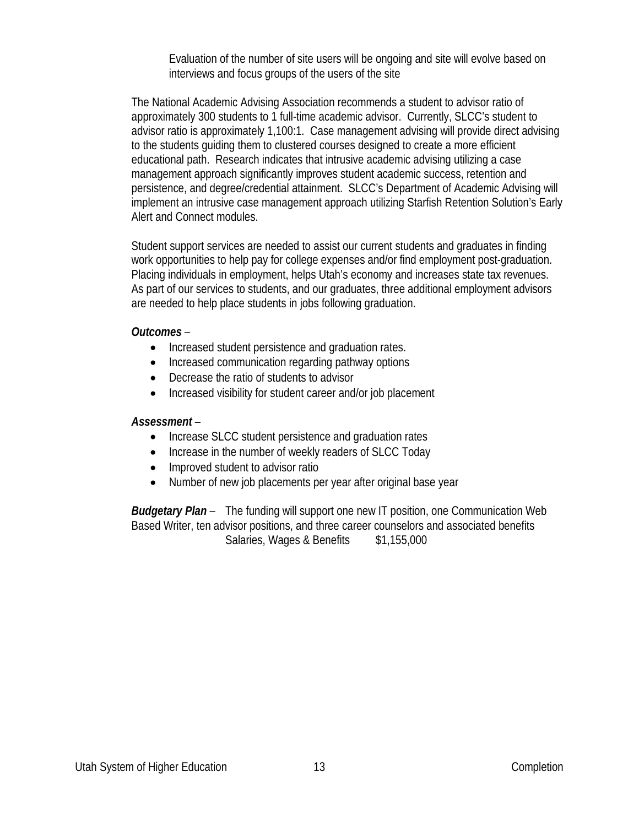Evaluation of the number of site users will be ongoing and site will evolve based on interviews and focus groups of the users of the site

The National Academic Advising Association recommends a student to advisor ratio of approximately 300 students to 1 full-time academic advisor. Currently, SLCC's student to advisor ratio is approximately 1,100:1. Case management advising will provide direct advising to the students guiding them to clustered courses designed to create a more efficient educational path. Research indicates that intrusive academic advising utilizing a case management approach significantly improves student academic success, retention and persistence, and degree/credential attainment. SLCC's Department of Academic Advising will implement an intrusive case management approach utilizing Starfish Retention Solution's Early Alert and Connect modules.

Student support services are needed to assist our current students and graduates in finding work opportunities to help pay for college expenses and/or find employment post-graduation. Placing individuals in employment, helps Utah's economy and increases state tax revenues. As part of our services to students, and our graduates, three additional employment advisors are needed to help place students in jobs following graduation.

### *Outcomes –*

- Increased student persistence and graduation rates.
- Increased communication regarding pathway options
- Decrease the ratio of students to advisor
- Increased visibility for student career and/or job placement

## *Assessment –*

- Increase SLCC student persistence and graduation rates
- Increase in the number of weekly readers of SLCC Today
- Improved student to advisor ratio
- Number of new job placements per year after original base year

*Budgetary Plan –* The funding will support one new IT position, one Communication Web Based Writer, ten advisor positions, and three career counselors and associated benefits Salaries, Wages & Benefits \$1,155,000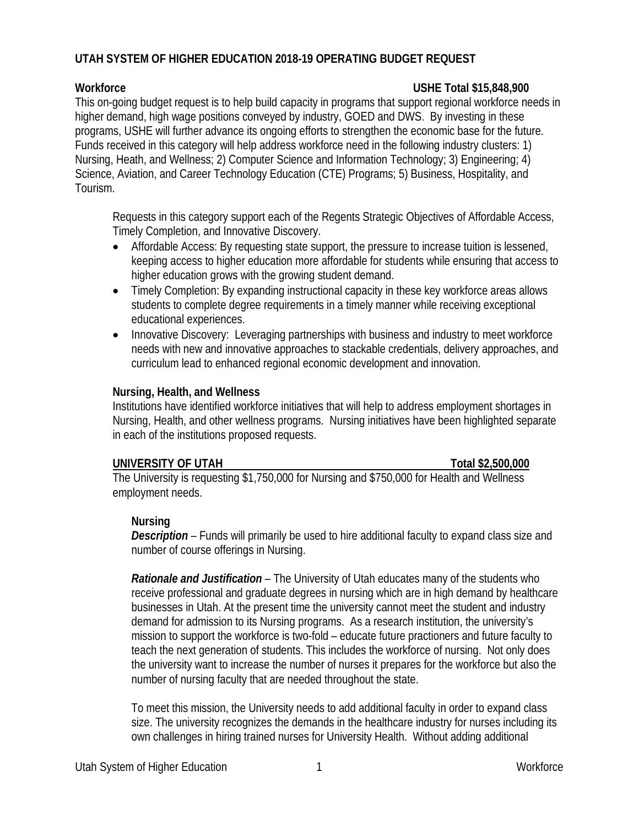# **UTAH SYSTEM OF HIGHER EDUCATION 2018-19 OPERATING BUDGET REQUEST**

### **Workforce USHE Total \$15,848,900**

This on-going budget request is to help build capacity in programs that support regional workforce needs in higher demand, high wage positions conveyed by industry, GOED and DWS. By investing in these programs, USHE will further advance its ongoing efforts to strengthen the economic base for the future. Funds received in this category will help address workforce need in the following industry clusters: 1) Nursing, Heath, and Wellness; 2) Computer Science and Information Technology; 3) Engineering; 4) Science, Aviation, and Career Technology Education (CTE) Programs; 5) Business, Hospitality, and Tourism.

Requests in this category support each of the Regents Strategic Objectives of Affordable Access, Timely Completion, and Innovative Discovery.

- Affordable Access: By requesting state support, the pressure to increase tuition is lessened, keeping access to higher education more affordable for students while ensuring that access to higher education grows with the growing student demand.
- Timely Completion: By expanding instructional capacity in these key workforce areas allows students to complete degree requirements in a timely manner while receiving exceptional educational experiences.
- Innovative Discovery: Leveraging partnerships with business and industry to meet workforce needs with new and innovative approaches to stackable credentials, delivery approaches, and curriculum lead to enhanced regional economic development and innovation.

### **Nursing, Health, and Wellness**

Institutions have identified workforce initiatives that will help to address employment shortages in Nursing, Health, and other wellness programs. Nursing initiatives have been highlighted separate in each of the institutions proposed requests.

## **UNIVERSITY OF UTAH Total \$2,500,000**

The University is requesting \$1,750,000 for Nursing and \$750,000 for Health and Wellness employment needs.

## **Nursing**

*Description –* Funds will primarily be used to hire additional faculty to expand class size and number of course offerings in Nursing.

*Rationale and Justification –* The University of Utah educates many of the students who receive professional and graduate degrees in nursing which are in high demand by healthcare businesses in Utah. At the present time the university cannot meet the student and industry demand for admission to its Nursing programs. As a research institution, the university's mission to support the workforce is two-fold – educate future practioners and future faculty to teach the next generation of students. This includes the workforce of nursing. Not only does the university want to increase the number of nurses it prepares for the workforce but also the number of nursing faculty that are needed throughout the state.

To meet this mission, the University needs to add additional faculty in order to expand class size. The university recognizes the demands in the healthcare industry for nurses including its own challenges in hiring trained nurses for University Health. Without adding additional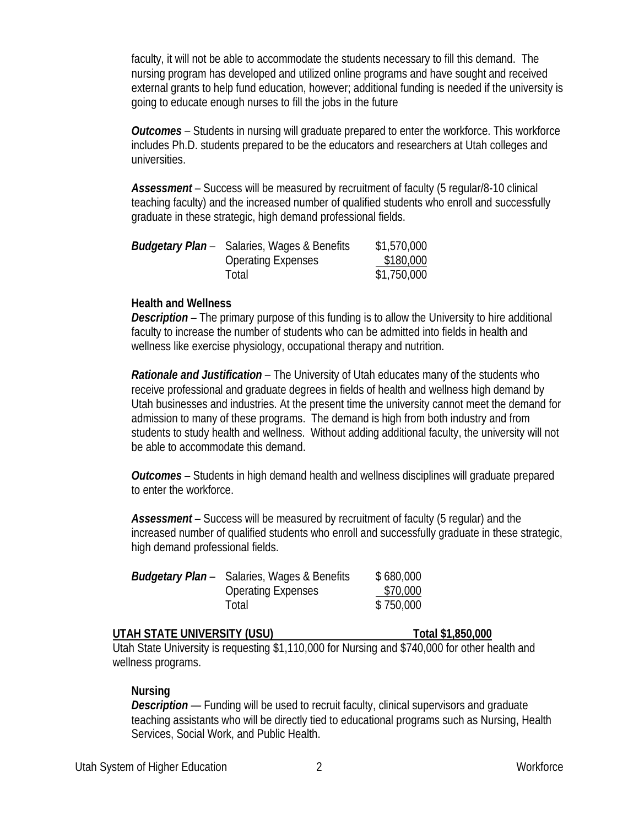faculty, it will not be able to accommodate the students necessary to fill this demand. The nursing program has developed and utilized online programs and have sought and received external grants to help fund education, however; additional funding is needed if the university is going to educate enough nurses to fill the jobs in the future

*Outcomes –* Students in nursing will graduate prepared to enter the workforce. This workforce includes Ph.D. students prepared to be the educators and researchers at Utah colleges and universities.

*Assessment –* Success will be measured by recruitment of faculty (5 regular/8-10 clinical teaching faculty) and the increased number of qualified students who enroll and successfully graduate in these strategic, high demand professional fields.

| <b>Budgetary Plan</b> – Salaries, Wages & Benefits | \$1,570,000 |
|----------------------------------------------------|-------------|
| <b>Operating Expenses</b>                          | \$180,000   |
| Total                                              | \$1,750,000 |

### **Health and Wellness**

*Description –* The primary purpose of this funding is to allow the University to hire additional faculty to increase the number of students who can be admitted into fields in health and wellness like exercise physiology, occupational therapy and nutrition.

*Rationale and Justification –* The University of Utah educates many of the students who receive professional and graduate degrees in fields of health and wellness high demand by Utah businesses and industries. At the present time the university cannot meet the demand for admission to many of these programs. The demand is high from both industry and from students to study health and wellness. Without adding additional faculty, the university will not be able to accommodate this demand.

*Outcomes –* Students in high demand health and wellness disciplines will graduate prepared to enter the workforce.

*Assessment –* Success will be measured by recruitment of faculty (5 regular) and the increased number of qualified students who enroll and successfully graduate in these strategic, high demand professional fields.

| <b>Budgetary Plan</b> – Salaries, Wages & Benefits | \$680,000 |
|----------------------------------------------------|-----------|
| <b>Operating Expenses</b>                          | \$70,000  |
| Total                                              | \$750,000 |

### **UTAH STATE UNIVERSITY (USU) Total \$1,850,000**

Utah State University is requesting \$1,110,000 for Nursing and \$740,000 for other health and wellness programs.

### **Nursing**

*Description* — Funding will be used to recruit faculty, clinical supervisors and graduate teaching assistants who will be directly tied to educational programs such as Nursing, Health Services, Social Work, and Public Health.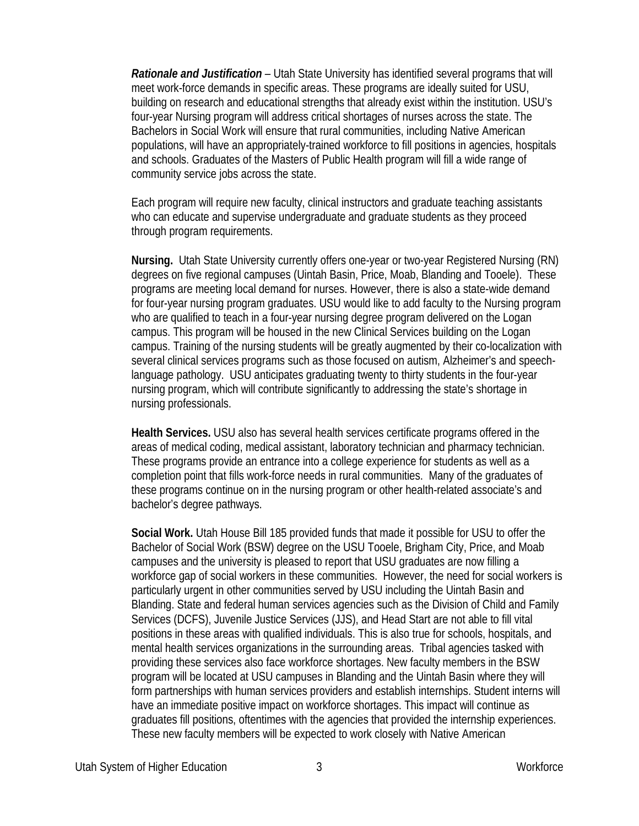*Rationale and Justification –* Utah State University has identified several programs that will meet work-force demands in specific areas. These programs are ideally suited for USU, building on research and educational strengths that already exist within the institution. USU's four-year Nursing program will address critical shortages of nurses across the state. The Bachelors in Social Work will ensure that rural communities, including Native American populations, will have an appropriately-trained workforce to fill positions in agencies, hospitals and schools. Graduates of the Masters of Public Health program will fill a wide range of community service jobs across the state.

Each program will require new faculty, clinical instructors and graduate teaching assistants who can educate and supervise undergraduate and graduate students as they proceed through program requirements.

**Nursing.** Utah State University currently offers one-year or two-year Registered Nursing (RN) degrees on five regional campuses (Uintah Basin, Price, Moab, Blanding and Tooele). These programs are meeting local demand for nurses. However, there is also a state-wide demand for four-year nursing program graduates. USU would like to add faculty to the Nursing program who are qualified to teach in a four-year nursing degree program delivered on the Logan campus. This program will be housed in the new Clinical Services building on the Logan campus. Training of the nursing students will be greatly augmented by their co-localization with several clinical services programs such as those focused on autism, Alzheimer's and speechlanguage pathology. USU anticipates graduating twenty to thirty students in the four-year nursing program, which will contribute significantly to addressing the state's shortage in nursing professionals.

**Health Services.** USU also has several health services certificate programs offered in the areas of medical coding, medical assistant, laboratory technician and pharmacy technician. These programs provide an entrance into a college experience for students as well as a completion point that fills work-force needs in rural communities. Many of the graduates of these programs continue on in the nursing program or other health-related associate's and bachelor's degree pathways.

**Social Work.** Utah House Bill 185 provided funds that made it possible for USU to offer the Bachelor of Social Work (BSW) degree on the USU Tooele, Brigham City, Price, and Moab campuses and the university is pleased to report that USU graduates are now filling a workforce gap of social workers in these communities. However, the need for social workers is particularly urgent in other communities served by USU including the Uintah Basin and Blanding. State and federal human services agencies such as the Division of Child and Family Services (DCFS), Juvenile Justice Services (JJS), and Head Start are not able to fill vital positions in these areas with qualified individuals. This is also true for schools, hospitals, and mental health services organizations in the surrounding areas. Tribal agencies tasked with providing these services also face workforce shortages. New faculty members in the BSW program will be located at USU campuses in Blanding and the Uintah Basin where they will form partnerships with human services providers and establish internships. Student interns will have an immediate positive impact on workforce shortages. This impact will continue as graduates fill positions, oftentimes with the agencies that provided the internship experiences. These new faculty members will be expected to work closely with Native American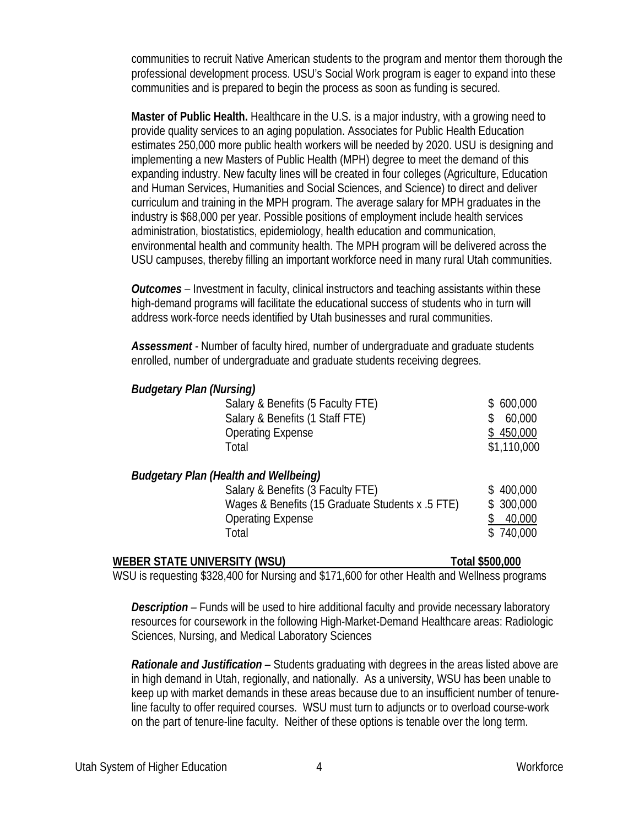communities to recruit Native American students to the program and mentor them thorough the professional development process. USU's Social Work program is eager to expand into these communities and is prepared to begin the process as soon as funding is secured.

**Master of Public Health.** Healthcare in the U.S. is a major industry, with a growing need to provide quality services to an aging population. Associates for Public Health Education estimates 250,000 more public health workers will be needed by 2020. USU is designing and implementing a new Masters of Public Health (MPH) degree to meet the demand of this expanding industry. New faculty lines will be created in four colleges (Agriculture, Education and Human Services, Humanities and Social Sciences, and Science) to direct and deliver curriculum and training in the MPH program. The average salary for MPH graduates in the industry is \$68,000 per year. Possible positions of employment include health services administration, biostatistics, epidemiology, health education and communication, environmental health and community health. The MPH program will be delivered across the USU campuses, thereby filling an important workforce need in many rural Utah communities.

*Outcomes –* Investment in faculty, clinical instructors and teaching assistants within these high-demand programs will facilitate the educational success of students who in turn will address work-force needs identified by Utah businesses and rural communities.

*Assessment -* Number of faculty hired, number of undergraduate and graduate students enrolled, number of undergraduate and graduate students receiving degrees.

| Salary & Benefits (5 Faculty FTE)                |                | \$600,000   |
|--------------------------------------------------|----------------|-------------|
| Salary & Benefits (1 Staff FTE)                  |                | 60,000      |
| <b>Operating Expense</b>                         |                | \$450,000   |
| Total                                            |                | \$1,110,000 |
| <b>Budgetary Plan (Health and Wellbeing)</b>     |                |             |
| Salary & Benefits (3 Faculty FTE)                |                | \$400,000   |
| Wages & Benefits (15 Graduate Students x .5 FTE) |                | \$300,000   |
| <b>Operating Expense</b>                         |                | 40,000      |
| Total                                            |                | \$740,000   |
|                                                  | T : : *F^^ ^^^ |             |

| WEBER STATE UNIVERSITY (WSU) | Total \$500,000                                                                              |
|------------------------------|----------------------------------------------------------------------------------------------|
|                              | WSU is requesting \$328,400 for Nursing and \$171,600 for other Health and Wellness programs |

*Description* – Funds will be used to hire additional faculty and provide necessary laboratory resources for coursework in the following High-Market-Demand Healthcare areas: Radiologic Sciences, Nursing, and Medical Laboratory Sciences

*Rationale and Justification –* Students graduating with degrees in the areas listed above are in high demand in Utah, regionally, and nationally. As a university, WSU has been unable to keep up with market demands in these areas because due to an insufficient number of tenureline faculty to offer required courses. WSU must turn to adjuncts or to overload course-work on the part of tenure-line faculty. Neither of these options is tenable over the long term.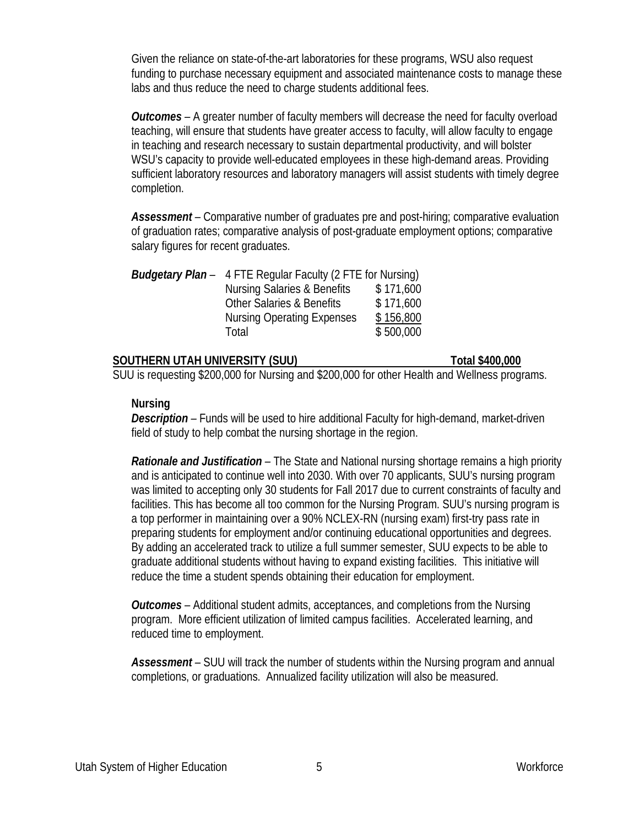Given the reliance on state-of-the-art laboratories for these programs, WSU also request funding to purchase necessary equipment and associated maintenance costs to manage these labs and thus reduce the need to charge students additional fees.

*Outcomes –* A greater number of faculty members will decrease the need for faculty overload teaching, will ensure that students have greater access to faculty, will allow faculty to engage in teaching and research necessary to sustain departmental productivity, and will bolster WSU's capacity to provide well-educated employees in these high-demand areas. Providing sufficient laboratory resources and laboratory managers will assist students with timely degree completion.

Assessment – Comparative number of graduates pre and post-hiring; comparative evaluation of graduation rates; comparative analysis of post-graduate employment options; comparative salary figures for recent graduates.

| <b>Budgetary Plan</b> – 4 FTE Regular Faculty (2 FTE for Nursing) |           |  |
|-------------------------------------------------------------------|-----------|--|
| <b>Nursing Salaries &amp; Benefits</b>                            | \$171,600 |  |
| <b>Other Salaries &amp; Benefits</b>                              | \$171,600 |  |
| <b>Nursing Operating Expenses</b>                                 | \$156,800 |  |
| Total                                                             | \$500,000 |  |

### **SOUTHERN UTAH UNIVERSITY (SUU) Total \$400,000**

SUU is requesting \$200,000 for Nursing and \$200,000 for other Health and Wellness programs.

### **Nursing**

*Description –* Funds will be used to hire additional Faculty for high-demand, market-driven field of study to help combat the nursing shortage in the region.

*Rationale and Justification –* The State and National nursing shortage remains a high priority and is anticipated to continue well into 2030. With over 70 applicants, SUU's nursing program was limited to accepting only 30 students for Fall 2017 due to current constraints of faculty and facilities. This has become all too common for the Nursing Program. SUU's nursing program is a top performer in maintaining over a 90% NCLEX-RN (nursing exam) first-try pass rate in preparing students for employment and/or continuing educational opportunities and degrees. By adding an accelerated track to utilize a full summer semester, SUU expects to be able to graduate additional students without having to expand existing facilities. This initiative will reduce the time a student spends obtaining their education for employment.

*Outcomes –* Additional student admits, acceptances, and completions from the Nursing program. More efficient utilization of limited campus facilities. Accelerated learning, and reduced time to employment.

*Assessment –* SUU will track the number of students within the Nursing program and annual completions, or graduations. Annualized facility utilization will also be measured.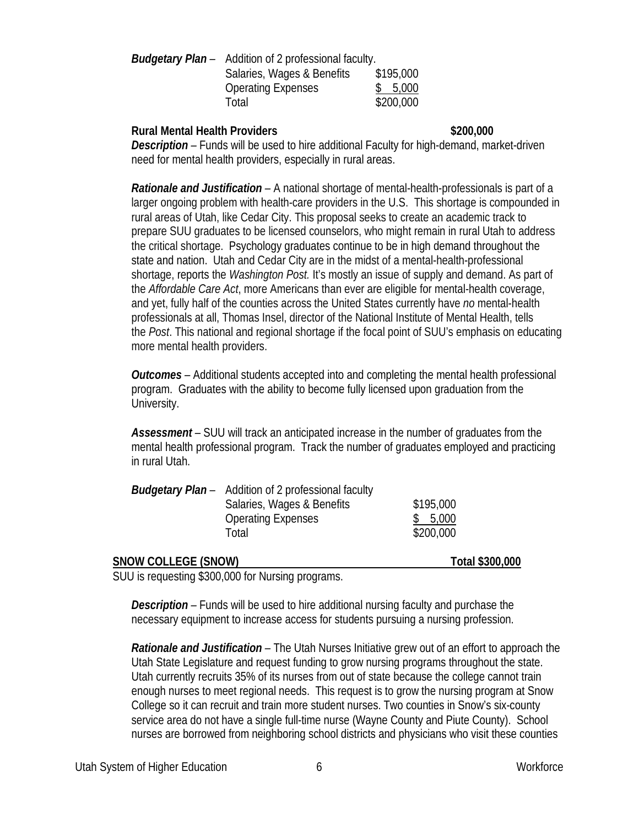| <b>Budgetary Plan</b> – Addition of 2 professional faculty. |           |
|-------------------------------------------------------------|-----------|
| Salaries, Wages & Benefits                                  | \$195,000 |
| <b>Operating Expenses</b>                                   | \$5,000   |
| Total                                                       | \$200,000 |

## **Rural Mental Health Providers \$200,000**

*Description –* Funds will be used to hire additional Faculty for high-demand, market-driven need for mental health providers, especially in rural areas.

*Rationale and Justification –* A national shortage of mental-health-professionals is part of a larger ongoing problem with health-care providers in the U.S. This shortage is compounded in rural areas of Utah, like Cedar City. This proposal seeks to create an academic track to prepare SUU graduates to be licensed counselors, who might remain in rural Utah to address the critical shortage. Psychology graduates continue to be in high demand throughout the state and nation. Utah and Cedar City are in the midst of a mental-health-professional shortage, reports the *Washington Post.* It's mostly an issue of supply and demand. As part of the *Affordable Care Act*, more Americans than ever are eligible for mental-health coverage, and yet, fully half of the counties across the United States currently have *no* mental-health professionals at all, Thomas Insel, director of the National Institute of Mental Health, tells the *Post*. This national and regional shortage if the focal point of SUU's emphasis on educating more mental health providers.

*Outcomes –* Additional students accepted into and completing the mental health professional program. Graduates with the ability to become fully licensed upon graduation from the University.

*Assessment –* SUU will track an anticipated increase in the number of graduates from the mental health professional program. Track the number of graduates employed and practicing in rural Utah.

|                            | <b>Budgetary Plan</b> – Addition of 2 professional faculty |                 |
|----------------------------|------------------------------------------------------------|-----------------|
|                            | Salaries, Wages & Benefits                                 | \$195,000       |
|                            | <b>Operating Expenses</b>                                  | 5,000           |
|                            | Total                                                      | \$200,000       |
| <b>SNOW COLLEGE (SNOW)</b> |                                                            | Total \$300,000 |

SUU is requesting \$300,000 for Nursing programs.

*Description –* Funds will be used to hire additional nursing faculty and purchase the necessary equipment to increase access for students pursuing a nursing profession.

*Rationale and Justification –* The Utah Nurses Initiative grew out of an effort to approach the Utah State Legislature and request funding to grow nursing programs throughout the state. Utah currently recruits 35% of its nurses from out of state because the college cannot train enough nurses to meet regional needs. This request is to grow the nursing program at Snow College so it can recruit and train more student nurses. Two counties in Snow's six-county service area do not have a single full-time nurse (Wayne County and Piute County). School nurses are borrowed from neighboring school districts and physicians who visit these counties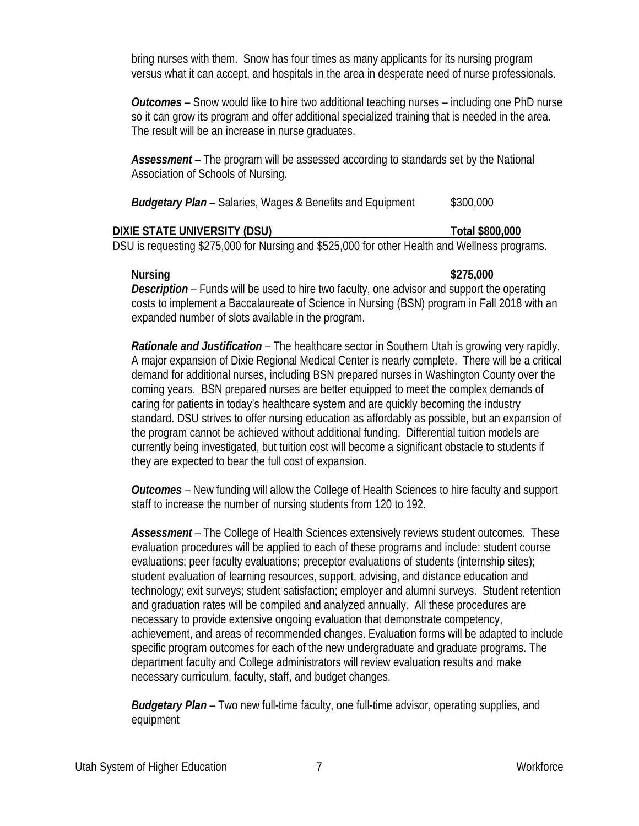bring nurses with them. Snow has four times as many applicants for its nursing program versus what it can accept, and hospitals in the area in desperate need of nurse professionals.

*Outcomes –* Snow would like to hire two additional teaching nurses – including one PhD nurse so it can grow its program and offer additional specialized training that is needed in the area. The result will be an increase in nurse graduates.

*Assessment –* The program will be assessed according to standards set by the National Association of Schools of Nursing.

|  | <b>Budgetary Plan</b> - Salaries, Wages & Benefits and Equipment | \$300,000 |
|--|------------------------------------------------------------------|-----------|
|--|------------------------------------------------------------------|-----------|

| DIXIE STATE UNIVERSITY (DSU)                                                                  | Total \$800,000 |
|-----------------------------------------------------------------------------------------------|-----------------|
| DSU is requesting \$275,000 for Nursing and \$525,000 for other Health and Wellness programs. |                 |

**Nursing \$275,000** *Description –* Funds will be used to hire two faculty, one advisor and support the operating costs to implement a Baccalaureate of Science in Nursing (BSN) program in Fall 2018 with an expanded number of slots available in the program.

*Rationale and Justification –* The healthcare sector in Southern Utah is growing very rapidly. A major expansion of Dixie Regional Medical Center is nearly complete. There will be a critical demand for additional nurses, including BSN prepared nurses in Washington County over the coming years. BSN prepared nurses are better equipped to meet the complex demands of caring for patients in today's healthcare system and are quickly becoming the industry standard. DSU strives to offer nursing education as affordably as possible, but an expansion of the program cannot be achieved without additional funding. Differential tuition models are currently being investigated, but tuition cost will become a significant obstacle to students if they are expected to bear the full cost of expansion.

*Outcomes –* New funding will allow the College of Health Sciences to hire faculty and support staff to increase the number of nursing students from 120 to 192.

*Assessment –* The College of Health Sciences extensively reviews student outcomes. These evaluation procedures will be applied to each of these programs and include: student course evaluations; peer faculty evaluations; preceptor evaluations of students (internship sites); student evaluation of learning resources, support, advising, and distance education and technology; exit surveys; student satisfaction; employer and alumni surveys. Student retention and graduation rates will be compiled and analyzed annually. All these procedures are necessary to provide extensive ongoing evaluation that demonstrate competency, achievement, and areas of recommended changes. Evaluation forms will be adapted to include specific program outcomes for each of the new undergraduate and graduate programs. The department faculty and College administrators will review evaluation results and make necessary curriculum, faculty, staff, and budget changes.

*Budgetary Plan –* Two new full-time faculty, one full-time advisor, operating supplies, and equipment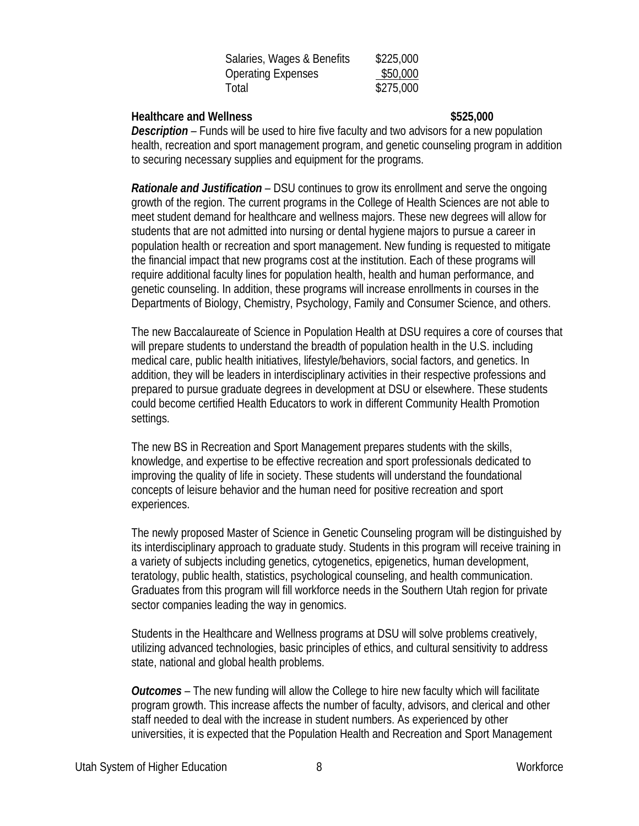| Salaries, Wages & Benefits | \$225,000 |
|----------------------------|-----------|
| <b>Operating Expenses</b>  | \$50,000  |
| Total                      | \$275,000 |

### **Healthcare and Wellness \$525,000**

*Description –* Funds will be used to hire five faculty and two advisors for a new population health, recreation and sport management program, and genetic counseling program in addition to securing necessary supplies and equipment for the programs.

*Rationale and Justification –* DSU continues to grow its enrollment and serve the ongoing growth of the region. The current programs in the College of Health Sciences are not able to meet student demand for healthcare and wellness majors. These new degrees will allow for students that are not admitted into nursing or dental hygiene majors to pursue a career in population health or recreation and sport management. New funding is requested to mitigate the financial impact that new programs cost at the institution. Each of these programs will require additional faculty lines for population health, health and human performance, and genetic counseling. In addition, these programs will increase enrollments in courses in the Departments of Biology, Chemistry, Psychology, Family and Consumer Science, and others.

The new Baccalaureate of Science in Population Health at DSU requires a core of courses that will prepare students to understand the breadth of population health in the U.S. including medical care, public health initiatives, lifestyle/behaviors, social factors, and genetics. In addition, they will be leaders in interdisciplinary activities in their respective professions and prepared to pursue graduate degrees in development at DSU or elsewhere. These students could become certified Health Educators to work in different Community Health Promotion settings.

The new BS in Recreation and Sport Management prepares students with the skills, knowledge, and expertise to be effective recreation and sport professionals dedicated to improving the quality of life in society. These students will understand the foundational concepts of leisure behavior and the human need for positive recreation and sport experiences.

The newly proposed Master of Science in Genetic Counseling program will be distinguished by its interdisciplinary approach to graduate study. Students in this program will receive training in a variety of subjects including genetics, cytogenetics, epigenetics, human development, teratology, public health, statistics, psychological counseling, and health communication. Graduates from this program will fill workforce needs in the Southern Utah region for private sector companies leading the way in genomics.

Students in the Healthcare and Wellness programs at DSU will solve problems creatively, utilizing advanced technologies, basic principles of ethics, and cultural sensitivity to address state, national and global health problems.

*Outcomes –* The new funding will allow the College to hire new faculty which will facilitate program growth. This increase affects the number of faculty, advisors, and clerical and other staff needed to deal with the increase in student numbers. As experienced by other universities, it is expected that the Population Health and Recreation and Sport Management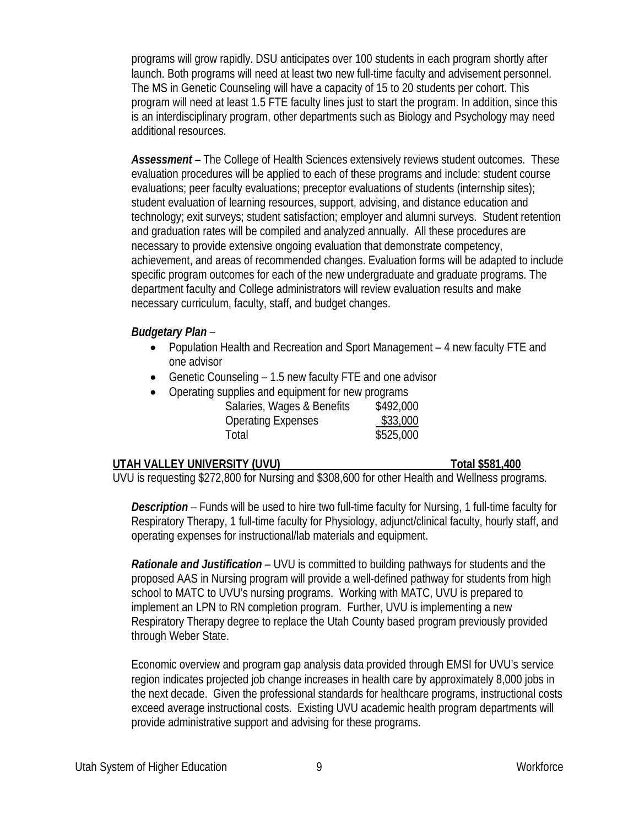programs will grow rapidly. DSU anticipates over 100 students in each program shortly after launch. Both programs will need at least two new full-time faculty and advisement personnel. The MS in Genetic Counseling will have a capacity of 15 to 20 students per cohort. This program will need at least 1.5 FTE faculty lines just to start the program. In addition, since this is an interdisciplinary program, other departments such as Biology and Psychology may need additional resources.

*Assessment –* The College of Health Sciences extensively reviews student outcomes. These evaluation procedures will be applied to each of these programs and include: student course evaluations; peer faculty evaluations; preceptor evaluations of students (internship sites); student evaluation of learning resources, support, advising, and distance education and technology; exit surveys; student satisfaction; employer and alumni surveys. Student retention and graduation rates will be compiled and analyzed annually. All these procedures are necessary to provide extensive ongoing evaluation that demonstrate competency, achievement, and areas of recommended changes. Evaluation forms will be adapted to include specific program outcomes for each of the new undergraduate and graduate programs. The department faculty and College administrators will review evaluation results and make necessary curriculum, faculty, staff, and budget changes.

# *Budgetary Plan –*

- Population Health and Recreation and Sport Management 4 new faculty FTE and one advisor
- Genetic Counseling 1.5 new faculty FTE and one advisor
- Operating supplies and equipment for new programs Salaries, Wages & Benefits \$492,000 Operating Expenses \$33,000 Total \$525,000

# **UTAH VALLEY UNIVERSITY (UVU) Total \$581,400**

UVU is requesting \$272,800 for Nursing and \$308,600 for other Health and Wellness programs.

*Description –* Funds will be used to hire two full-time faculty for Nursing, 1 full-time faculty for Respiratory Therapy, 1 full-time faculty for Physiology, adjunct/clinical faculty, hourly staff, and operating expenses for instructional/lab materials and equipment.

*Rationale and Justification –* UVU is committed to building pathways for students and the proposed AAS in Nursing program will provide a well-defined pathway for students from high school to MATC to UVU's nursing programs. Working with MATC, UVU is prepared to implement an LPN to RN completion program. Further, UVU is implementing a new Respiratory Therapy degree to replace the Utah County based program previously provided through Weber State.

Economic overview and program gap analysis data provided through EMSI for UVU's service region indicates projected job change increases in health care by approximately 8,000 jobs in the next decade. Given the professional standards for healthcare programs, instructional costs exceed average instructional costs. Existing UVU academic health program departments will provide administrative support and advising for these programs.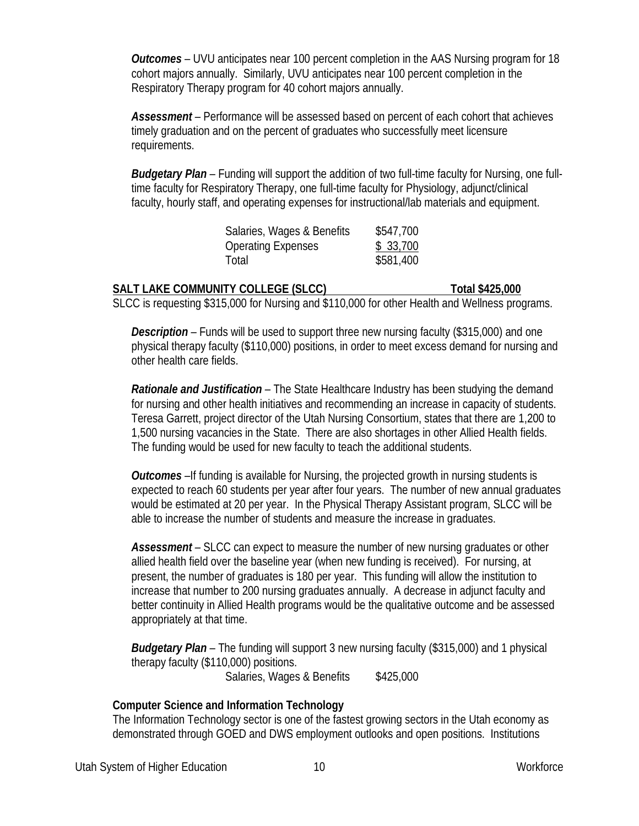*Outcomes –* UVU anticipates near 100 percent completion in the AAS Nursing program for 18 cohort majors annually. Similarly, UVU anticipates near 100 percent completion in the Respiratory Therapy program for 40 cohort majors annually.

*Assessment –* Performance will be assessed based on percent of each cohort that achieves timely graduation and on the percent of graduates who successfully meet licensure requirements.

*Budgetary Plan –* Funding will support the addition of two full-time faculty for Nursing, one fulltime faculty for Respiratory Therapy, one full-time faculty for Physiology, adjunct/clinical faculty, hourly staff, and operating expenses for instructional/lab materials and equipment.

| Salaries, Wages & Benefits | \$547,700 |
|----------------------------|-----------|
| <b>Operating Expenses</b>  | \$33,700  |
| Total                      | \$581,400 |

### **SALT LAKE COMMUNITY COLLEGE (SLCC)** Total \$425,000 SLCC is requesting \$315,000 for Nursing and \$110,000 for other Health and Wellness programs.

*Description* – Funds will be used to support three new nursing faculty (\$315,000) and one physical therapy faculty (\$110,000) positions, in order to meet excess demand for nursing and other health care fields.

*Rationale and Justification –* The State Healthcare Industry has been studying the demand for nursing and other health initiatives and recommending an increase in capacity of students. Teresa Garrett, project director of the Utah Nursing Consortium, states that there are 1,200 to 1,500 nursing vacancies in the State. There are also shortages in other Allied Health fields. The funding would be used for new faculty to teach the additional students.

*Outcomes –*If funding is available for Nursing, the projected growth in nursing students is expected to reach 60 students per year after four years. The number of new annual graduates would be estimated at 20 per year. In the Physical Therapy Assistant program, SLCC will be able to increase the number of students and measure the increase in graduates.

*Assessment –* SLCC can expect to measure the number of new nursing graduates or other allied health field over the baseline year (when new funding is received). For nursing, at present, the number of graduates is 180 per year. This funding will allow the institution to increase that number to 200 nursing graduates annually. A decrease in adjunct faculty and better continuity in Allied Health programs would be the qualitative outcome and be assessed appropriately at that time.

*Budgetary Plan –* The funding will support 3 new nursing faculty (\$315,000) and 1 physical therapy faculty (\$110,000) positions.

Salaries, Wages & Benefits \$425,000

## **Computer Science and Information Technology**

The Information Technology sector is one of the fastest growing sectors in the Utah economy as demonstrated through GOED and DWS employment outlooks and open positions. Institutions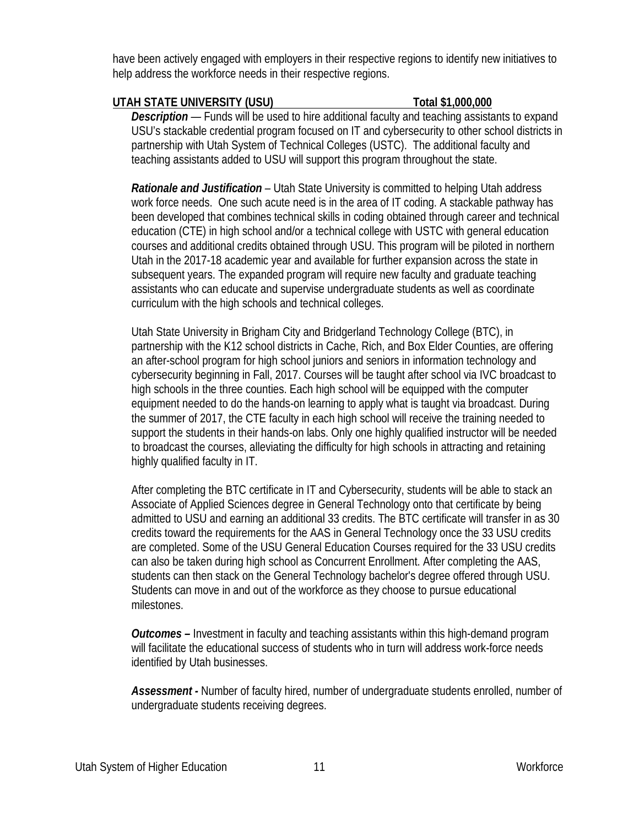have been actively engaged with employers in their respective regions to identify new initiatives to help address the workforce needs in their respective regions.

## **UTAH STATE UNIVERSITY (USU) Total \$1,000,000**

*Description* — Funds will be used to hire additional faculty and teaching assistants to expand USU's stackable credential program focused on IT and cybersecurity to other school districts in partnership with Utah System of Technical Colleges (USTC). The additional faculty and teaching assistants added to USU will support this program throughout the state.

*Rationale and Justification –* Utah State University is committed to helping Utah address work force needs. One such acute need is in the area of IT coding. A stackable pathway has been developed that combines technical skills in coding obtained through career and technical education (CTE) in high school and/or a technical college with USTC with general education courses and additional credits obtained through USU. This program will be piloted in northern Utah in the 2017-18 academic year and available for further expansion across the state in subsequent years. The expanded program will require new faculty and graduate teaching assistants who can educate and supervise undergraduate students as well as coordinate curriculum with the high schools and technical colleges.

Utah State University in Brigham City and Bridgerland Technology College (BTC), in partnership with the K12 school districts in Cache, Rich, and Box Elder Counties, are offering an after-school program for high school juniors and seniors in information technology and cybersecurity beginning in Fall, 2017. Courses will be taught after school via IVC broadcast to high schools in the three counties. Each high school will be equipped with the computer equipment needed to do the hands-on learning to apply what is taught via broadcast. During the summer of 2017, the CTE faculty in each high school will receive the training needed to support the students in their hands-on labs. Only one highly qualified instructor will be needed to broadcast the courses, alleviating the difficulty for high schools in attracting and retaining highly qualified faculty in IT.

After completing the BTC certificate in IT and Cybersecurity, students will be able to stack an Associate of Applied Sciences degree in General Technology onto that certificate by being admitted to USU and earning an additional 33 credits. The BTC certificate will transfer in as 30 credits toward the requirements for the AAS in General Technology once the 33 USU credits are completed. Some of the USU General Education Courses required for the 33 USU credits can also be taken during high school as Concurrent Enrollment. After completing the AAS, students can then stack on the General Technology bachelor's degree offered through USU. Students can move in and out of the workforce as they choose to pursue educational milestones.

*Outcomes –* Investment in faculty and teaching assistants within this high-demand program will facilitate the educational success of students who in turn will address work-force needs identified by Utah businesses.

*Assessment -* Number of faculty hired, number of undergraduate students enrolled, number of undergraduate students receiving degrees.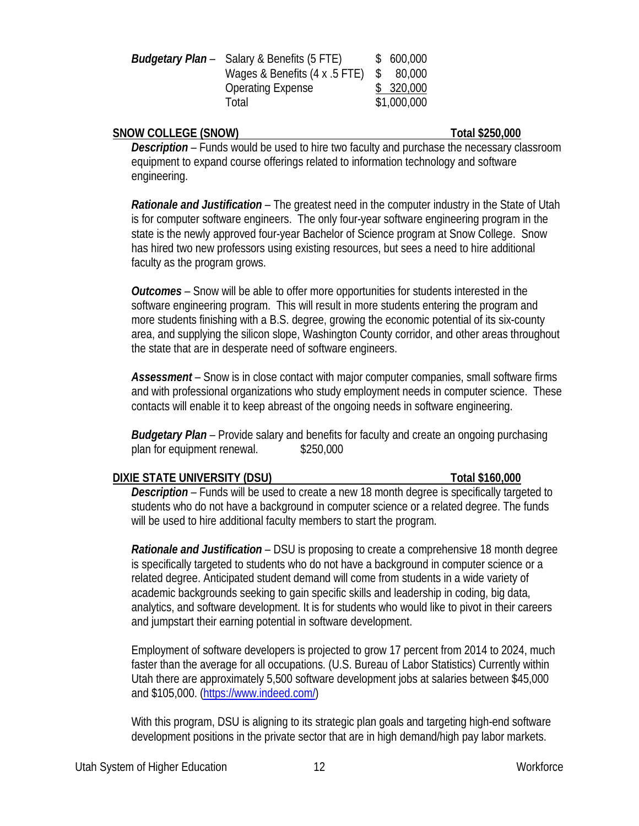| <b>Budgetary Plan</b> – Salary & Benefits (5 FTE) |              | \$600,000   |
|---------------------------------------------------|--------------|-------------|
| Wages & Benefits (4 x .5 FTE)                     | <sup>S</sup> | 80,000      |
| <b>Operating Expense</b>                          |              | \$320,000   |
| Total                                             |              | \$1,000,000 |

### **SNOW COLLEGE (SNOW) Total \$250,000**

*Description –* Funds would be used to hire two faculty and purchase the necessary classroom equipment to expand course offerings related to information technology and software engineering.

*Rationale and Justification –* The greatest need in the computer industry in the State of Utah is for computer software engineers. The only four-year software engineering program in the state is the newly approved four-year Bachelor of Science program at Snow College. Snow has hired two new professors using existing resources, but sees a need to hire additional faculty as the program grows.

*Outcomes –* Snow will be able to offer more opportunities for students interested in the software engineering program. This will result in more students entering the program and more students finishing with a B.S. degree, growing the economic potential of its six-county area, and supplying the silicon slope, Washington County corridor, and other areas throughout the state that are in desperate need of software engineers.

*Assessment –* Snow is in close contact with major computer companies, small software firms and with professional organizations who study employment needs in computer science. These contacts will enable it to keep abreast of the ongoing needs in software engineering.

*Budgetary Plan –* Provide salary and benefits for faculty and create an ongoing purchasing plan for equipment renewal. \$250,000

### **DIXIE STATE UNIVERSITY (DSU) Total \$160,000**

*Description –* Funds will be used to create a new 18 month degree is specifically targeted to students who do not have a background in computer science or a related degree. The funds will be used to hire additional faculty members to start the program.

*Rationale and Justification –* DSU is proposing to create a comprehensive 18 month degree is specifically targeted to students who do not have a background in computer science or a related degree. Anticipated student demand will come from students in a wide variety of academic backgrounds seeking to gain specific skills and leadership in coding, big data, analytics, and software development. It is for students who would like to pivot in their careers and jumpstart their earning potential in software development.

Employment of software developers is projected to grow 17 percent from 2014 to 2024, much faster than the average for all occupations. (U.S. Bureau of Labor Statistics) Currently within Utah there are approximately 5,500 software development jobs at salaries between \$45,000 and \$105,000. [\(https://www.indeed.com/\)](https://www.indeed.com/)

With this program, DSU is aligning to its strategic plan goals and targeting high-end software development positions in the private sector that are in high demand/high pay labor markets.

Utah System of Higher Education 12 and 12 Workforce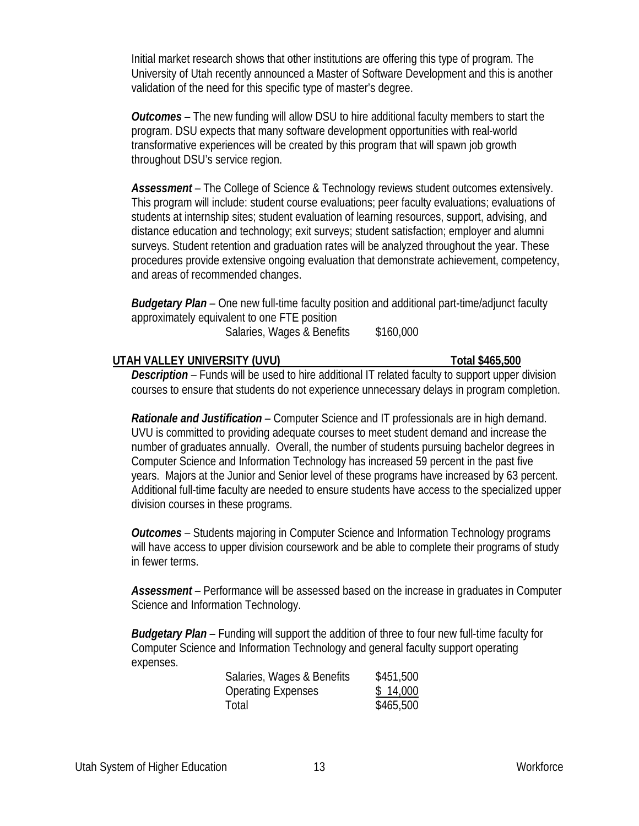Initial market research shows that other institutions are offering this type of program. The University of Utah recently announced a Master of Software Development and this is another validation of the need for this specific type of master's degree.

*Outcomes –* The new funding will allow DSU to hire additional faculty members to start the program. DSU expects that many software development opportunities with real-world transformative experiences will be created by this program that will spawn job growth throughout DSU's service region.

Assessment – The College of Science & Technology reviews student outcomes extensively. This program will include: student course evaluations; peer faculty evaluations; evaluations of students at internship sites; student evaluation of learning resources, support, advising, and distance education and technology; exit surveys; student satisfaction; employer and alumni surveys. Student retention and graduation rates will be analyzed throughout the year. These procedures provide extensive ongoing evaluation that demonstrate achievement, competency, and areas of recommended changes.

*Budgetary Plan –* One new full-time faculty position and additional part-time/adjunct faculty approximately equivalent to one FTE position Salaries, Wages & Benefits \$160,000

### **UTAH VALLEY UNIVERSITY (UVU) Total \$465,500**

*Description –* Funds will be used to hire additional IT related faculty to support upper division courses to ensure that students do not experience unnecessary delays in program completion.

*Rationale and Justification –* Computer Science and IT professionals are in high demand. UVU is committed to providing adequate courses to meet student demand and increase the number of graduates annually. Overall, the number of students pursuing bachelor degrees in Computer Science and Information Technology has increased 59 percent in the past five years. Majors at the Junior and Senior level of these programs have increased by 63 percent. Additional full-time faculty are needed to ensure students have access to the specialized upper division courses in these programs.

*Outcomes –* Students majoring in Computer Science and Information Technology programs will have access to upper division coursework and be able to complete their programs of study in fewer terms.

*Assessment –* Performance will be assessed based on the increase in graduates in Computer Science and Information Technology.

*Budgetary Plan –* Funding will support the addition of three to four new full-time faculty for Computer Science and Information Technology and general faculty support operating expenses.

| Salaries, Wages & Benefits | \$451,500 |
|----------------------------|-----------|
| <b>Operating Expenses</b>  | \$14,000  |
| Total                      | \$465,500 |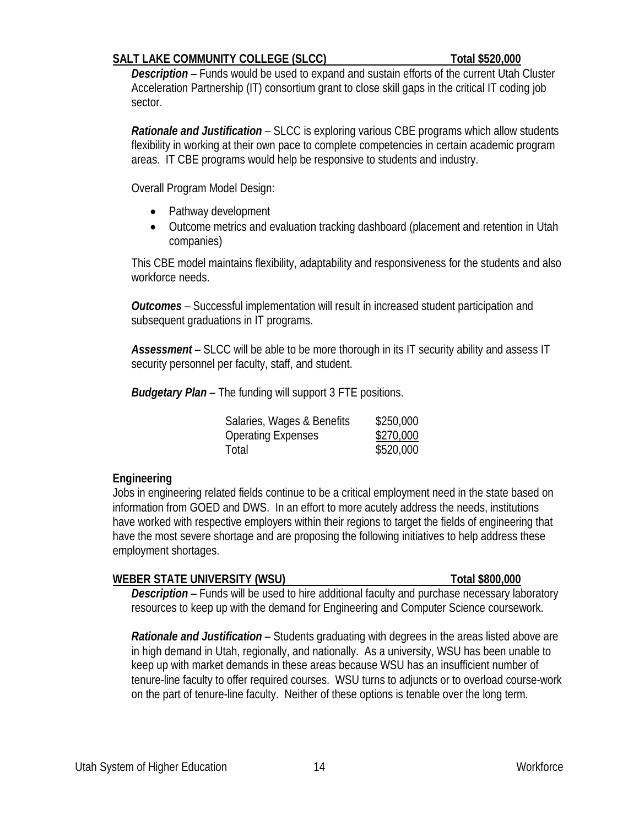## **SALT LAKE COMMUNITY COLLEGE (SLCC) Total \$520,000**

*Description –* Funds would be used to expand and sustain efforts of the current Utah Cluster Acceleration Partnership (IT) consortium grant to close skill gaps in the critical IT coding job sector.

*Rationale and Justification –* SLCC is exploring various CBE programs which allow students flexibility in working at their own pace to complete competencies in certain academic program areas. IT CBE programs would help be responsive to students and industry.

Overall Program Model Design:

- Pathway development
- Outcome metrics and evaluation tracking dashboard (placement and retention in Utah companies)

This CBE model maintains flexibility, adaptability and responsiveness for the students and also workforce needs.

*Outcomes –* Successful implementation will result in increased student participation and subsequent graduations in IT programs.

*Assessment –* SLCC will be able to be more thorough in its IT security ability and assess IT security personnel per faculty, staff, and student.

*Budgetary Plan –* The funding will support 3 FTE positions.

| Salaries, Wages & Benefits | \$250,000 |
|----------------------------|-----------|
| Operating Expenses         | \$270,000 |
| Total                      | \$520,000 |

# **Engineering**

Jobs in engineering related fields continue to be a critical employment need in the state based on information from GOED and DWS. In an effort to more acutely address the needs, institutions have worked with respective employers within their regions to target the fields of engineering that have the most severe shortage and are proposing the following initiatives to help address these employment shortages.

## **WEBER STATE UNIVERSITY (WSU) Total \$800,000**

*Description* – Funds will be used to hire additional faculty and purchase necessary laboratory resources to keep up with the demand for Engineering and Computer Science coursework.

*Rationale and Justification –* Students graduating with degrees in the areas listed above are in high demand in Utah, regionally, and nationally. As a university, WSU has been unable to keep up with market demands in these areas because WSU has an insufficient number of tenure-line faculty to offer required courses. WSU turns to adjuncts or to overload course-work on the part of tenure-line faculty. Neither of these options is tenable over the long term.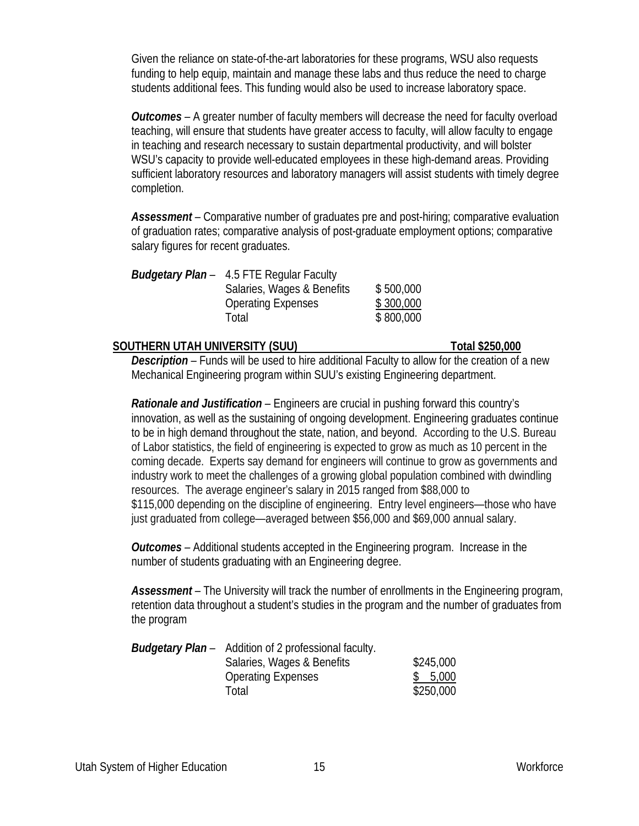Given the reliance on state-of-the-art laboratories for these programs, WSU also requests funding to help equip, maintain and manage these labs and thus reduce the need to charge students additional fees. This funding would also be used to increase laboratory space.

*Outcomes –* A greater number of faculty members will decrease the need for faculty overload teaching, will ensure that students have greater access to faculty, will allow faculty to engage in teaching and research necessary to sustain departmental productivity, and will bolster WSU's capacity to provide well-educated employees in these high-demand areas. Providing sufficient laboratory resources and laboratory managers will assist students with timely degree completion.

*Assessment –* Comparative number of graduates pre and post-hiring; comparative evaluation of graduation rates; comparative analysis of post-graduate employment options; comparative salary figures for recent graduates.

| <b>Budgetary Plan</b> - 4.5 FTE Regular Faculty |           |
|-------------------------------------------------|-----------|
| Salaries, Wages & Benefits                      | \$500,000 |
| <b>Operating Expenses</b>                       | \$300,000 |
| Total                                           | \$800,000 |

### **SOUTHERN UTAH UNIVERSITY (SUU) Total \$250,000**

*Description –* Funds will be used to hire additional Faculty to allow for the creation of a new Mechanical Engineering program within SUU's existing Engineering department.

*Rationale and Justification –* Engineers are crucial in pushing forward this country's innovation, as well as the sustaining of ongoing development. Engineering graduates continue to be in high demand throughout the state, nation, and beyond. According to the U.S. Bureau of Labor statistics, the field of engineering is expected to grow as much as 10 percent in the coming decade. Experts say demand for engineers will continue to grow as governments and industry work to meet the challenges of a growing global population combined with dwindling resources. The average engineer's salary in 2015 ranged from \$88,000 to \$115,000 depending on the discipline of engineering. Entry level engineers—those who have just graduated from college—averaged between \$56,000 and \$69,000 annual salary.

*Outcomes –* Additional students accepted in the Engineering program. Increase in the number of students graduating with an Engineering degree.

Assessment – The University will track the number of enrollments in the Engineering program, retention data throughout a student's studies in the program and the number of graduates from the program

| <b>Budgetary Plan</b> – Addition of 2 professional faculty. |           |
|-------------------------------------------------------------|-----------|
| Salaries, Wages & Benefits                                  | \$245,000 |
| <b>Operating Expenses</b>                                   | \$5,000   |
| Total                                                       | \$250,000 |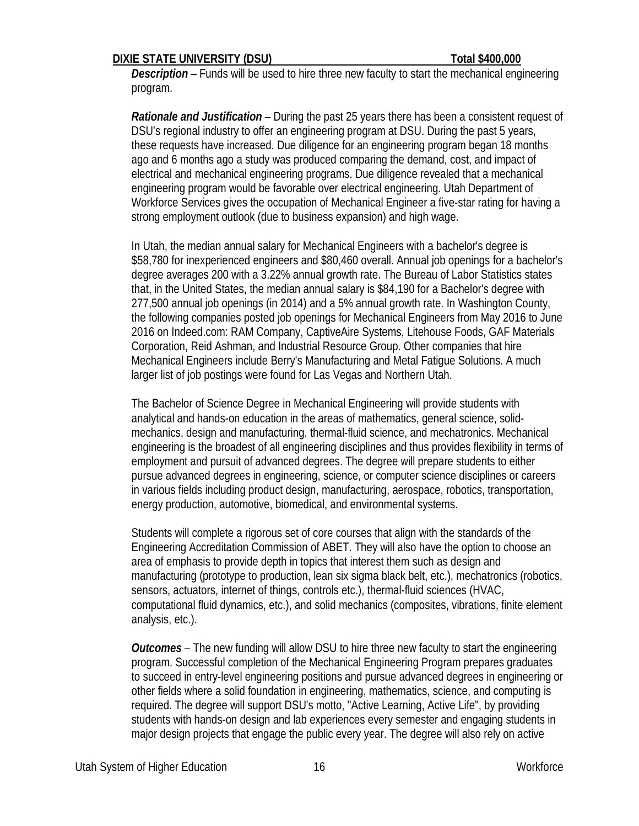### **DIXIE STATE UNIVERSITY (DSU) Total \$400,000**

*Description –* Funds will be used to hire three new faculty to start the mechanical engineering program.

*Rationale and Justification –* During the past 25 years there has been a consistent request of DSU's regional industry to offer an engineering program at DSU. During the past 5 years, these requests have increased. Due diligence for an engineering program began 18 months ago and 6 months ago a study was produced comparing the demand, cost, and impact of electrical and mechanical engineering programs. Due diligence revealed that a mechanical engineering program would be favorable over electrical engineering. Utah Department of Workforce Services gives the occupation of Mechanical Engineer a five-star rating for having a strong employment outlook (due to business expansion) and high wage.

In Utah, the median annual salary for Mechanical Engineers with a bachelor's degree is \$58,780 for inexperienced engineers and \$80,460 overall. Annual job openings for a bachelor's degree averages 200 with a 3.22% annual growth rate. The Bureau of Labor Statistics states that, in the United States, the median annual salary is \$84,190 for a Bachelor's degree with 277,500 annual job openings (in 2014) and a 5% annual growth rate. In Washington County, the following companies posted job openings for Mechanical Engineers from May 2016 to June 2016 on Indeed.com: RAM Company, CaptiveAire Systems, Litehouse Foods, GAF Materials Corporation, Reid Ashman, and Industrial Resource Group. Other companies that hire Mechanical Engineers include Berry's Manufacturing and Metal Fatigue Solutions. A much larger list of job postings were found for Las Vegas and Northern Utah.

The Bachelor of Science Degree in Mechanical Engineering will provide students with analytical and hands-on education in the areas of mathematics, general science, solidmechanics, design and manufacturing, thermal-fluid science, and mechatronics. Mechanical engineering is the broadest of all engineering disciplines and thus provides flexibility in terms of employment and pursuit of advanced degrees. The degree will prepare students to either pursue advanced degrees in engineering, science, or computer science disciplines or careers in various fields including product design, manufacturing, aerospace, robotics, transportation, energy production, automotive, biomedical, and environmental systems.

Students will complete a rigorous set of core courses that align with the standards of the Engineering Accreditation Commission of ABET. They will also have the option to choose an area of emphasis to provide depth in topics that interest them such as design and manufacturing (prototype to production, lean six sigma black belt, etc.), mechatronics (robotics, sensors, actuators, internet of things, controls etc.), thermal-fluid sciences (HVAC, computational fluid dynamics, etc.), and solid mechanics (composites, vibrations, finite element analysis, etc.).

*Outcomes –* The new funding will allow DSU to hire three new faculty to start the engineering program. Successful completion of the Mechanical Engineering Program prepares graduates to succeed in entry-level engineering positions and pursue advanced degrees in engineering or other fields where a solid foundation in engineering, mathematics, science, and computing is required. The degree will support DSU's motto, "Active Learning, Active Life", by providing students with hands-on design and lab experiences every semester and engaging students in major design projects that engage the public every year. The degree will also rely on active

Utah System of Higher Education 16 March 2016 16 Workforce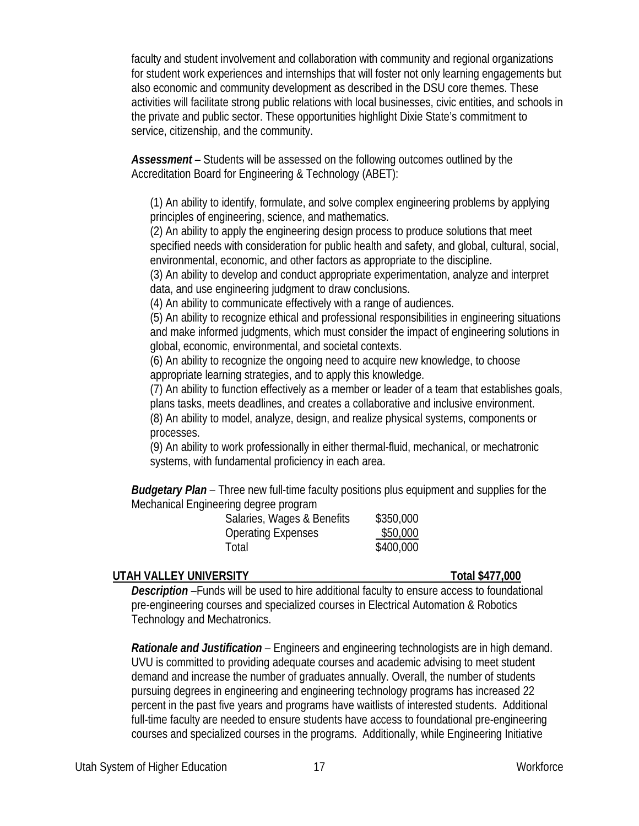faculty and student involvement and collaboration with community and regional organizations for student work experiences and internships that will foster not only learning engagements but also economic and community development as described in the DSU core themes. These activities will facilitate strong public relations with local businesses, civic entities, and schools in the private and public sector. These opportunities highlight Dixie State's commitment to service, citizenship, and the community.

*Assessment –* Students will be assessed on the following outcomes outlined by the Accreditation Board for Engineering & Technology (ABET):

(1) An ability to identify, formulate, and solve complex engineering problems by applying principles of engineering, science, and mathematics.

(2) An ability to apply the engineering design process to produce solutions that meet specified needs with consideration for public health and safety, and global, cultural, social, environmental, economic, and other factors as appropriate to the discipline.

(3) An ability to develop and conduct appropriate experimentation, analyze and interpret data, and use engineering judgment to draw conclusions.

(4) An ability to communicate effectively with a range of audiences.

(5) An ability to recognize ethical and professional responsibilities in engineering situations and make informed judgments, which must consider the impact of engineering solutions in global, economic, environmental, and societal contexts.

(6) An ability to recognize the ongoing need to acquire new knowledge, to choose appropriate learning strategies, and to apply this knowledge.

(7) An ability to function effectively as a member or leader of a team that establishes goals, plans tasks, meets deadlines, and creates a collaborative and inclusive environment.

(8) An ability to model, analyze, design, and realize physical systems, components or processes.

(9) An ability to work professionally in either thermal-fluid, mechanical, or mechatronic systems, with fundamental proficiency in each area.

**Budgetary Plan** - Three new full-time faculty positions plus equipment and supplies for the Mechanical Engineering degree program

| Salaries, Wages & Benefits | \$350,000 |
|----------------------------|-----------|
| Operating Expenses         | \$50,000  |
| Total                      | \$400,000 |

# **UTAH VALLEY UNIVERSITY Total \$477,000**

*Description –*Funds will be used to hire additional faculty to ensure access to foundational pre-engineering courses and specialized courses in Electrical Automation & Robotics Technology and Mechatronics.

*Rationale and Justification –* Engineers and engineering technologists are in high demand. UVU is committed to providing adequate courses and academic advising to meet student demand and increase the number of graduates annually. Overall, the number of students pursuing degrees in engineering and engineering technology programs has increased 22 percent in the past five years and programs have waitlists of interested students. Additional full-time faculty are needed to ensure students have access to foundational pre-engineering courses and specialized courses in the programs. Additionally, while Engineering Initiative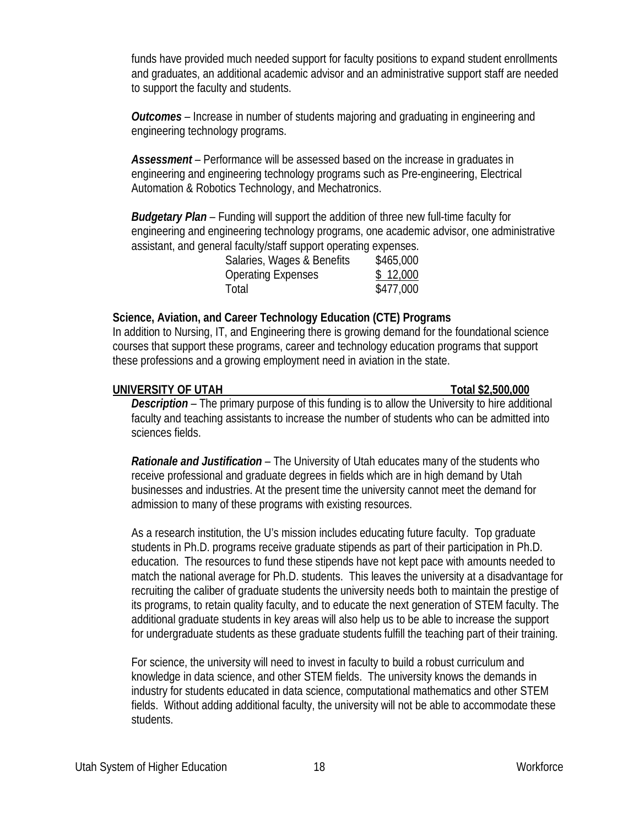funds have provided much needed support for faculty positions to expand student enrollments and graduates, an additional academic advisor and an administrative support staff are needed to support the faculty and students.

*Outcomes –* Increase in number of students majoring and graduating in engineering and engineering technology programs.

*Assessment –* Performance will be assessed based on the increase in graduates in engineering and engineering technology programs such as Pre-engineering, Electrical Automation & Robotics Technology, and Mechatronics.

*Budgetary Plan –* Funding will support the addition of three new full-time faculty for engineering and engineering technology programs, one academic advisor, one administrative assistant, and general faculty/staff support operating expenses.

| Salaries, Wages & Benefits | \$465,000 |
|----------------------------|-----------|
| <b>Operating Expenses</b>  | \$12,000  |
| Total                      | \$477,000 |

# **Science, Aviation, and Career Technology Education (CTE) Programs**

In addition to Nursing, IT, and Engineering there is growing demand for the foundational science courses that support these programs, career and technology education programs that support these professions and a growing employment need in aviation in the state.

## **UNIVERSITY OF UTAH Total \$2,500,000**

*Description –* The primary purpose of this funding is to allow the University to hire additional faculty and teaching assistants to increase the number of students who can be admitted into sciences fields.

*Rationale and Justification –* The University of Utah educates many of the students who receive professional and graduate degrees in fields which are in high demand by Utah businesses and industries. At the present time the university cannot meet the demand for admission to many of these programs with existing resources.

As a research institution, the U's mission includes educating future faculty. Top graduate students in Ph.D. programs receive graduate stipends as part of their participation in Ph.D. education. The resources to fund these stipends have not kept pace with amounts needed to match the national average for Ph.D. students. This leaves the university at a disadvantage for recruiting the caliber of graduate students the university needs both to maintain the prestige of its programs, to retain quality faculty, and to educate the next generation of STEM faculty. The additional graduate students in key areas will also help us to be able to increase the support for undergraduate students as these graduate students fulfill the teaching part of their training.

For science, the university will need to invest in faculty to build a robust curriculum and knowledge in data science, and other STEM fields. The university knows the demands in industry for students educated in data science, computational mathematics and other STEM fields. Without adding additional faculty, the university will not be able to accommodate these students.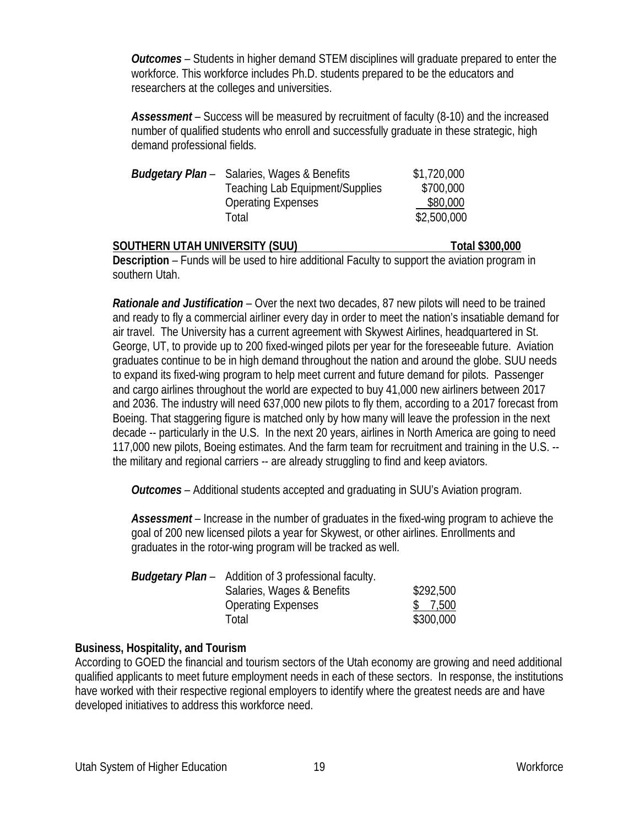*Outcomes –* Students in higher demand STEM disciplines will graduate prepared to enter the workforce. This workforce includes Ph.D. students prepared to be the educators and researchers at the colleges and universities.

*Assessment –* Success will be measured by recruitment of faculty (8-10) and the increased number of qualified students who enroll and successfully graduate in these strategic, high demand professional fields.

| \$1,720,000                                                                                                                        |
|------------------------------------------------------------------------------------------------------------------------------------|
| \$700,000                                                                                                                          |
| \$80,000                                                                                                                           |
| \$2,500,000                                                                                                                        |
| <b>Budgetary Plan</b> - Salaries, Wages & Benefits<br><b>Teaching Lab Equipment/Supplies</b><br><b>Operating Expenses</b><br>Total |

### **SOUTHERN UTAH UNIVERSITY (SUU) Total \$300,000**

**Description** – Funds will be used to hire additional Faculty to support the aviation program in southern Utah.

*Rationale and Justification –* Over the next two decades, 87 new pilots will need to be trained and ready to fly a commercial airliner every day in order to meet the nation's insatiable demand for air travel. The University has a current agreement with Skywest Airlines, headquartered in St. George, UT, to provide up to 200 fixed-winged pilots per year for the foreseeable future. Aviation graduates continue to be in high demand throughout the nation and around the globe. SUU needs to expand its fixed-wing program to help meet current and future demand for pilots. Passenger and cargo airlines throughout the world are expected to buy 41,000 new airliners between 2017 and 2036. The industry will need 637,000 new pilots to fly them, according to a 2017 forecast from Boeing. That staggering figure is matched only by how many will leave the profession in the next decade -- particularly in the U.S. In the next 20 years, airlines in North America are going to need 117,000 new pilots, Boeing estimates. And the farm team for recruitment and training in the U.S. - the military and regional carriers -- are already struggling to find and keep aviators.

*Outcomes –* Additional students accepted and graduating in SUU's Aviation program.

*Assessment –* Increase in the number of graduates in the fixed-wing program to achieve the goal of 200 new licensed pilots a year for Skywest, or other airlines. Enrollments and graduates in the rotor-wing program will be tracked as well.

| <b>Budgetary Plan</b> – Addition of 3 professional faculty. |           |
|-------------------------------------------------------------|-----------|
| Salaries, Wages & Benefits                                  | \$292,500 |
| <b>Operating Expenses</b>                                   | \$ 7,500  |
| Total                                                       | \$300,000 |

# **Business, Hospitality, and Tourism**

According to GOED the financial and tourism sectors of the Utah economy are growing and need additional qualified applicants to meet future employment needs in each of these sectors. In response, the institutions have worked with their respective regional employers to identify where the greatest needs are and have developed initiatives to address this workforce need.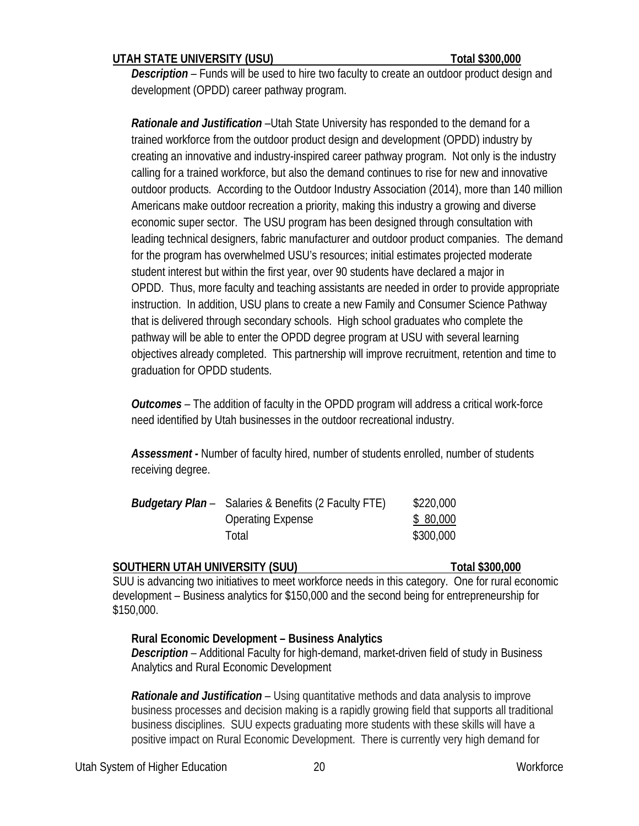## **UTAH STATE UNIVERSITY (USU) Total \$300,000**

*Description –* Funds will be used to hire two faculty to create an outdoor product design and development (OPDD) career pathway program.

*Rationale and Justification –*Utah State University has responded to the demand for a trained workforce from the outdoor product design and development (OPDD) industry by creating an innovative and industry-inspired career pathway program. Not only is the industry calling for a trained workforce, but also the demand continues to rise for new and innovative outdoor products. According to the Outdoor Industry Association (2014), more than 140 million Americans make outdoor recreation a priority, making this industry a growing and diverse economic super sector. The USU program has been designed through consultation with leading technical designers, fabric manufacturer and outdoor product companies. The demand for the program has overwhelmed USU's resources; initial estimates projected moderate student interest but within the first year, over 90 students have declared a major in OPDD. Thus, more faculty and teaching assistants are needed in order to provide appropriate instruction. In addition, USU plans to create a new Family and Consumer Science Pathway that is delivered through secondary schools. High school graduates who complete the pathway will be able to enter the OPDD degree program at USU with several learning objectives already completed. This partnership will improve recruitment, retention and time to graduation for OPDD students.

*Outcomes –* The addition of faculty in the OPDD program will address a critical work-force need identified by Utah businesses in the outdoor recreational industry.

*Assessment -* Number of faculty hired, number of students enrolled, number of students receiving degree.

| <b>Budgetary Plan</b> – Salaries & Benefits (2 Faculty FTE) | \$220,000 |
|-------------------------------------------------------------|-----------|
| <b>Operating Expense</b>                                    | \$ 80,000 |
| Total                                                       | \$300,000 |

### **SOUTHERN UTAH UNIVERSITY (SUU) Total \$300,000**

SUU is advancing two initiatives to meet workforce needs in this category. One for rural economic development – Business analytics for \$150,000 and the second being for entrepreneurship for \$150,000.

### **Rural Economic Development – Business Analytics**

*Description –* Additional Faculty for high-demand, market-driven field of study in Business Analytics and Rural Economic Development

*Rationale and Justification –* Using quantitative methods and data analysis to improve business processes and decision making is a rapidly growing field that supports all traditional business disciplines. SUU expects graduating more students with these skills will have a positive impact on Rural Economic Development. There is currently very high demand for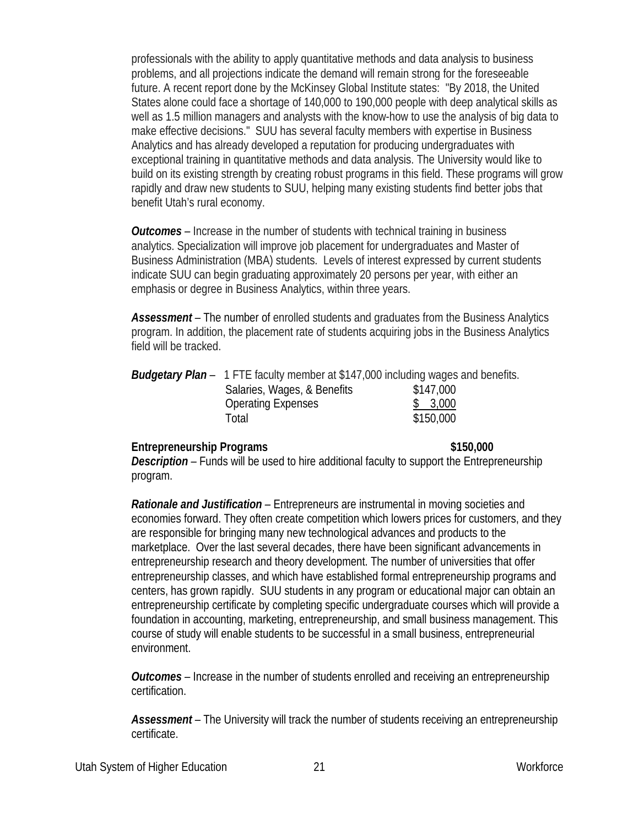professionals with the ability to apply quantitative methods and data analysis to business problems, and all projections indicate the demand will remain strong for the foreseeable future. A recent report done by the McKinsey Global Institute states: "By 2018, the United States alone could face a shortage of 140,000 to 190,000 people with deep analytical skills as well as 1.5 million managers and analysts with the know-how to use the analysis of big data to make effective decisions." SUU has several faculty members with expertise in Business Analytics and has already developed a reputation for producing undergraduates with exceptional training in quantitative methods and data analysis. The University would like to build on its existing strength by creating robust programs in this field. These programs will grow rapidly and draw new students to SUU, helping many existing students find better jobs that benefit Utah's rural economy.

*Outcomes –* Increase in the number of students with technical training in business analytics. Specialization will improve job placement for undergraduates and Master of Business Administration (MBA) students. Levels of interest expressed by current students indicate SUU can begin graduating approximately 20 persons per year, with either an emphasis or degree in Business Analytics, within three years.

*Assessment –* The number of enrolled students and graduates from the Business Analytics program. In addition, the placement rate of students acquiring jobs in the Business Analytics field will be tracked.

| <b>Budgetary Plan</b> – 1 FTE faculty member at \$147,000 including wages and benefits. |           |
|-----------------------------------------------------------------------------------------|-----------|
| Salaries, Wages, & Benefits                                                             | \$147,000 |
| <b>Operating Expenses</b>                                                               | \$3,000   |
| Total                                                                                   | \$150,000 |

### **Entrepreneurship Programs \$150,000**

*Description –* Funds will be used to hire additional faculty to support the Entrepreneurship program.

*Rationale and Justification –* Entrepreneurs are instrumental in moving societies and economies forward. They often create competition which lowers prices for customers, and they are responsible for bringing many new technological advances and products to the marketplace. Over the last several decades, there have been significant advancements in entrepreneurship research and theory development. The number of universities that offer entrepreneurship classes, and which have established formal entrepreneurship programs and centers, has grown rapidly. SUU students in any program or educational major can obtain an entrepreneurship certificate by completing specific undergraduate courses which will provide a foundation in accounting, marketing, entrepreneurship, and small business management. This course of study will enable students to be successful in a small business, entrepreneurial environment.

*Outcomes –* Increase in the number of students enrolled and receiving an entrepreneurship certification.

*Assessment –* The University will track the number of students receiving an entrepreneurship certificate.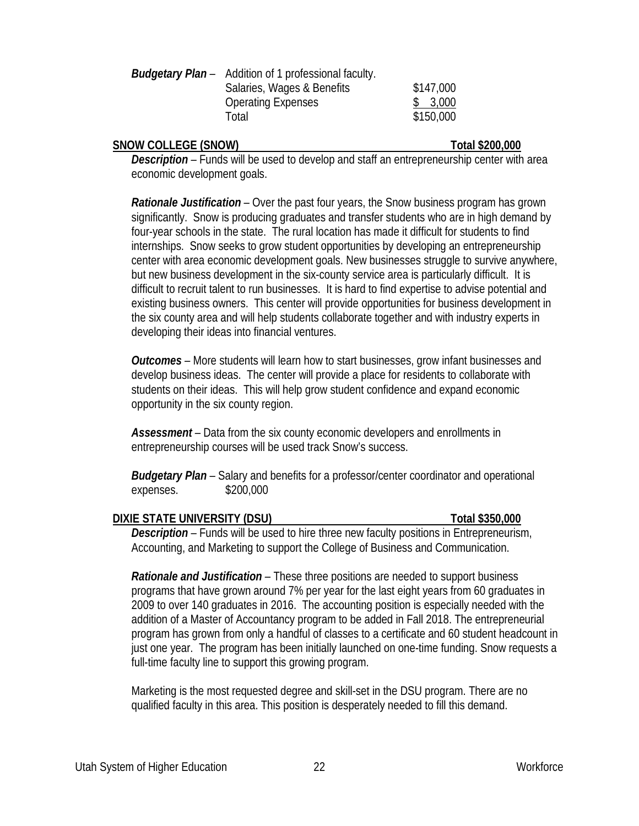| <b>Budgetary Plan</b> – Addition of 1 professional faculty. |           |
|-------------------------------------------------------------|-----------|
| Salaries, Wages & Benefits                                  | \$147,000 |
| <b>Operating Expenses</b>                                   | \$3,000   |
| Total                                                       | \$150,000 |

### **SNOW COLLEGE (SNOW) Total \$200,000**

*Description –* Funds will be used to develop and staff an entrepreneurship center with area economic development goals.

*Rationale Justification –* Over the past four years, the Snow business program has grown significantly. Snow is producing graduates and transfer students who are in high demand by four-year schools in the state. The rural location has made it difficult for students to find internships. Snow seeks to grow student opportunities by developing an entrepreneurship center with area economic development goals. New businesses struggle to survive anywhere, but new business development in the six-county service area is particularly difficult. It is difficult to recruit talent to run businesses. It is hard to find expertise to advise potential and existing business owners. This center will provide opportunities for business development in the six county area and will help students collaborate together and with industry experts in developing their ideas into financial ventures.

*Outcomes –* More students will learn how to start businesses, grow infant businesses and develop business ideas. The center will provide a place for residents to collaborate with students on their ideas. This will help grow student confidence and expand economic opportunity in the six county region.

*Assessment –* Data from the six county economic developers and enrollments in entrepreneurship courses will be used track Snow's success.

*Budgetary Plan –* Salary and benefits for a professor/center coordinator and operational expenses. \$200,000

### **DIXIE STATE UNIVERSITY (DSU) Total \$350,000**

*Description –* Funds will be used to hire three new faculty positions in Entrepreneurism, Accounting, and Marketing to support the College of Business and Communication.

*Rationale and Justification –* These three positions are needed to support business programs that have grown around 7% per year for the last eight years from 60 graduates in 2009 to over 140 graduates in 2016. The accounting position is especially needed with the addition of a Master of Accountancy program to be added in Fall 2018. The entrepreneurial program has grown from only a handful of classes to a certificate and 60 student headcount in just one year. The program has been initially launched on one-time funding. Snow requests a full-time faculty line to support this growing program.

Marketing is the most requested degree and skill-set in the DSU program. There are no qualified faculty in this area. This position is desperately needed to fill this demand.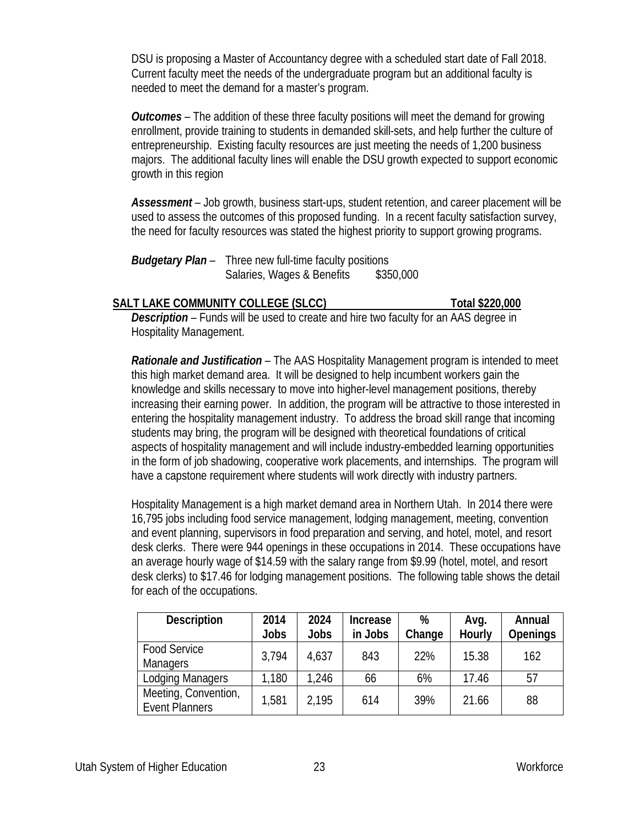DSU is proposing a Master of Accountancy degree with a scheduled start date of Fall 2018. Current faculty meet the needs of the undergraduate program but an additional faculty is needed to meet the demand for a master's program.

*Outcomes –* The addition of these three faculty positions will meet the demand for growing enrollment, provide training to students in demanded skill-sets, and help further the culture of entrepreneurship. Existing faculty resources are just meeting the needs of 1,200 business majors. The additional faculty lines will enable the DSU growth expected to support economic growth in this region

*Assessment –* Job growth, business start-ups, student retention, and career placement will be used to assess the outcomes of this proposed funding. In a recent faculty satisfaction survey, the need for faculty resources was stated the highest priority to support growing programs.

*Budgetary Plan –* Three new full-time faculty positions Salaries, Wages & Benefits \$350,000

## **SALT LAKE COMMUNITY COLLEGE (SLCC)** Total \$220,000

*Description –* Funds will be used to create and hire two faculty for an AAS degree in Hospitality Management.

*Rationale and Justification –* The AAS Hospitality Management program is intended to meet this high market demand area. It will be designed to help incumbent workers gain the knowledge and skills necessary to move into higher-level management positions, thereby increasing their earning power. In addition, the program will be attractive to those interested in entering the hospitality management industry. To address the broad skill range that incoming students may bring, the program will be designed with theoretical foundations of critical aspects of hospitality management and will include industry-embedded learning opportunities in the form of job shadowing, cooperative work placements, and internships. The program will have a capstone requirement where students will work directly with industry partners.

Hospitality Management is a high market demand area in Northern Utah. In 2014 there were 16,795 jobs including food service management, lodging management, meeting, convention and event planning, supervisors in food preparation and serving, and hotel, motel, and resort desk clerks. There were 944 openings in these occupations in 2014. These occupations have an average hourly wage of \$14.59 with the salary range from \$9.99 (hotel, motel, and resort desk clerks) to \$17.46 for lodging management positions. The following table shows the detail for each of the occupations.

| <b>Description</b>                            | 2014        | 2024        | <b>Increase</b> | %      | Avg.   | Annual          |
|-----------------------------------------------|-------------|-------------|-----------------|--------|--------|-----------------|
|                                               | <b>Jobs</b> | <b>Jobs</b> | in Jobs         | Change | Hourly | <b>Openings</b> |
| <b>Food Service</b><br><b>Managers</b>        | 3,794       | 4,637       | 843             | 22%    | 15.38  | 162             |
| <b>Lodging Managers</b>                       | 1,180       | 1,246       | 66              | 6%     | 17.46  | 57              |
| Meeting, Convention,<br><b>Event Planners</b> | 1,581       | 2.195       | 614             | 39%    | 21.66  | 88              |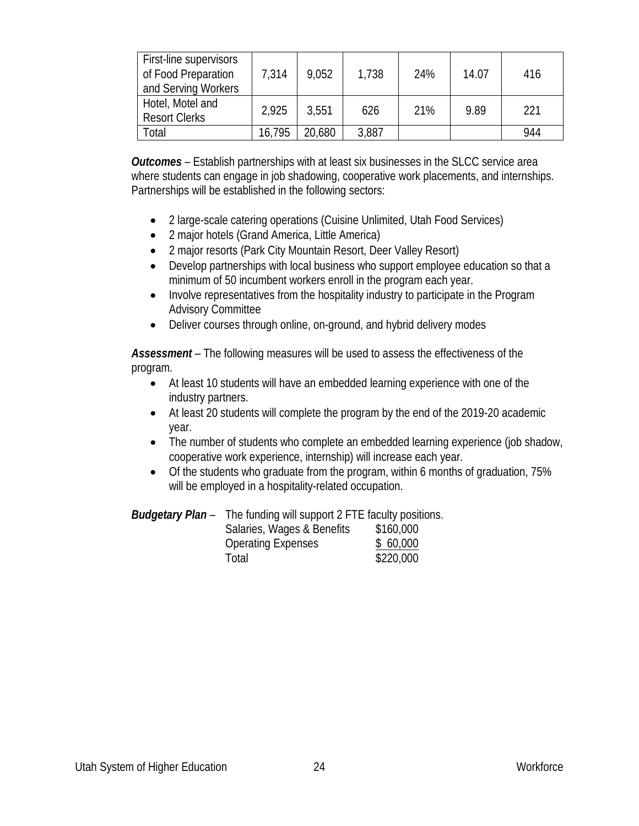| First-line supervisors<br>of Food Preparation<br>and Serving Workers | 7.314  | 9,052  | 1,738 | 24% | 14.07 | 416 |
|----------------------------------------------------------------------|--------|--------|-------|-----|-------|-----|
| Hotel, Motel and<br><b>Resort Clerks</b>                             | 2.925  | 3,551  | 626   | 21% | 9.89  | 221 |
| Total                                                                | 16,795 | 20,680 | 3,887 |     |       | 944 |

*Outcomes –* Establish partnerships with at least six businesses in the SLCC service area where students can engage in job shadowing, cooperative work placements, and internships. Partnerships will be established in the following sectors:

- 2 large-scale catering operations (Cuisine Unlimited, Utah Food Services)
- 2 major hotels (Grand America, Little America)
- 2 major resorts (Park City Mountain Resort, Deer Valley Resort)
- Develop partnerships with local business who support employee education so that a minimum of 50 incumbent workers enroll in the program each year.
- Involve representatives from the hospitality industry to participate in the Program Advisory Committee
- Deliver courses through online, on-ground, and hybrid delivery modes

*Assessment* – The following measures will be used to assess the effectiveness of the program.

- At least 10 students will have an embedded learning experience with one of the industry partners.
- At least 20 students will complete the program by the end of the 2019-20 academic year.
- The number of students who complete an embedded learning experience (job shadow, cooperative work experience, internship) will increase each year.
- Of the students who graduate from the program, within 6 months of graduation, 75% will be employed in a hospitality-related occupation.

| Budgetary Plan- | The funding will support 2 FTE faculty positions. |           |
|-----------------|---------------------------------------------------|-----------|
|                 | Salaries, Wages & Benefits                        | \$160,000 |

| Salaties, <i>Wayes</i> & Belletts | <b>DUU,UUL</b> |
|-----------------------------------|----------------|
| <b>Operating Expenses</b>         | \$60,000       |
| Total                             | \$220,000      |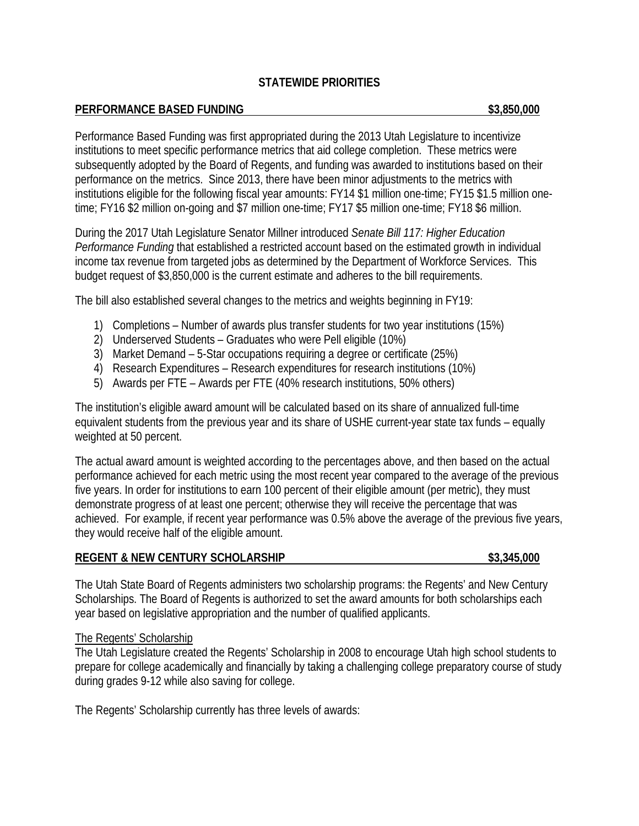# **STATEWIDE PRIORITIES**

### **PERFORMANCE BASED FUNDING \$3,850,000**

Performance Based Funding was first appropriated during the 2013 Utah Legislature to incentivize institutions to meet specific performance metrics that aid college completion. These metrics were subsequently adopted by the Board of Regents, and funding was awarded to institutions based on their performance on the metrics. Since 2013, there have been minor adjustments to the metrics with institutions eligible for the following fiscal year amounts: FY14 \$1 million one-time; FY15 \$1.5 million onetime; FY16 \$2 million on-going and \$7 million one-time; FY17 \$5 million one-time; FY18 \$6 million.

During the 2017 Utah Legislature Senator Millner introduced *Senate Bill 117: Higher Education Performance Funding* that established a restricted account based on the estimated growth in individual income tax revenue from targeted jobs as determined by the Department of Workforce Services. This budget request of \$3,850,000 is the current estimate and adheres to the bill requirements.

The bill also established several changes to the metrics and weights beginning in FY19:

- 1) Completions Number of awards plus transfer students for two year institutions (15%)
- 2) Underserved Students Graduates who were Pell eligible (10%)
- 3) Market Demand 5-Star occupations requiring a degree or certificate (25%)
- 4) Research Expenditures Research expenditures for research institutions (10%)
- 5) Awards per FTE Awards per FTE (40% research institutions, 50% others)

The institution's eligible award amount will be calculated based on its share of annualized full-time equivalent students from the previous year and its share of USHE current-year state tax funds – equally weighted at 50 percent.

The actual award amount is weighted according to the percentages above, and then based on the actual performance achieved for each metric using the most recent year compared to the average of the previous five years. In order for institutions to earn 100 percent of their eligible amount (per metric), they must demonstrate progress of at least one percent; otherwise they will receive the percentage that was achieved. For example, if recent year performance was 0.5% above the average of the previous five years, they would receive half of the eligible amount.

## **REGENT & NEW CENTURY SCHOLARSHIP \$3,345,000**

The Utah State Board of Regents administers two scholarship programs: the Regents' and New Century Scholarships. The Board of Regents is authorized to set the award amounts for both scholarships each year based on legislative appropriation and the number of qualified applicants.

## The Regents' Scholarship

The Utah Legislature created the Regents' Scholarship in 2008 to encourage Utah high school students to prepare for college academically and financially by taking a challenging college preparatory course of study during grades 9-12 while also saving for college.

The Regents' Scholarship currently has three levels of awards: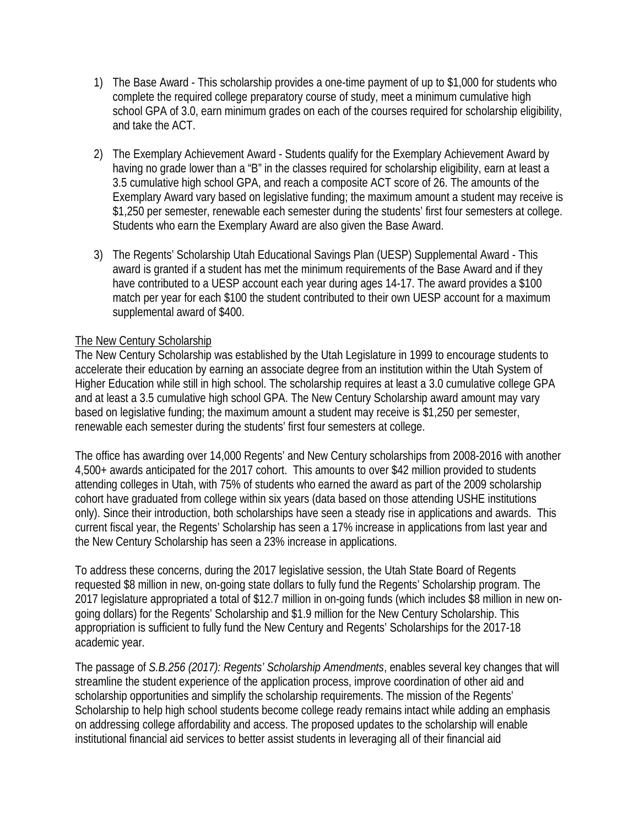- 1) The Base Award This scholarship provides a one-time payment of up to \$1,000 for students who complete the required college preparatory course of study, meet a minimum cumulative high school GPA of 3.0, earn minimum grades on each of the courses required for scholarship eligibility, and take the ACT.
- 2) The Exemplary Achievement Award Students qualify for the Exemplary Achievement Award by having no grade lower than a "B" in the classes required for scholarship eligibility, earn at least a 3.5 cumulative high school GPA, and reach a composite ACT score of 26. The amounts of the Exemplary Award vary based on legislative funding; the maximum amount a student may receive is \$1,250 per semester, renewable each semester during the students' first four semesters at college. Students who earn the Exemplary Award are also given the Base Award.
- 3) The Regents' Scholarship Utah Educational Savings Plan (UESP) Supplemental Award This award is granted if a student has met the minimum requirements of the Base Award and if they have contributed to a UESP account each year during ages 14-17. The award provides a \$100 match per year for each \$100 the student contributed to their own UESP account for a maximum supplemental award of \$400.

# The New Century Scholarship

The New Century Scholarship was established by the Utah Legislature in 1999 to encourage students to accelerate their education by earning an associate degree from an institution within the Utah System of Higher Education while still in high school. The scholarship requires at least a 3.0 cumulative college GPA and at least a 3.5 cumulative high school GPA. The New Century Scholarship award amount may vary based on legislative funding; the maximum amount a student may receive is \$1,250 per semester, renewable each semester during the students' first four semesters at college.

The office has awarding over 14,000 Regents' and New Century scholarships from 2008-2016 with another 4,500+ awards anticipated for the 2017 cohort. This amounts to over \$42 million provided to students attending colleges in Utah, with 75% of students who earned the award as part of the 2009 scholarship cohort have graduated from college within six years (data based on those attending USHE institutions only). Since their introduction, both scholarships have seen a steady rise in applications and awards. This current fiscal year, the Regents' Scholarship has seen a 17% increase in applications from last year and the New Century Scholarship has seen a 23% increase in applications.

To address these concerns, during the 2017 legislative session, the Utah State Board of Regents requested \$8 million in new, on-going state dollars to fully fund the Regents' Scholarship program. The 2017 legislature appropriated a total of \$12.7 million in on-going funds (which includes \$8 million in new ongoing dollars) for the Regents' Scholarship and \$1.9 million for the New Century Scholarship. This appropriation is sufficient to fully fund the New Century and Regents' Scholarships for the 2017-18 academic year.

The passage of *S.B.256 (2017): Regents' Scholarship Amendments*, enables several key changes that will streamline the student experience of the application process, improve coordination of other aid and scholarship opportunities and simplify the scholarship requirements. The mission of the Regents' Scholarship to help high school students become college ready remains intact while adding an emphasis on addressing college affordability and access. The proposed updates to the scholarship will enable institutional financial aid services to better assist students in leveraging all of their financial aid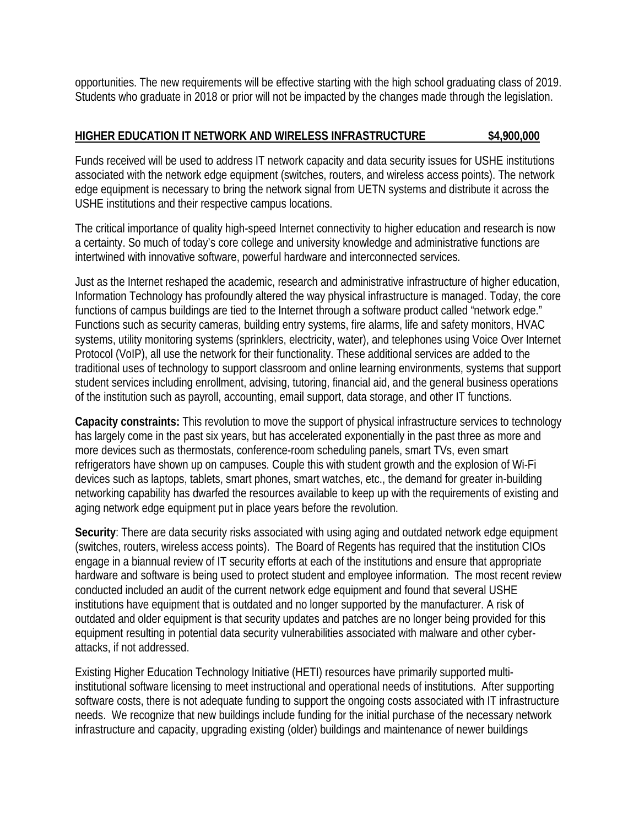opportunities. The new requirements will be effective starting with the high school graduating class of 2019. Students who graduate in 2018 or prior will not be impacted by the changes made through the legislation.

# **HIGHER EDUCATION IT NETWORK AND WIRELESS INFRASTRUCTURE \$4,900,000**

Funds received will be used to address IT network capacity and data security issues for USHE institutions associated with the network edge equipment (switches, routers, and wireless access points). The network edge equipment is necessary to bring the network signal from UETN systems and distribute it across the USHE institutions and their respective campus locations.

The critical importance of quality high-speed Internet connectivity to higher education and research is now a certainty. So much of today's core college and university knowledge and administrative functions are intertwined with innovative software, powerful hardware and interconnected services.

Just as the Internet reshaped the academic, research and administrative infrastructure of higher education, Information Technology has profoundly altered the way physical infrastructure is managed. Today, the core functions of campus buildings are tied to the Internet through a software product called "network edge." Functions such as security cameras, building entry systems, fire alarms, life and safety monitors, HVAC systems, utility monitoring systems (sprinklers, electricity, water), and telephones using Voice Over Internet Protocol (VoIP), all use the network for their functionality. These additional services are added to the traditional uses of technology to support classroom and online learning environments, systems that support student services including enrollment, advising, tutoring, financial aid, and the general business operations of the institution such as payroll, accounting, email support, data storage, and other IT functions.

**Capacity constraints:** This revolution to move the support of physical infrastructure services to technology has largely come in the past six years, but has accelerated exponentially in the past three as more and more devices such as thermostats, conference-room scheduling panels, smart TVs, even smart refrigerators have shown up on campuses. Couple this with student growth and the explosion of Wi-Fi devices such as laptops, tablets, smart phones, smart watches, etc., the demand for greater in-building networking capability has dwarfed the resources available to keep up with the requirements of existing and aging network edge equipment put in place years before the revolution.

**Security**: There are data security risks associated with using aging and outdated network edge equipment (switches, routers, wireless access points). The Board of Regents has required that the institution CIOs engage in a biannual review of IT security efforts at each of the institutions and ensure that appropriate hardware and software is being used to protect student and employee information. The most recent review conducted included an audit of the current network edge equipment and found that several USHE institutions have equipment that is outdated and no longer supported by the manufacturer. A risk of outdated and older equipment is that security updates and patches are no longer being provided for this equipment resulting in potential data security vulnerabilities associated with malware and other cyberattacks, if not addressed.

Existing Higher Education Technology Initiative (HETI) resources have primarily supported multiinstitutional software licensing to meet instructional and operational needs of institutions. After supporting software costs, there is not adequate funding to support the ongoing costs associated with IT infrastructure needs. We recognize that new buildings include funding for the initial purchase of the necessary network infrastructure and capacity, upgrading existing (older) buildings and maintenance of newer buildings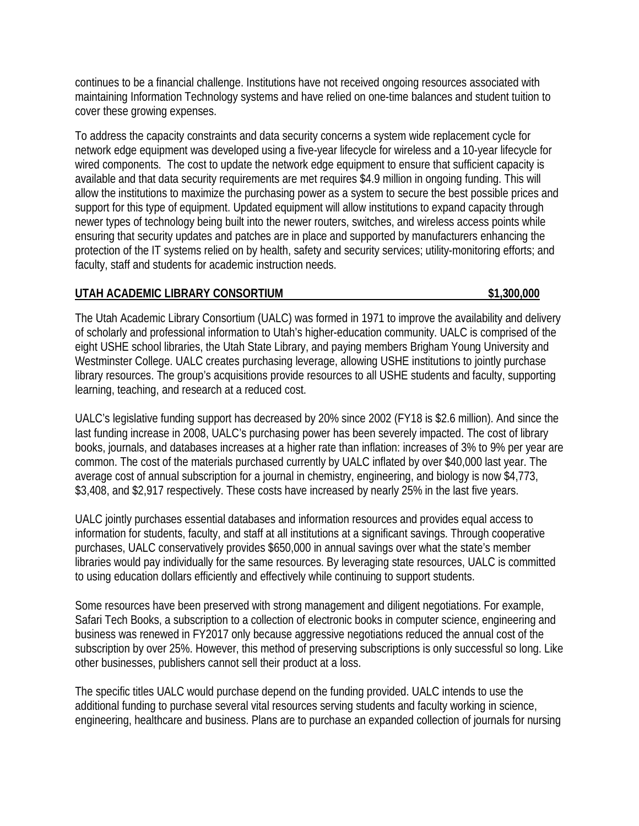continues to be a financial challenge. Institutions have not received ongoing resources associated with maintaining Information Technology systems and have relied on one-time balances and student tuition to cover these growing expenses.

To address the capacity constraints and data security concerns a system wide replacement cycle for network edge equipment was developed using a five-year lifecycle for wireless and a 10-year lifecycle for wired components. The cost to update the network edge equipment to ensure that sufficient capacity is available and that data security requirements are met requires \$4.9 million in ongoing funding. This will allow the institutions to maximize the purchasing power as a system to secure the best possible prices and support for this type of equipment. Updated equipment will allow institutions to expand capacity through newer types of technology being built into the newer routers, switches, and wireless access points while ensuring that security updates and patches are in place and supported by manufacturers enhancing the protection of the IT systems relied on by health, safety and security services; utility-monitoring efforts; and faculty, staff and students for academic instruction needs.

## **UTAH ACADEMIC LIBRARY CONSORTIUM \$1,300,000**

The Utah Academic Library Consortium (UALC) was formed in 1971 to improve the availability and delivery of scholarly and professional information to Utah's higher-education community. UALC is comprised of the eight USHE school libraries, the Utah State Library, and paying members Brigham Young University and Westminster College. UALC creates purchasing leverage, allowing USHE institutions to jointly purchase library resources. The group's acquisitions provide resources to all USHE students and faculty, supporting learning, teaching, and research at a reduced cost.

UALC's legislative funding support has decreased by 20% since 2002 (FY18 is \$2.6 million). And since the last funding increase in 2008, UALC's purchasing power has been severely impacted. The cost of library books, journals, and databases increases at a higher rate than inflation: increases of 3% to 9% per year are common. The cost of the materials purchased currently by UALC inflated by over \$40,000 last year. The average cost of annual subscription for a journal in chemistry, engineering, and biology is now \$4,773, \$3,408, and \$2,917 respectively. These costs have increased by nearly 25% in the last five years.

UALC jointly purchases essential databases and information resources and provides equal access to information for students, faculty, and staff at all institutions at a significant savings. Through cooperative purchases, UALC conservatively provides \$650,000 in annual savings over what the state's member libraries would pay individually for the same resources. By leveraging state resources, UALC is committed to using education dollars efficiently and effectively while continuing to support students.

Some resources have been preserved with strong management and diligent negotiations. For example, Safari Tech Books, a subscription to a collection of electronic books in computer science, engineering and business was renewed in FY2017 only because aggressive negotiations reduced the annual cost of the subscription by over 25%. However, this method of preserving subscriptions is only successful so long. Like other businesses, publishers cannot sell their product at a loss.

The specific titles UALC would purchase depend on the funding provided. UALC intends to use the additional funding to purchase several vital resources serving students and faculty working in science, engineering, healthcare and business. Plans are to purchase an expanded collection of journals for nursing